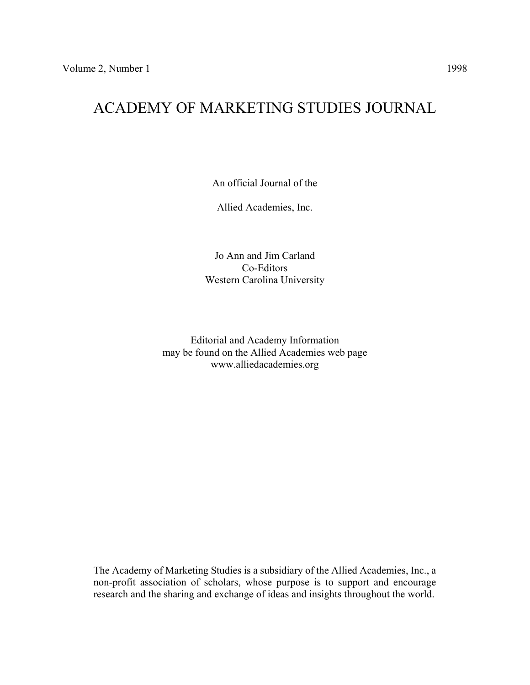# ACADEMY OF MARKETING STUDIES JOURNAL

An official Journal of the

Allied Academies, Inc.

Jo Ann and Jim Carland Co-Editors Western Carolina University

Editorial and Academy Information may be found on the Allied Academies web page www.alliedacademies.org

The Academy of Marketing Studies is a subsidiary of the Allied Academies, Inc., a non-profit association of scholars, whose purpose is to support and encourage research and the sharing and exchange of ideas and insights throughout the world.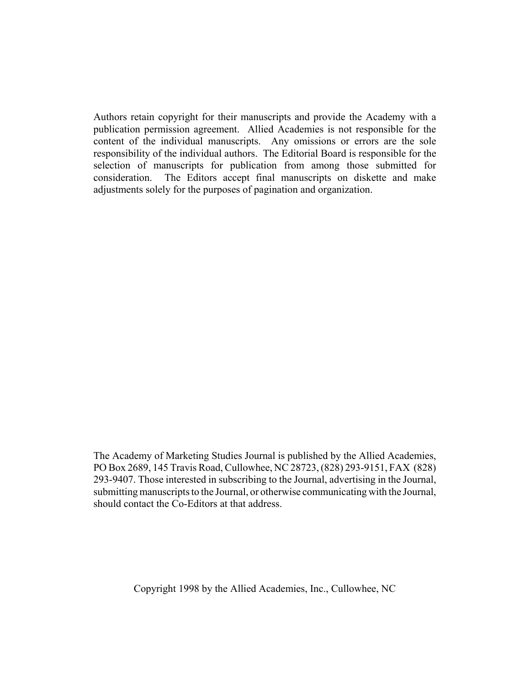Authors retain copyright for their manuscripts and provide the Academy with a publication permission agreement. Allied Academies is not responsible for the content of the individual manuscripts. Any omissions or errors are the sole responsibility of the individual authors. The Editorial Board is responsible for the selection of manuscripts for publication from among those submitted for consideration. The Editors accept final manuscripts on diskette and make adjustments solely for the purposes of pagination and organization.

The Academy of Marketing Studies Journal is published by the Allied Academies, PO Box 2689, 145 Travis Road, Cullowhee, NC 28723, (828) 293-9151, FAX (828) 293-9407. Those interested in subscribing to the Journal, advertising in the Journal, submitting manuscripts to the Journal, or otherwise communicating with the Journal, should contact the Co-Editors at that address.

Copyright 1998 by the Allied Academies, Inc., Cullowhee, NC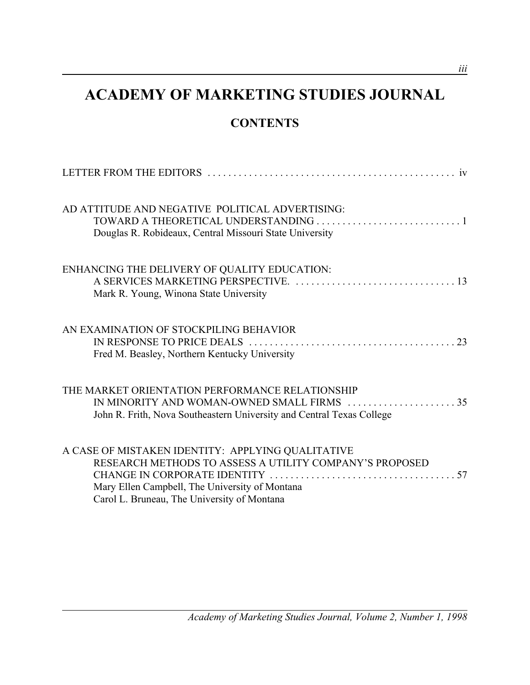# **ACADEMY OF MARKETING STUDIES JOURNAL**

# **CONTENTS**

| AD ATTITUDE AND NEGATIVE POLITICAL ADVERTISING:<br>Douglas R. Robideaux, Central Missouri State University                                                                                                    |
|---------------------------------------------------------------------------------------------------------------------------------------------------------------------------------------------------------------|
| ENHANCING THE DELIVERY OF QUALITY EDUCATION:<br>Mark R. Young, Winona State University                                                                                                                        |
| AN EXAMINATION OF STOCKPILING BEHAVIOR<br>Fred M. Beasley, Northern Kentucky University                                                                                                                       |
| THE MARKET ORIENTATION PERFORMANCE RELATIONSHIP<br>IN MINORITY AND WOMAN-OWNED SMALL FIRMS 35<br>John R. Frith, Nova Southeastern University and Central Texas College                                        |
| A CASE OF MISTAKEN IDENTITY: APPLYING QUALITATIVE<br>RESEARCH METHODS TO ASSESS A UTILITY COMPANY'S PROPOSED<br>Mary Ellen Campbell, The University of Montana<br>Carol L. Bruneau, The University of Montana |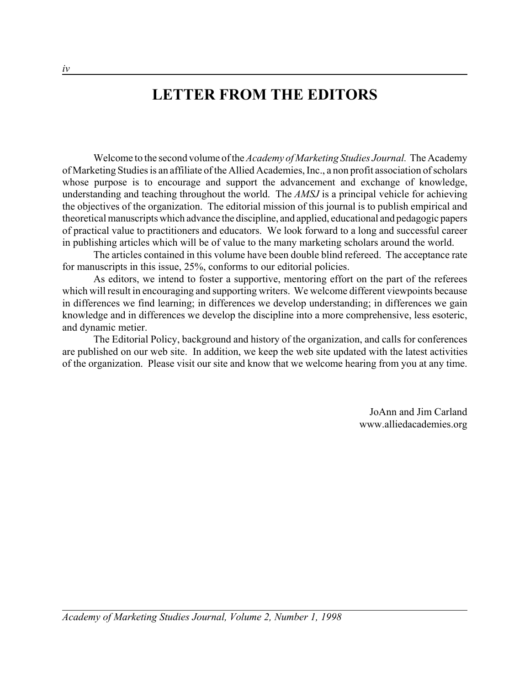# **LETTER FROM THE EDITORS**

Welcome to the second volume of the *Academy of Marketing Studies Journal.* The Academy of Marketing Studies is an affiliate of the Allied Academies, Inc., a non profit association of scholars whose purpose is to encourage and support the advancement and exchange of knowledge, understanding and teaching throughout the world. The *AMSJ* is a principal vehicle for achieving the objectives of the organization. The editorial mission of this journal is to publish empirical and theoretical manuscripts which advance the discipline, and applied, educational and pedagogic papers of practical value to practitioners and educators. We look forward to a long and successful career in publishing articles which will be of value to the many marketing scholars around the world.

The articles contained in this volume have been double blind refereed. The acceptance rate for manuscripts in this issue, 25%, conforms to our editorial policies.

As editors, we intend to foster a supportive, mentoring effort on the part of the referees which will result in encouraging and supporting writers. We welcome different viewpoints because in differences we find learning; in differences we develop understanding; in differences we gain knowledge and in differences we develop the discipline into a more comprehensive, less esoteric, and dynamic metier.

The Editorial Policy, background and history of the organization, and calls for conferences are published on our web site. In addition, we keep the web site updated with the latest activities of the organization. Please visit our site and know that we welcome hearing from you at any time.

> JoAnn and Jim Carland www.alliedacademies.org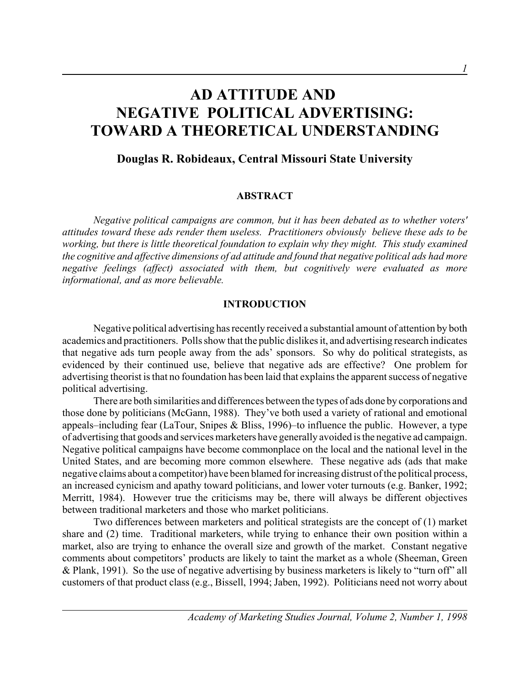# **AD ATTITUDE AND NEGATIVE POLITICAL ADVERTISING: TOWARD A THEORETICAL UNDERSTANDING**

## **Douglas R. Robideaux, Central Missouri State University**

### **ABSTRACT**

*Negative political campaigns are common, but it has been debated as to whether voters' attitudes toward these ads render them useless. Practitioners obviously believe these ads to be working, but there is little theoretical foundation to explain why they might. This study examined the cognitive and affective dimensions of ad attitude and found that negative political ads had more negative feelings (affect) associated with them, but cognitively were evaluated as more informational, and as more believable.*

### **INTRODUCTION**

Negative political advertising has recently received a substantial amount of attention by both academics and practitioners. Polls show that the public dislikes it, and advertising research indicates that negative ads turn people away from the ads' sponsors. So why do political strategists, as evidenced by their continued use, believe that negative ads are effective? One problem for advertising theorist is that no foundation has been laid that explains the apparent success of negative political advertising.

There are both similarities and differences between the types of ads done by corporations and those done by politicians (McGann, 1988). They've both used a variety of rational and emotional appeals–including fear (LaTour, Snipes & Bliss, 1996)–to influence the public. However, a type of advertising that goods and services marketers have generally avoided is the negative ad campaign. Negative political campaigns have become commonplace on the local and the national level in the United States, and are becoming more common elsewhere. These negative ads (ads that make negative claims about a competitor) have been blamed for increasing distrust of the political process, an increased cynicism and apathy toward politicians, and lower voter turnouts (e.g. Banker, 1992; Merritt, 1984). However true the criticisms may be, there will always be different objectives between traditional marketers and those who market politicians.

Two differences between marketers and political strategists are the concept of (1) market share and (2) time. Traditional marketers, while trying to enhance their own position within a market, also are trying to enhance the overall size and growth of the market. Constant negative comments about competitors' products are likely to taint the market as a whole (Sheeman, Green & Plank, 1991). So the use of negative advertising by business marketers is likely to "turn off" all customers of that product class (e.g., Bissell, 1994; Jaben, 1992). Politicians need not worry about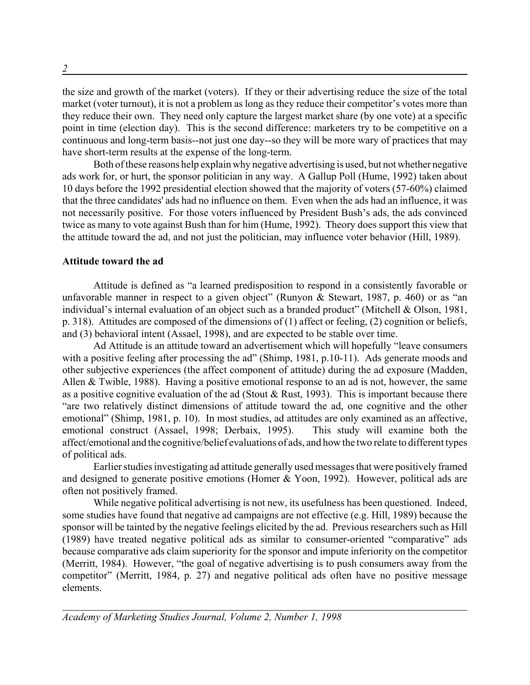the size and growth of the market (voters). If they or their advertising reduce the size of the total market (voter turnout), it is not a problem as long as they reduce their competitor's votes more than they reduce their own. They need only capture the largest market share (by one vote) at a specific point in time (election day). This is the second difference: marketers try to be competitive on a continuous and long-term basis--not just one day--so they will be more wary of practices that may have short-term results at the expense of the long-term.

Both of these reasons help explain why negative advertising is used, but not whether negative ads work for, or hurt, the sponsor politician in any way. A Gallup Poll (Hume, 1992) taken about 10 days before the 1992 presidential election showed that the majority of voters (57-60%) claimed that the three candidates' ads had no influence on them. Even when the ads had an influence, it was not necessarily positive. For those voters influenced by President Bush's ads, the ads convinced twice as many to vote against Bush than for him (Hume, 1992). Theory does support this view that the attitude toward the ad, and not just the politician, may influence voter behavior (Hill, 1989).

### **Attitude toward the ad**

Attitude is defined as "a learned predisposition to respond in a consistently favorable or unfavorable manner in respect to a given object" (Runyon & Stewart, 1987, p. 460) or as "an individual's internal evaluation of an object such as a branded product" (Mitchell & Olson, 1981, p. 318). Attitudes are composed of the dimensions of (1) affect or feeling, (2) cognition or beliefs, and (3) behavioral intent (Assael, 1998), and are expected to be stable over time.

Ad Attitude is an attitude toward an advertisement which will hopefully "leave consumers with a positive feeling after processing the ad" (Shimp, 1981, p.10-11). Ads generate moods and other subjective experiences (the affect component of attitude) during the ad exposure (Madden, Allen & Twible, 1988). Having a positive emotional response to an ad is not, however, the same as a positive cognitive evaluation of the ad (Stout & Rust, 1993). This is important because there "are two relatively distinct dimensions of attitude toward the ad, one cognitive and the other emotional" (Shimp, 1981, p. 10). In most studies, ad attitudes are only examined as an affective, emotional construct (Assael, 1998; Derbaix, 1995). This study will examine both the affect/emotional and the cognitive/belief evaluations of ads, and how the two relate to different types of political ads.

Earlier studies investigating ad attitude generally used messages that were positively framed and designed to generate positive emotions (Homer & Yoon, 1992). However, political ads are often not positively framed.

While negative political advertising is not new, its usefulness has been questioned. Indeed, some studies have found that negative ad campaigns are not effective (e.g. Hill, 1989) because the sponsor will be tainted by the negative feelings elicited by the ad. Previous researchers such as Hill (1989) have treated negative political ads as similar to consumer-oriented "comparative" ads because comparative ads claim superiority for the sponsor and impute inferiority on the competitor (Merritt, 1984). However, "the goal of negative advertising is to push consumers away from the competitor" (Merritt, 1984, p. 27) and negative political ads often have no positive message elements.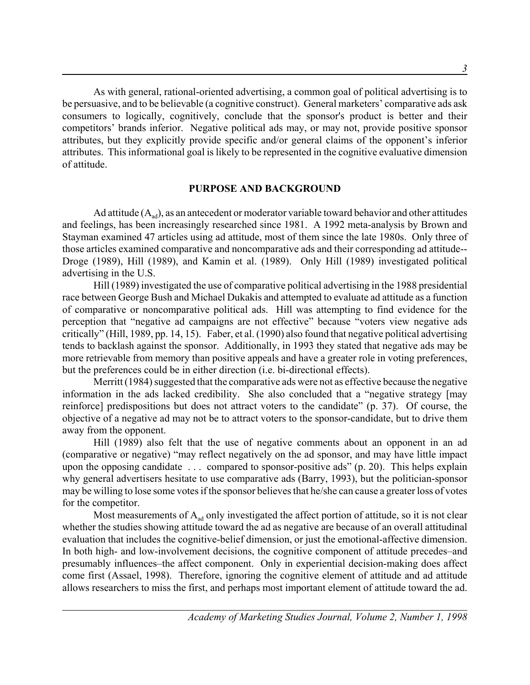As with general, rational-oriented advertising, a common goal of political advertising is to be persuasive, and to be believable (a cognitive construct). General marketers' comparative ads ask consumers to logically, cognitively, conclude that the sponsor's product is better and their competitors' brands inferior. Negative political ads may, or may not, provide positive sponsor attributes, but they explicitly provide specific and/or general claims of the opponent's inferior attributes. This informational goal is likely to be represented in the cognitive evaluative dimension of attitude.

### **PURPOSE AND BACKGROUND**

Ad attitude  $(A_{ad})$ , as an antecedent or moderator variable toward behavior and other attitudes and feelings, has been increasingly researched since 1981. A 1992 meta-analysis by Brown and Stayman examined 47 articles using ad attitude, most of them since the late 1980s. Only three of those articles examined comparative and noncomparative ads and their corresponding ad attitude-- Droge (1989), Hill (1989), and Kamin et al. (1989). Only Hill (1989) investigated political advertising in the U.S.

Hill (1989) investigated the use of comparative political advertising in the 1988 presidential race between George Bush and Michael Dukakis and attempted to evaluate ad attitude as a function of comparative or noncomparative political ads. Hill was attempting to find evidence for the perception that "negative ad campaigns are not effective" because "voters view negative ads critically" (Hill, 1989, pp. 14, 15). Faber, et al. (1990) also found that negative political advertising tends to backlash against the sponsor. Additionally, in 1993 they stated that negative ads may be more retrievable from memory than positive appeals and have a greater role in voting preferences, but the preferences could be in either direction (i.e. bi-directional effects).

Merritt (1984) suggested that the comparative ads were not as effective because the negative information in the ads lacked credibility. She also concluded that a "negative strategy [may reinforce] predispositions but does not attract voters to the candidate" (p. 37). Of course, the objective of a negative ad may not be to attract voters to the sponsor-candidate, but to drive them away from the opponent.

Hill (1989) also felt that the use of negative comments about an opponent in an ad (comparative or negative) "may reflect negatively on the ad sponsor, and may have little impact upon the opposing candidate . . . compared to sponsor-positive ads" (p. 20). This helps explain why general advertisers hesitate to use comparative ads (Barry, 1993), but the politician-sponsor may be willing to lose some votes if the sponsor believes that he/she can cause a greater loss of votes for the competitor.

Most measurements of  $A_{ad}$  only investigated the affect portion of attitude, so it is not clear whether the studies showing attitude toward the ad as negative are because of an overall attitudinal evaluation that includes the cognitive-belief dimension, or just the emotional-affective dimension. In both high- and low-involvement decisions, the cognitive component of attitude precedes–and presumably influences–the affect component. Only in experiential decision-making does affect come first (Assael, 1998). Therefore, ignoring the cognitive element of attitude and ad attitude allows researchers to miss the first, and perhaps most important element of attitude toward the ad.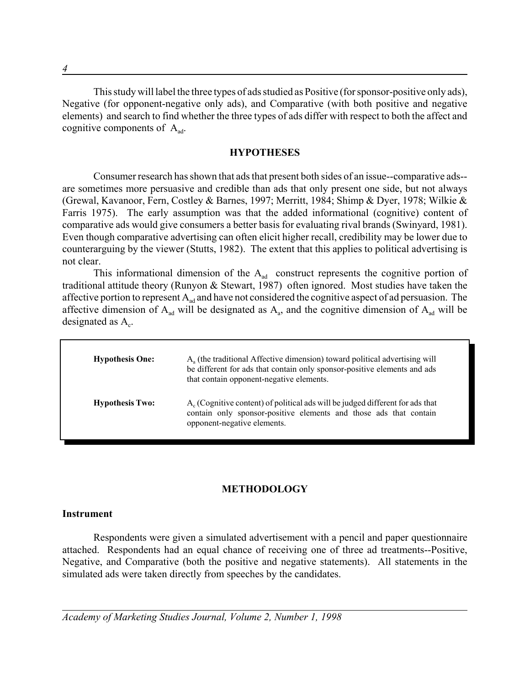This study will label the three types of ads studied as Positive (for sponsor-positive only ads), Negative (for opponent-negative only ads), and Comparative (with both positive and negative elements) and search to find whether the three types of ads differ with respect to both the affect and cognitive components of  $A_{ad}$ .

### **HYPOTHESES**

Consumer research has shown that ads that present both sides of an issue--comparative ads- are sometimes more persuasive and credible than ads that only present one side, but not always (Grewal, Kavanoor, Fern, Costley & Barnes, 1997; Merritt, 1984; Shimp & Dyer, 1978; Wilkie & Farris 1975). The early assumption was that the added informational (cognitive) content of comparative ads would give consumers a better basis for evaluating rival brands (Swinyard, 1981). Even though comparative advertising can often elicit higher recall, credibility may be lower due to counterarguing by the viewer (Stutts, 1982). The extent that this applies to political advertising is not clear.

This informational dimension of the  $A_{ad}$  construct represents the cognitive portion of traditional attitude theory (Runyon & Stewart, 1987) often ignored. Most studies have taken the affective portion to represent  $A_{ad}$  and have not considered the cognitive aspect of ad persuasion. The affective dimension of  $A_{ad}$  will be designated as  $A_a$ , and the cognitive dimension of  $A_{ad}$  will be designated as  $A<sub>c</sub>$ .

| <b>Hypothesis One:</b> | $Aa$ (the traditional Affective dimension) toward political advertising will<br>be different for ads that contain only sponsor-positive elements and ads<br>that contain opponent-negative elements. |
|------------------------|------------------------------------------------------------------------------------------------------------------------------------------------------------------------------------------------------|
| <b>Hypothesis Two:</b> | $A_c$ (Cognitive content) of political ads will be judged different for ads that<br>contain only sponsor-positive elements and those ads that contain<br>opponent-negative elements.                 |

### **METHODOLOGY**

### **Instrument**

Respondents were given a simulated advertisement with a pencil and paper questionnaire attached. Respondents had an equal chance of receiving one of three ad treatments--Positive, Negative, and Comparative (both the positive and negative statements). All statements in the simulated ads were taken directly from speeches by the candidates.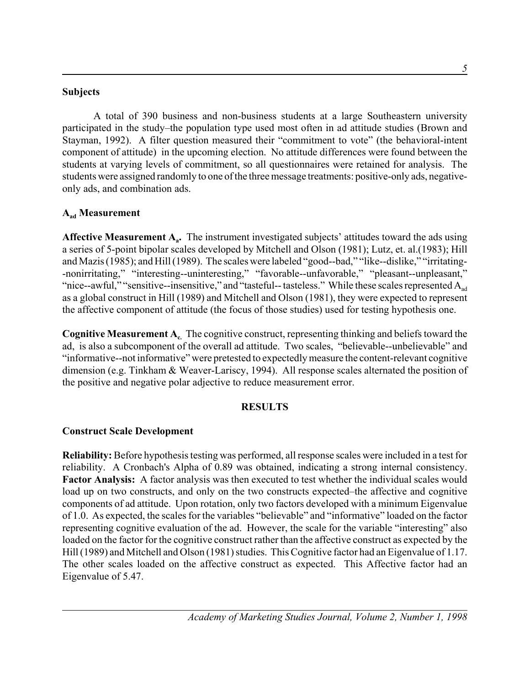### **Subjects**

A total of 390 business and non-business students at a large Southeastern university participated in the study–the population type used most often in ad attitude studies (Brown and Stayman, 1992). A filter question measured their "commitment to vote" (the behavioral-intent component of attitude) in the upcoming election. No attitude differences were found between the students at varying levels of commitment, so all questionnaires were retained for analysis. The students were assigned randomly to one of the three message treatments: positive-only ads, negativeonly ads, and combination ads.

## **Aad Measurement**

**Affective Measurement**  $A_a$ **.** The instrument investigated subjects' attitudes toward the ads using a series of 5-point bipolar scales developed by Mitchell and Olson (1981); Lutz, et. al.(1983); Hill and Mazis (1985); and Hill (1989). The scales were labeled "good--bad," "like--dislike," "irritating- -nonirritating," "interesting--uninteresting," "favorable--unfavorable," "pleasant--unpleasant," "nice--awful," "sensitive--insensitive," and "tasteful-- tasteless." While these scales represented  $A_{ad}$ as a global construct in Hill (1989) and Mitchell and Olson (1981), they were expected to represent the affective component of attitude (the focus of those studies) used for testing hypothesis one.

**Cognitive Measurement A.** The cognitive construct, representing thinking and beliefs toward the ad, is also a subcomponent of the overall ad attitude. Two scales, "believable--unbelievable" and "informative--not informative" were pretested to expectedly measure the content-relevant cognitive dimension (e.g. Tinkham & Weaver-Lariscy, 1994). All response scales alternated the position of the positive and negative polar adjective to reduce measurement error.

### **RESULTS**

### **Construct Scale Development**

**Reliability:** Before hypothesis testing was performed, all response scales were included in a test for reliability. A Cronbach's Alpha of 0.89 was obtained, indicating a strong internal consistency. **Factor Analysis:** A factor analysis was then executed to test whether the individual scales would load up on two constructs, and only on the two constructs expected–the affective and cognitive components of ad attitude. Upon rotation, only two factors developed with a minimum Eigenvalue of 1.0. As expected, the scales for the variables "believable" and "informative" loaded on the factor representing cognitive evaluation of the ad. However, the scale for the variable "interesting" also loaded on the factor for the cognitive construct rather than the affective construct as expected by the Hill (1989) and Mitchell and Olson (1981) studies. This Cognitive factor had an Eigenvalue of 1.17. The other scales loaded on the affective construct as expected. This Affective factor had an Eigenvalue of 5.47.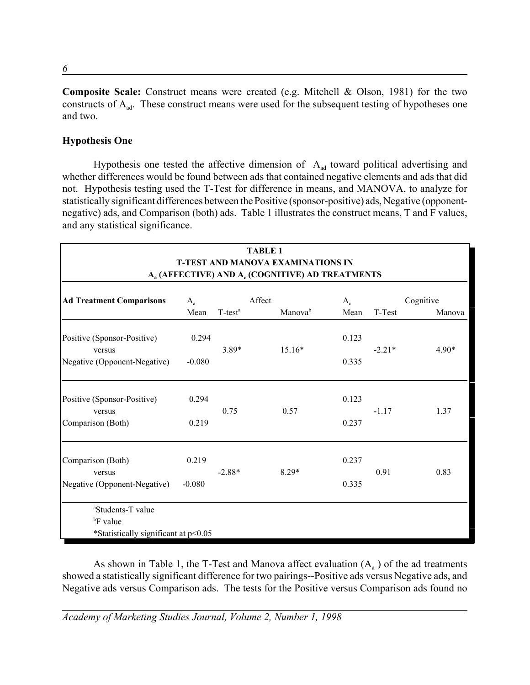**Composite Scale:** Construct means were created (e.g. Mitchell & Olson, 1981) for the two constructs of  $A_{ad}$ . These construct means were used for the subsequent testing of hypotheses one and two.

## **Hypothesis One**

Hypothesis one tested the affective dimension of  $A_{ad}$  toward political advertising and whether differences would be found between ads that contained negative elements and ads that did not. Hypothesis testing used the T-Test for difference in means, and MANOVA, to analyze for statistically significant differences between the Positive (sponsor-positive) ads, Negative (opponentnegative) ads, and Comparison (both) ads. Table 1 illustrates the construct means, T and F values, and any statistical significance.

| <b>TABLE 1</b><br><b>T-TEST AND MANOVA EXAMINATIONS IN</b><br>A <sub>a</sub> (AFFECTIVE) AND A <sub>c</sub> (COGNITIVE) AD TREATMENTS |                   |                        |        |          |                |          |                     |
|---------------------------------------------------------------------------------------------------------------------------------------|-------------------|------------------------|--------|----------|----------------|----------|---------------------|
| <b>Ad Treatment Comparisons</b>                                                                                                       | $A_{a}$<br>Mean   | $T$ -test <sup>a</sup> | Affect | Manovab  | $A_c$<br>Mean  | T-Test   | Cognitive<br>Manova |
| Positive (Sponsor-Positive)<br>versus<br>Negative (Opponent-Negative)                                                                 | 0.294<br>$-0.080$ | $3.89*$                |        | $15.16*$ | 0.123<br>0.335 | $-2.21*$ | $4.90*$             |
| Positive (Sponsor-Positive)<br>versus<br>Comparison (Both)                                                                            | 0.294<br>0.219    | 0.75                   |        | 0.57     | 0.123<br>0.237 | $-1.17$  | 1.37                |
| Comparison (Both)<br>versus<br>Negative (Opponent-Negative)                                                                           | 0.219<br>$-0.080$ | $-2.88*$               |        | $8.29*$  | 0.237<br>0.335 | 0.91     | 0.83                |
| <sup>a</sup> Students-T value<br><sup>b</sup> F value<br>*Statistically significant at p<0.05                                         |                   |                        |        |          |                |          |                     |

As shown in Table 1, the T-Test and Manova affect evaluation  $(A_a)$  of the ad treatments showed a statistically significant difference for two pairings--Positive ads versus Negative ads, and Negative ads versus Comparison ads. The tests for the Positive versus Comparison ads found no

*Academy of Marketing Studies Journal, Volume 2, Number 1, 1998*

*6*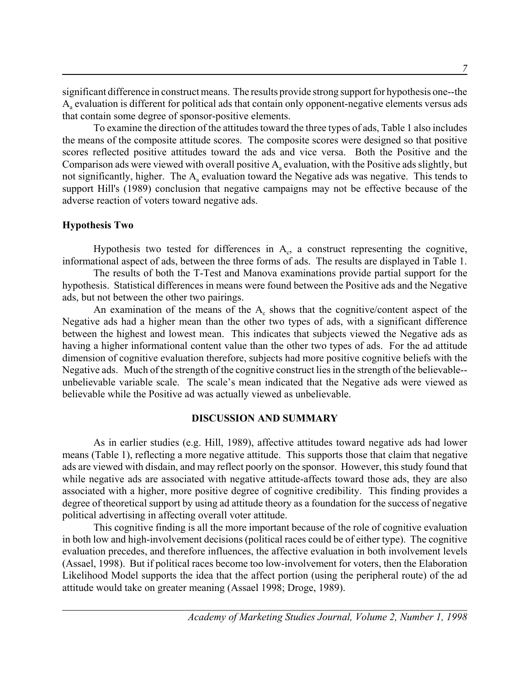significant difference in construct means. The results provide strong support for hypothesis one--the Aa evaluation is different for political ads that contain only opponent-negative elements versus ads that contain some degree of sponsor-positive elements.

To examine the direction of the attitudes toward the three types of ads, Table 1 also includes the means of the composite attitude scores. The composite scores were designed so that positive scores reflected positive attitudes toward the ads and vice versa. Both the Positive and the Comparison ads were viewed with overall positive  $A<sub>a</sub>$  evaluation, with the Positive ads slightly, but not significantly, higher. The  $A<sub>a</sub>$  evaluation toward the Negative ads was negative. This tends to support Hill's (1989) conclusion that negative campaigns may not be effective because of the adverse reaction of voters toward negative ads.

### **Hypothesis Two**

Hypothesis two tested for differences in  $A_c$ , a construct representing the cognitive, informational aspect of ads, between the three forms of ads. The results are displayed in Table 1.

The results of both the T-Test and Manova examinations provide partial support for the hypothesis. Statistical differences in means were found between the Positive ads and the Negative ads, but not between the other two pairings.

An examination of the means of the  $A<sub>c</sub>$  shows that the cognitive/content aspect of the Negative ads had a higher mean than the other two types of ads, with a significant difference between the highest and lowest mean. This indicates that subjects viewed the Negative ads as having a higher informational content value than the other two types of ads. For the ad attitude dimension of cognitive evaluation therefore, subjects had more positive cognitive beliefs with the Negative ads. Much of the strength of the cognitive construct lies in the strength of the believable- unbelievable variable scale. The scale's mean indicated that the Negative ads were viewed as believable while the Positive ad was actually viewed as unbelievable.

### **DISCUSSION AND SUMMARY**

As in earlier studies (e.g. Hill, 1989), affective attitudes toward negative ads had lower means (Table 1), reflecting a more negative attitude. This supports those that claim that negative ads are viewed with disdain, and may reflect poorly on the sponsor. However, this study found that while negative ads are associated with negative attitude-affects toward those ads, they are also associated with a higher, more positive degree of cognitive credibility. This finding provides a degree of theoretical support by using ad attitude theory as a foundation for the success of negative political advertising in affecting overall voter attitude.

This cognitive finding is all the more important because of the role of cognitive evaluation in both low and high-involvement decisions (political races could be of either type). The cognitive evaluation precedes, and therefore influences, the affective evaluation in both involvement levels (Assael, 1998). But if political races become too low-involvement for voters, then the Elaboration Likelihood Model supports the idea that the affect portion (using the peripheral route) of the ad attitude would take on greater meaning (Assael 1998; Droge, 1989).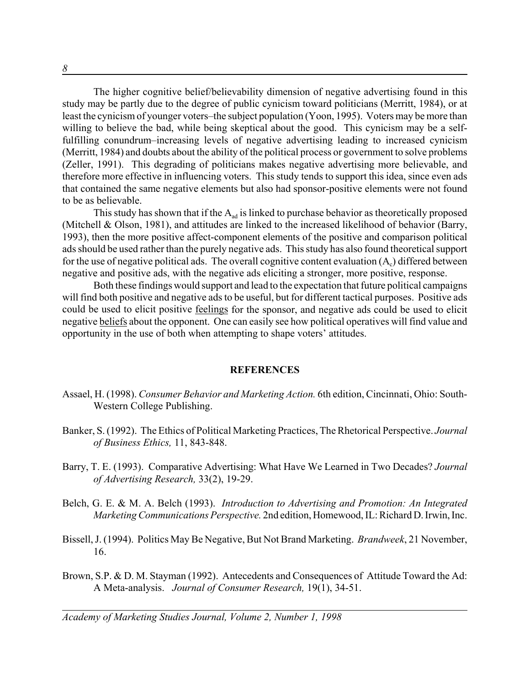The higher cognitive belief/believability dimension of negative advertising found in this study may be partly due to the degree of public cynicism toward politicians (Merritt, 1984), or at least the cynicism of younger voters–the subject population (Yoon, 1995). Voters may be more than willing to believe the bad, while being skeptical about the good. This cynicism may be a selffulfilling conundrum–increasing levels of negative advertising leading to increased cynicism (Merritt, 1984) and doubts about the ability of the political process or government to solve problems (Zeller, 1991). This degrading of politicians makes negative advertising more believable, and therefore more effective in influencing voters. This study tends to support this idea, since even ads that contained the same negative elements but also had sponsor-positive elements were not found to be as believable.

This study has shown that if the  $A_{ad}$  is linked to purchase behavior as theoretically proposed (Mitchell & Olson, 1981), and attitudes are linked to the increased likelihood of behavior (Barry, 1993), then the more positive affect-component elements of the positive and comparison political ads should be used rather than the purely negative ads. This study has also found theoretical support for the use of negative political ads. The overall cognitive content evaluation  $(A<sub>c</sub>)$  differed between negative and positive ads, with the negative ads eliciting a stronger, more positive, response.

Both these findings would support and lead to the expectation that future political campaigns will find both positive and negative ads to be useful, but for different tactical purposes. Positive ads could be used to elicit positive feelings for the sponsor, and negative ads could be used to elicit negative beliefs about the opponent. One can easily see how political operatives will find value and opportunity in the use of both when attempting to shape voters' attitudes.

### **REFERENCES**

- Assael, H. (1998). *Consumer Behavior and Marketing Action.* 6th edition, Cincinnati, Ohio: South-Western College Publishing.
- Banker, S. (1992). The Ethics of Political Marketing Practices, The Rhetorical Perspective. *Journal of Business Ethics,* 11, 843-848.
- Barry, T. E. (1993). Comparative Advertising: What Have We Learned in Two Decades? *Journal of Advertising Research,* 33(2), 19-29.
- Belch, G. E. & M. A. Belch (1993). *Introduction to Advertising and Promotion: An Integrated Marketing Communications Perspective.* 2nd edition, Homewood, IL: Richard D. Irwin, Inc.
- Bissell, J. (1994). Politics May Be Negative, But Not Brand Marketing. *Brandweek*, 21 November, 16.
- Brown, S.P. & D. M. Stayman (1992). Antecedents and Consequences of Attitude Toward the Ad: A Meta-analysis. *Journal of Consumer Research,* 19(1), 34-51.

*Academy of Marketing Studies Journal, Volume 2, Number 1, 1998*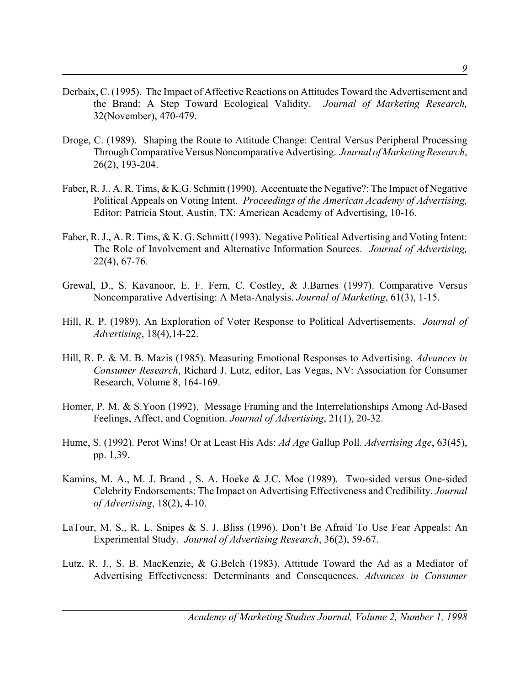- Derbaix, C. (1995). The Impact of Affective Reactions on Attitudes Toward the Advertisement and the Brand: A Step Toward Ecological Validity. *Journal of Marketing Research,* 32(November), 470-479.
- Droge, C. (1989). Shaping the Route to Attitude Change: Central Versus Peripheral Processing Through Comparative Versus Noncomparative Advertising. *Journal of Marketing Research*, 26(2), 193-204.
- Faber, R. J., A. R. Tims, & K.G. Schmitt (1990). Accentuate the Negative?: The Impact of Negative Political Appeals on Voting Intent. *Proceedings of the American Academy of Advertising,* Editor: Patricia Stout, Austin, TX: American Academy of Advertising, 10-16.
- Faber, R. J., A. R. Tims, & K. G. Schmitt (1993). Negative Political Advertising and Voting Intent: The Role of Involvement and Alternative Information Sources. *Journal of Advertising,* 22(4), 67-76.
- Grewal, D., S. Kavanoor, E. F. Fern, C. Costley, & J.Barnes (1997). Comparative Versus Noncomparative Advertising: A Meta-Analysis. *Journal of Marketing*, 61(3), 1-15.
- .Hill, R. P. (1989). An Exploration of Voter Response to Political Advertisements. *Journal of Advertising*, 18(4),14-22.
- Hill, R. P. & M. B. Mazis (1985). Measuring Emotional Responses to Advertising. *Advances in Consumer Research*, Richard J. Lutz, editor, Las Vegas, NV: Association for Consumer Research, Volume 8, 164-169.
- Homer, P. M. & S.Yoon (1992). Message Framing and the Interrelationships Among Ad-Based Feelings, Affect, and Cognition. *Journal of Advertising*, 21(1), 20-32.
- Hume, S. (1992). Perot Wins! Or at Least His Ads: *Ad Age* Gallup Poll. *Advertising Age*, 63(45), pp. 1,39.
- Kamins, M. A., M. J. Brand , S. A. Hoeke & J.C. Moe (1989). Two-sided versus One-sided Celebrity Endorsements: The Impact on Advertising Effectiveness and Credibility. *Journal of Advertising*, 18(2), 4-10.
- LaTour, M. S., R. L. Snipes & S. J. Bliss (1996). Don't Be Afraid To Use Fear Appeals: An Experimental Study. *Journal of Advertising Research*, 36(2), 59-67.
- Lutz, R. J., S. B. MacKenzie, & G.Belch (1983). Attitude Toward the Ad as a Mediator of Advertising Effectiveness: Determinants and Consequences. *Advances in Consumer*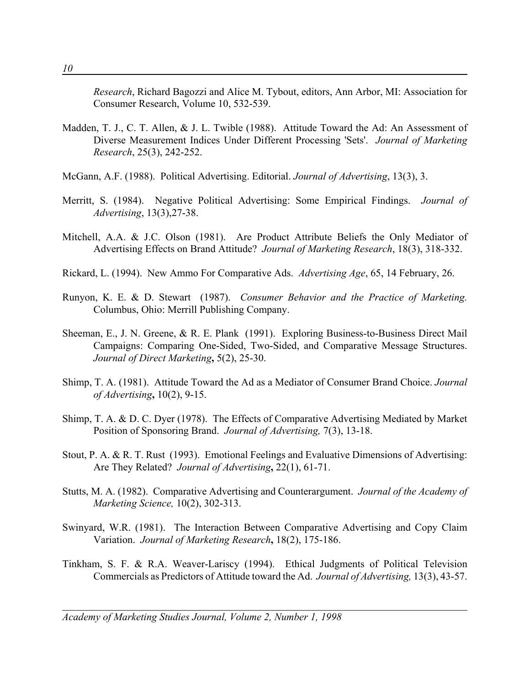*Research*, Richard Bagozzi and Alice M. Tybout, editors, Ann Arbor, MI: Association for Consumer Research, Volume 10, 532-539.

- Madden, T. J., C. T. Allen, & J. L. Twible (1988). Attitude Toward the Ad: An Assessment of Diverse Measurement Indices Under Different Processing 'Sets'. *Journal of Marketing Research*, 25(3), 242-252.
- McGann, A.F. (1988). Political Advertising. Editorial. *Journal of Advertising*, 13(3), 3.
- Merritt, S. (1984). Negative Political Advertising: Some Empirical Findings. *Journal of Advertising*, 13(3),27-38.
- Mitchell, A.A. & J.C. Olson (1981). Are Product Attribute Beliefs the Only Mediator of Advertising Effects on Brand Attitude? *Journal of Marketing Research*, 18(3), 318-332.
- Rickard, L. (1994). New Ammo For Comparative Ads. *Advertising Age*, 65, 14 February, 26.
- Runyon, K. E. & D. Stewart (1987). *Consumer Behavior and the Practice of Marketing.* Columbus, Ohio: Merrill Publishing Company.
- Sheeman, E., J. N. Greene, & R. E. Plank (1991). Exploring Business-to-Business Direct Mail Campaigns: Comparing One-Sided, Two-Sided, and Comparative Message Structures. *Journal of Direct Marketing***,** 5(2), 25-30.
- Shimp, T. A. (1981). Attitude Toward the Ad as a Mediator of Consumer Brand Choice. *Journal of Advertising***,** 10(2), 9-15.
- Shimp, T. A. & D. C. Dyer (1978). The Effects of Comparative Advertising Mediated by Market Position of Sponsoring Brand. *Journal of Advertising,* 7(3), 13-18.
- Stout, P. A. & R. T. Rust (1993). Emotional Feelings and Evaluative Dimensions of Advertising: Are They Related? *Journal of Advertising***,** 22(1), 61-71.
- Stutts, M. A. (1982). Comparative Advertising and Counterargument. *Journal of the Academy of Marketing Science,* 10(2), 302-313.
- Swinyard, W.R. (1981). The Interaction Between Comparative Advertising and Copy Claim Variation. *Journal of Marketing Research***,** 18(2), 175-186.
- Tinkham, S. F. & R.A. Weaver-Lariscy (1994). Ethical Judgments of Political Television Commercials as Predictors of Attitude toward the Ad.*Journal of Advertising,* 13(3), 43-57.

*Academy of Marketing Studies Journal, Volume 2, Number 1, 1998*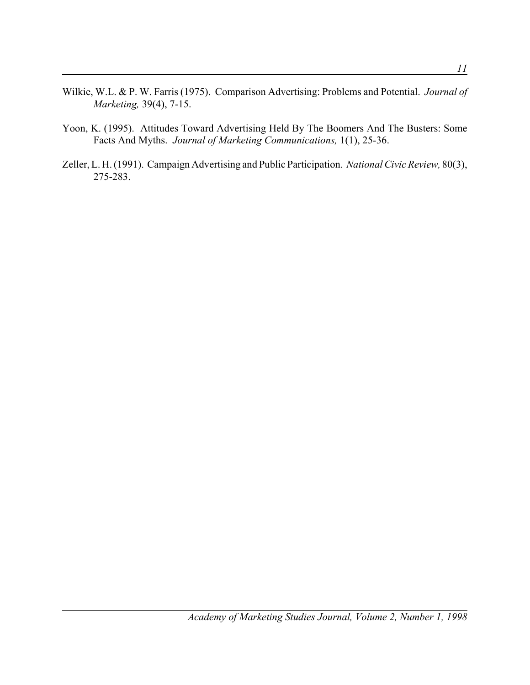- Wilkie, W.L. & P. W. Farris (1975). Comparison Advertising: Problems and Potential.*Journal of Marketing,* 39(4), 7-15.
- Yoon, K. (1995). Attitudes Toward Advertising Held By The Boomers And The Busters: Some Facts And Myths. *Journal of Marketing Communications,* 1(1), 25-36.
- Zeller, L. H. (1991). Campaign Advertising and Public Participation. *National Civic Review,* 80(3), 275-283.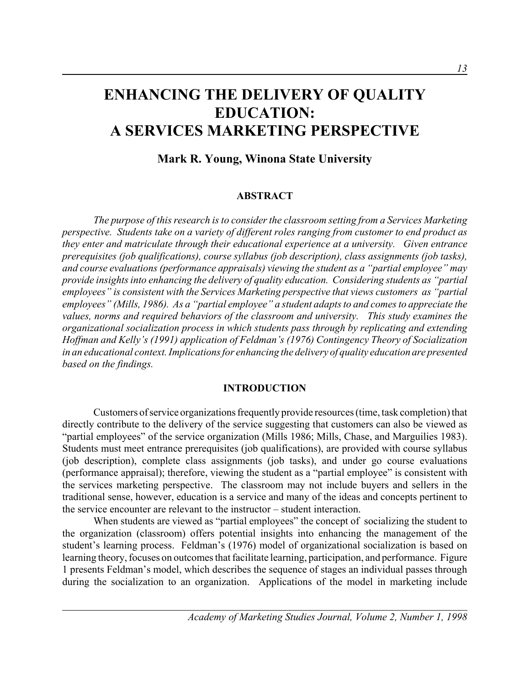# **ENHANCING THE DELIVERY OF QUALITY EDUCATION: A SERVICES MARKETING PERSPECTIVE**

## **Mark R. Young, Winona State University**

### **ABSTRACT**

*The purpose of this research is to consider the classroom setting from a Services Marketing perspective. Students take on a variety of different roles ranging from customer to end product as they enter and matriculate through their educational experience at a university. Given entrance prerequisites (job qualifications), course syllabus (job description), class assignments (job tasks), and course evaluations (performance appraisals) viewing the student as a "partial employee" may provide insights into enhancing the delivery of quality education. Considering students as "partial employees" is consistent with the Services Marketing perspective that views customers as "partial employees" (Mills, 1986). As a "partial employee" a student adapts to and comes to appreciate the values, norms and required behaviors of the classroom and university. This study examines the organizational socialization process in which students pass through by replicating and extending Hoffman and Kelly's (1991) application of Feldman's (1976) Contingency Theory of Socialization in an educational context. Implications for enhancing the delivery of quality education are presented based on the findings.* 

### **INTRODUCTION**

Customers of service organizations frequently provide resources (time, task completion) that directly contribute to the delivery of the service suggesting that customers can also be viewed as "partial employees" of the service organization (Mills 1986; Mills, Chase, and Marguilies 1983). Students must meet entrance prerequisites (job qualifications), are provided with course syllabus (job description), complete class assignments (job tasks), and under go course evaluations (performance appraisal); therefore, viewing the student as a "partial employee" is consistent with the services marketing perspective. The classroom may not include buyers and sellers in the traditional sense, however, education is a service and many of the ideas and concepts pertinent to the service encounter are relevant to the instructor – student interaction.

When students are viewed as "partial employees" the concept of socializing the student to the organization (classroom) offers potential insights into enhancing the management of the student's learning process. Feldman's (1976) model of organizational socialization is based on learning theory, focuses on outcomes that facilitate learning, participation, and performance. Figure 1 presents Feldman's model, which describes the sequence of stages an individual passes through during the socialization to an organization. Applications of the model in marketing include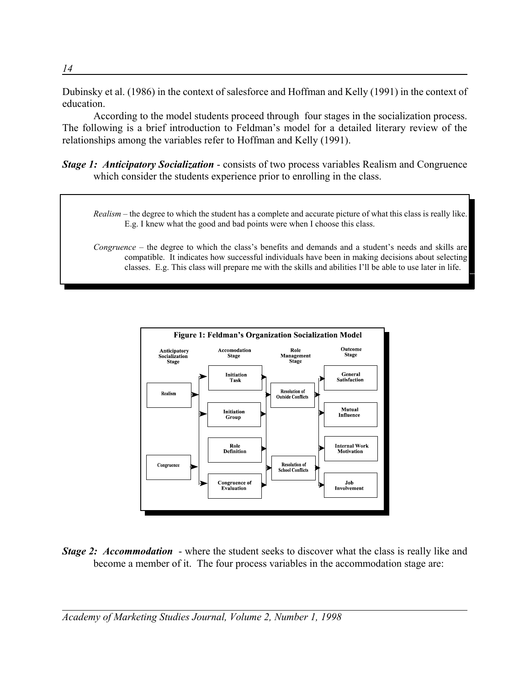Dubinsky et al. (1986) in the context of salesforce and Hoffman and Kelly (1991) in the context of education.

According to the model students proceed through four stages in the socialization process. The following is a brief introduction to Feldman's model for a detailed literary review of the relationships among the variables refer to Hoffman and Kelly (1991).

- *Stage 1: Anticipatory Socialization* consists of two process variables Realism and Congruence which consider the students experience prior to enrolling in the class.
	- *Realism*  the degree to which the student has a complete and accurate picture of what this class is really like. E.g. I knew what the good and bad points were when I choose this class.
	- *Congruence* the degree to which the class's benefits and demands and a student's needs and skills are compatible. It indicates how successful individuals have been in making decisions about selecting classes. E.g. This class will prepare me with the skills and abilities I'll be able to use later in life.



*Stage 2: Accommodation* - where the student seeks to discover what the class is really like and become a member of it. The four process variables in the accommodation stage are: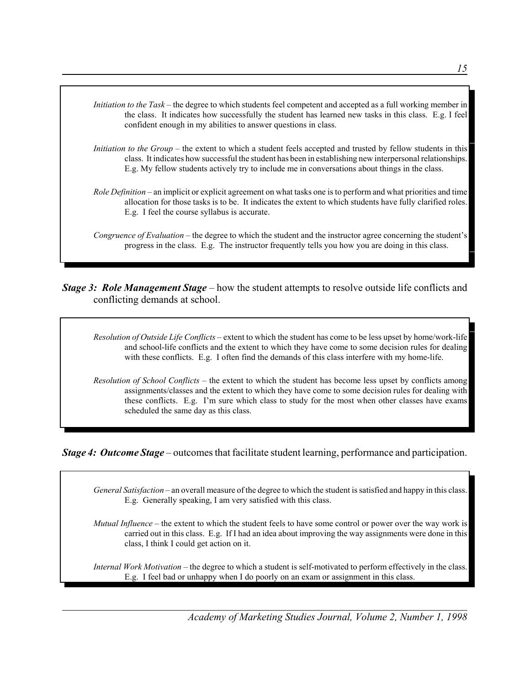

*Stage 3: Role Management Stage* – how the student attempts to resolve outside life conflicts and conflicting demands at school.

*Resolution of Outside Life Conflicts* – extent to which the student has come to be less upset by home/work-life and school-life conflicts and the extent to which they have come to some decision rules for dealing with these conflicts. E.g. I often find the demands of this class interfere with my home-life.

*Resolution of School Conflicts* – the extent to which the student has become less upset by conflicts among assignments/classes and the extent to which they have come to some decision rules for dealing with these conflicts. E.g. I'm sure which class to study for the most when other classes have exams scheduled the same day as this class.

*Stage 4: Outcome Stage* – outcomes that facilitate student learning, performance and participation.

*General Satisfaction* – an overall measure of the degree to which the student is satisfied and happy in this class. E.g. Generally speaking, I am very satisfied with this class.

*Mutual Influence* – the extent to which the student feels to have some control or power over the way work is carried out in this class. E.g. If I had an idea about improving the way assignments were done in this class, I think I could get action on it.

*Internal Work Motivation* – the degree to which a student is self-motivated to perform effectively in the class. E.g. I feel bad or unhappy when I do poorly on an exam or assignment in this class.

*Academy of Marketing Studies Journal, Volume 2, Number 1, 1998*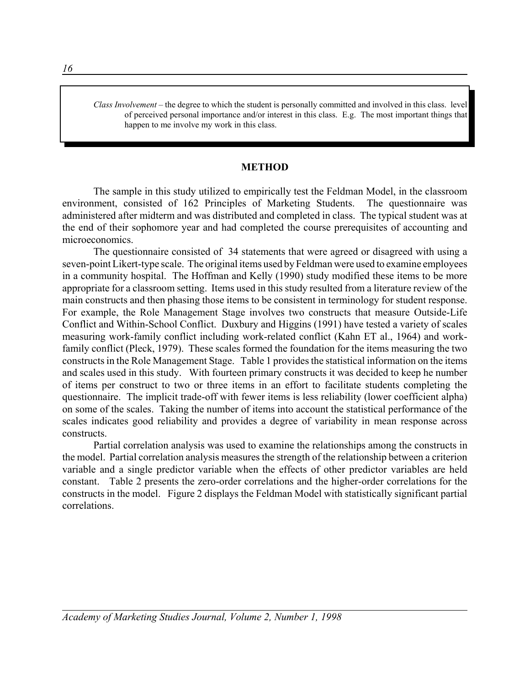*Class Involvement* – the degree to which the student is personally committed and involved in this class. level of perceived personal importance and/or interest in this class. E.g. The most important things that happen to me involve my work in this class.

### **METHOD**

The sample in this study utilized to empirically test the Feldman Model, in the classroom environment, consisted of 162 Principles of Marketing Students. The questionnaire was administered after midterm and was distributed and completed in class. The typical student was at the end of their sophomore year and had completed the course prerequisites of accounting and microeconomics.

The questionnaire consisted of 34 statements that were agreed or disagreed with using a seven-point Likert-type scale. The original items used by Feldman were used to examine employees in a community hospital. The Hoffman and Kelly (1990) study modified these items to be more appropriate for a classroom setting. Items used in this study resulted from a literature review of the main constructs and then phasing those items to be consistent in terminology for student response. For example, the Role Management Stage involves two constructs that measure Outside-Life Conflict and Within-School Conflict. Duxbury and Higgins (1991) have tested a variety of scales measuring work-family conflict including work-related conflict (Kahn ET al., 1964) and workfamily conflict (Pleck, 1979). These scales formed the foundation for the items measuring the two constructs in the Role Management Stage. Table 1 provides the statistical information on the items and scales used in this study. With fourteen primary constructs it was decided to keep he number of items per construct to two or three items in an effort to facilitate students completing the questionnaire. The implicit trade-off with fewer items is less reliability (lower coefficient alpha) on some of the scales. Taking the number of items into account the statistical performance of the scales indicates good reliability and provides a degree of variability in mean response across constructs.

Partial correlation analysis was used to examine the relationships among the constructs in the model. Partial correlation analysis measures the strength of the relationship between a criterion variable and a single predictor variable when the effects of other predictor variables are held constant. Table 2 presents the zero-order correlations and the higher-order correlations for the constructs in the model. Figure 2 displays the Feldman Model with statistically significant partial correlations.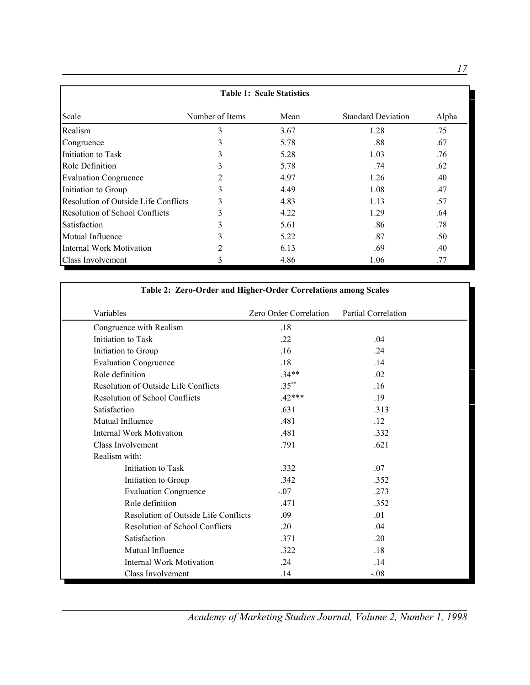| <b>Table 1: Scale Statistics</b>      |                 |      |                           |       |  |
|---------------------------------------|-----------------|------|---------------------------|-------|--|
| Scale                                 | Number of Items | Mean | <b>Standard Deviation</b> | Alpha |  |
| Realism                               | 3               | 3.67 | 1.28                      | .75   |  |
| Congruence                            | 3               | 5.78 | .88                       | .67   |  |
| Initiation to Task                    | 3               | 5.28 | 1.03                      | .76   |  |
| Role Definition                       | 3               | 5.78 | .74                       | .62   |  |
| <b>Evaluation Congruence</b>          |                 | 4.97 | 1.26                      | .40   |  |
| Initiation to Group                   | 3               | 4.49 | 1.08                      | .47   |  |
| Resolution of Outside Life Conflicts  | 3               | 4.83 | 1.13                      | .57   |  |
| <b>Resolution of School Conflicts</b> | 3               | 4.22 | 1.29                      | .64   |  |
| Satisfaction                          | 3               | 5.61 | .86                       | .78   |  |
| Mutual Influence                      | 3               | 5.22 | .87                       | .50   |  |
| <b>Internal Work Motivation</b>       | 2               | 6.13 | .69                       | .40   |  |
| Class Involvement                     | 3               | 4.86 | 1.06                      | .77   |  |

| Table 2: Zero-Order and Higher-Order Correlations among Scales |                        |                            |
|----------------------------------------------------------------|------------------------|----------------------------|
| Variables                                                      | Zero Order Correlation | <b>Partial Correlation</b> |
| Congruence with Realism                                        | .18                    |                            |
| Initiation to Task                                             | .22                    | .04                        |
| Initiation to Group                                            | .16                    | .24                        |
| <b>Evaluation Congruence</b>                                   | .18                    | .14                        |
| Role definition                                                | $.34**$                | .02                        |
| Resolution of Outside Life Conflicts                           | $.35***$               | .16                        |
| <b>Resolution of School Conflicts</b>                          | $.42***$               | .19                        |
| Satisfaction                                                   | .631                   | .313                       |
| Mutual Influence                                               | .481                   | .12                        |
| <b>Internal Work Motivation</b>                                | .481                   | .332                       |
| Class Involvement                                              | .791                   | .621                       |
| Realism with:                                                  |                        |                            |
| Initiation to Task                                             | .332                   | .07                        |
| Initiation to Group                                            | .342                   | .352                       |
| <b>Evaluation Congruence</b>                                   | $-.07$                 | .273                       |
| Role definition                                                | .471                   | .352                       |
| Resolution of Outside Life Conflicts                           | .09                    | .01                        |
| <b>Resolution of School Conflicts</b>                          | .20                    | .04                        |
| Satisfaction                                                   | .371                   | .20                        |
| Mutual Influence                                               | .322                   | .18                        |
| <b>Internal Work Motivation</b>                                | .24                    | .14                        |
| Class Involvement                                              | .14                    | $-.08$                     |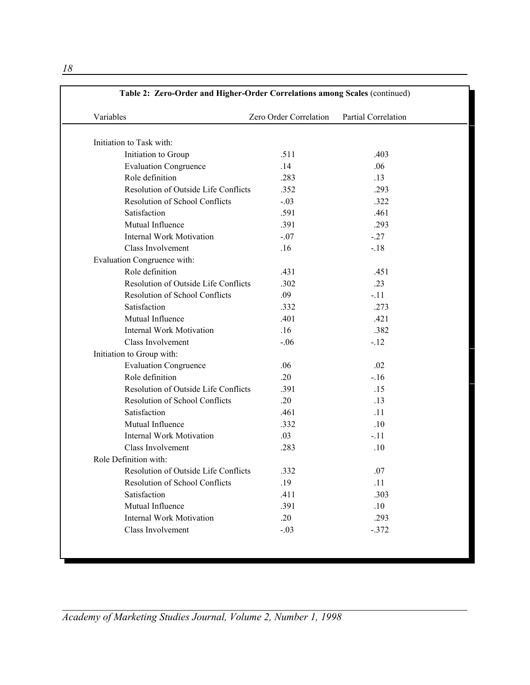| Variables                             | Zero Order Correlation | <b>Partial Correlation</b> |
|---------------------------------------|------------------------|----------------------------|
| Initiation to Task with:              |                        |                            |
| Initiation to Group                   | .511                   | .403                       |
| <b>Evaluation Congruence</b>          | .14                    | .06                        |
| Role definition                       | .283                   | .13                        |
| Resolution of Outside Life Conflicts  | .352                   | .293                       |
| <b>Resolution of School Conflicts</b> | $-.03$                 | .322                       |
| Satisfaction                          | .591                   | .461                       |
| Mutual Influence                      | .391                   | .293                       |
| <b>Internal Work Motivation</b>       | $-.07$                 | $-27$                      |
| Class Involvement                     | .16                    | $-.18$                     |
| Evaluation Congruence with:           |                        |                            |
| Role definition                       | .431                   | .451                       |
| Resolution of Outside Life Conflicts  | .302                   | .23                        |
| Resolution of School Conflicts        | .09                    | $-.11$                     |
| Satisfaction                          | .332                   | .273                       |
| Mutual Influence                      | .401                   | .421                       |
| <b>Internal Work Motivation</b>       | .16                    | .382                       |
| Class Involvement                     | $-.06$                 | $-12$                      |
| Initiation to Group with:             |                        |                            |
| <b>Evaluation Congruence</b>          | .06                    | .02                        |
| Role definition                       | .20                    | $-16$                      |
| Resolution of Outside Life Conflicts  | .391                   | .15                        |
| <b>Resolution of School Conflicts</b> | .20                    | .13                        |
| Satisfaction                          | .461                   | .11                        |
| Mutual Influence                      | .332                   | .10                        |
| <b>Internal Work Motivation</b>       | .03                    | $-.11$                     |
| Class Involvement                     | .283                   | .10                        |
| Role Definition with:                 |                        |                            |
| Resolution of Outside Life Conflicts  | .332                   | .07                        |
| <b>Resolution of School Conflicts</b> | .19                    | .11                        |
| Satisfaction                          | .411                   | .303                       |
| Mutual Influence                      | .391                   | .10                        |
| <b>Internal Work Motivation</b>       | .20                    | .293                       |
| Class Involvement                     | $-.03$                 | $-.372$                    |

*Academy of Marketing Studies Journal, Volume 2, Number 1, 1998*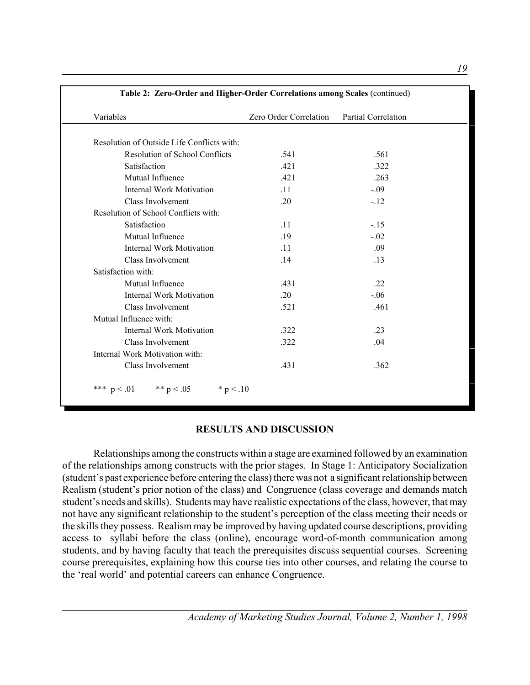| Variables                                  | Zero Order Correlation Partial Correlation |        |
|--------------------------------------------|--------------------------------------------|--------|
| Resolution of Outside Life Conflicts with: |                                            |        |
| <b>Resolution of School Conflicts</b>      | .541                                       | .561   |
| Satisfaction                               | .421                                       | .322   |
| Mutual Influence                           | .421                                       | .263   |
| <b>Internal Work Motivation</b>            | .11                                        | $-.09$ |
| Class Involvement                          | .20                                        | $-.12$ |
| Resolution of School Conflicts with:       |                                            |        |
| Satisfaction                               | .11                                        | $-.15$ |
| Mutual Influence                           | .19                                        | $-.02$ |
| <b>Internal Work Motivation</b>            | .11                                        | .09    |
| Class Involvement                          | .14                                        | .13    |
| Satisfaction with:                         |                                            |        |
| Mutual Influence                           | .431                                       | .22    |
| <b>Internal Work Motivation</b>            | .20                                        | $-.06$ |
| Class Involvement                          | .521                                       | .461   |
| Mutual Influence with:                     |                                            |        |
| <b>Internal Work Motivation</b>            | .322                                       | .23    |
| Class Involvement                          | .322                                       | .04    |
| Internal Work Motivation with:             |                                            |        |
| Class Involvement                          | .431                                       | .362   |

### **RESULTS AND DISCUSSION**

Relationships among the constructs within a stage are examined followed by an examination of the relationships among constructs with the prior stages. In Stage 1: Anticipatory Socialization (student's past experience before entering the class) there was not a significant relationship between Realism (student's prior notion of the class) and Congruence (class coverage and demands match student's needs and skills). Students may have realistic expectations of the class, however, that may not have any significant relationship to the student's perception of the class meeting their needs or the skills they possess. Realism may be improved by having updated course descriptions, providing access to syllabi before the class (online), encourage word-of-month communication among students, and by having faculty that teach the prerequisites discuss sequential courses. Screening course prerequisites, explaining how this course ties into other courses, and relating the course to the 'real world' and potential careers can enhance Congruence.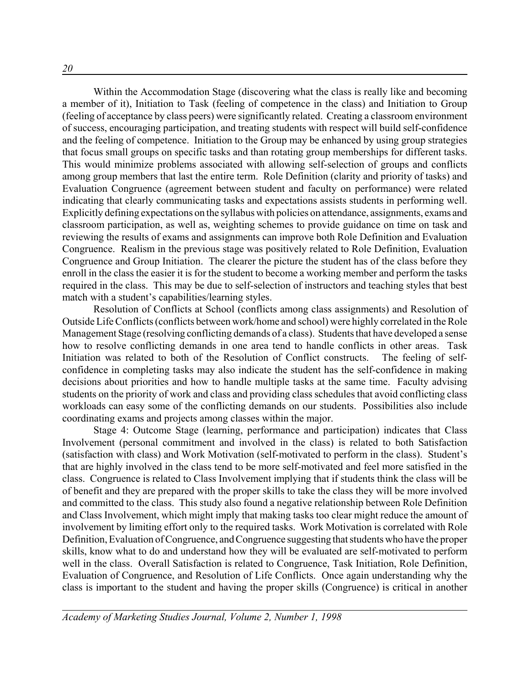Within the Accommodation Stage (discovering what the class is really like and becoming a member of it), Initiation to Task (feeling of competence in the class) and Initiation to Group (feeling of acceptance by class peers) were significantly related. Creating a classroom environment of success, encouraging participation, and treating students with respect will build self-confidence and the feeling of competence. Initiation to the Group may be enhanced by using group strategies that focus small groups on specific tasks and than rotating group memberships for different tasks. This would minimize problems associated with allowing self-selection of groups and conflicts among group members that last the entire term. Role Definition (clarity and priority of tasks) and Evaluation Congruence (agreement between student and faculty on performance) were related indicating that clearly communicating tasks and expectations assists students in performing well. Explicitly defining expectations on the syllabus with policies on attendance, assignments, exams and classroom participation, as well as, weighting schemes to provide guidance on time on task and reviewing the results of exams and assignments can improve both Role Definition and Evaluation Congruence. Realism in the previous stage was positively related to Role Definition, Evaluation Congruence and Group Initiation. The clearer the picture the student has of the class before they enroll in the class the easier it is for the student to become a working member and perform the tasks required in the class. This may be due to self-selection of instructors and teaching styles that best match with a student's capabilities/learning styles.

Resolution of Conflicts at School (conflicts among class assignments) and Resolution of Outside Life Conflicts (conflicts between work/home and school) were highly correlated in the Role Management Stage (resolving conflicting demands of a class). Students that have developed a sense how to resolve conflicting demands in one area tend to handle conflicts in other areas. Task Initiation was related to both of the Resolution of Conflict constructs. The feeling of selfconfidence in completing tasks may also indicate the student has the self-confidence in making decisions about priorities and how to handle multiple tasks at the same time. Faculty advising students on the priority of work and class and providing class schedules that avoid conflicting class workloads can easy some of the conflicting demands on our students. Possibilities also include coordinating exams and projects among classes within the major.

Stage 4: Outcome Stage (learning, performance and participation) indicates that Class Involvement (personal commitment and involved in the class) is related to both Satisfaction (satisfaction with class) and Work Motivation (self-motivated to perform in the class). Student's that are highly involved in the class tend to be more self-motivated and feel more satisfied in the class. Congruence is related to Class Involvement implying that if students think the class will be of benefit and they are prepared with the proper skills to take the class they will be more involved and committed to the class. This study also found a negative relationship between Role Definition and Class Involvement, which might imply that making tasks too clear might reduce the amount of involvement by limiting effort only to the required tasks. Work Motivation is correlated with Role Definition, Evaluation of Congruence, and Congruence suggesting that students who have the proper skills, know what to do and understand how they will be evaluated are self-motivated to perform well in the class. Overall Satisfaction is related to Congruence, Task Initiation, Role Definition, Evaluation of Congruence, and Resolution of Life Conflicts. Once again understanding why the class is important to the student and having the proper skills (Congruence) is critical in another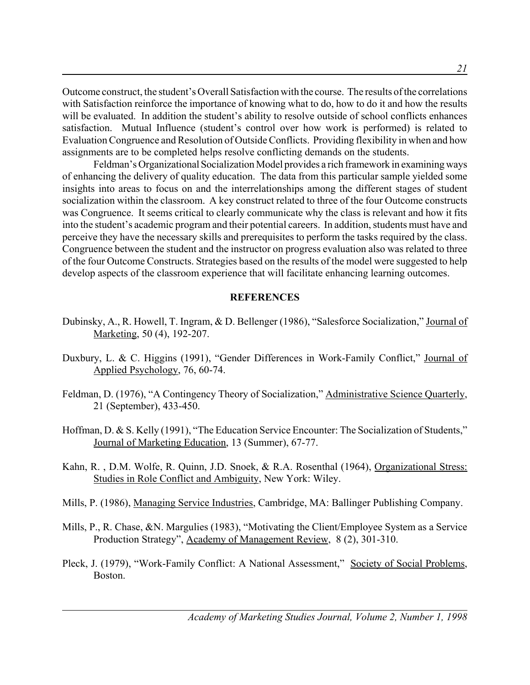Outcome construct, the student's Overall Satisfaction with the course. The results of the correlations with Satisfaction reinforce the importance of knowing what to do, how to do it and how the results will be evaluated. In addition the student's ability to resolve outside of school conflicts enhances satisfaction. Mutual Influence (student's control over how work is performed) is related to Evaluation Congruence and Resolution of Outside Conflicts. Providing flexibility in when and how assignments are to be completed helps resolve conflicting demands on the students.

Feldman's Organizational Socialization Model provides a rich framework in examining ways of enhancing the delivery of quality education. The data from this particular sample yielded some insights into areas to focus on and the interrelationships among the different stages of student socialization within the classroom. A key construct related to three of the four Outcome constructs was Congruence. It seems critical to clearly communicate why the class is relevant and how it fits into the student's academic program and their potential careers. In addition, students must have and perceive they have the necessary skills and prerequisites to perform the tasks required by the class. Congruence between the student and the instructor on progress evaluation also was related to three of the four Outcome Constructs. Strategies based on the results of the model were suggested to help develop aspects of the classroom experience that will facilitate enhancing learning outcomes.

### **REFERENCES**

- Dubinsky, A., R. Howell, T. Ingram, & D. Bellenger (1986), "Salesforce Socialization," Journal of Marketing, 50 (4), 192-207.
- Duxbury, L. & C. Higgins (1991), "Gender Differences in Work-Family Conflict," Journal of Applied Psychology, 76, 60-74.
- Feldman, D. (1976), "A Contingency Theory of Socialization," Administrative Science Quarterly, 21 (September), 433-450.
- Hoffman, D. & S. Kelly (1991), "The Education Service Encounter: The Socialization of Students," Journal of Marketing Education, 13 (Summer), 67-77.
- Kahn, R. , D.M. Wolfe, R. Quinn, J.D. Snoek, & R.A. Rosenthal (1964), Organizational Stress: Studies in Role Conflict and Ambiguity, New York: Wiley.
- Mills, P. (1986), Managing Service Industries, Cambridge, MA: Ballinger Publishing Company.
- Mills, P., R. Chase, &N. Margulies (1983), "Motivating the Client/Employee System as a Service Production Strategy", Academy of Management Review, 8 (2), 301-310.
- Pleck, J. (1979), "Work-Family Conflict: A National Assessment," Society of Social Problems, Boston.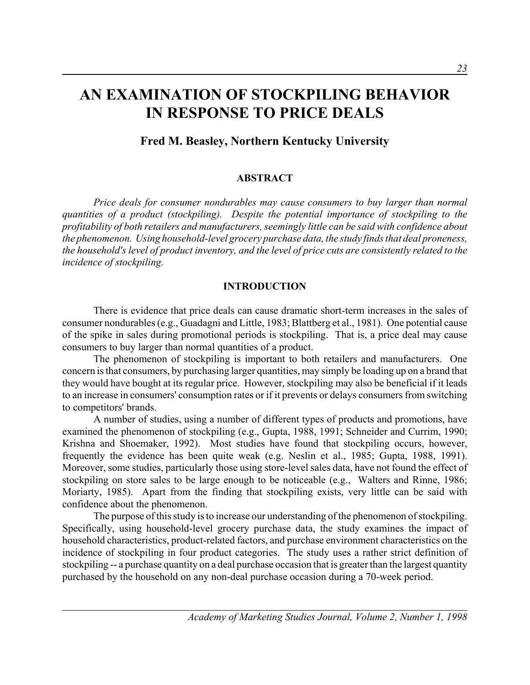# **AN EXAMINATION OF STOCKPILING BEHAVIOR IN RESPONSE TO PRICE DEALS**

# **Fred M. Beasley, Northern Kentucky University**

### **ABSTRACT**

*Price deals for consumer nondurables may cause consumers to buy larger than normal quantities of a product (stockpiling). Despite the potential importance of stockpiling to the profitability of both retailers and manufacturers, seemingly little can be said with confidence about the phenomenon. Using household-level grocery purchase data, the study finds that deal proneness, the household's level of product inventory, and the level of price cuts are consistently related to the incidence of stockpiling.*

### **INTRODUCTION**

There is evidence that price deals can cause dramatic short-term increases in the sales of consumer nondurables (e.g., Guadagni and Little, 1983; Blattberg et al., 1981). One potential cause of the spike in sales during promotional periods is stockpiling. That is, a price deal may cause consumers to buy larger than normal quantities of a product.

The phenomenon of stockpiling is important to both retailers and manufacturers. One concern is that consumers, by purchasing larger quantities, may simply be loading up on a brand that they would have bought at its regular price. However, stockpiling may also be beneficial if it leads to an increase in consumers' consumption rates or if it prevents or delays consumers from switching to competitors' brands.

A number of studies, using a number of different types of products and promotions, have examined the phenomenon of stockpiling (e.g., Gupta, 1988, 1991; Schneider and Currim, 1990; Krishna and Shoemaker, 1992). Most studies have found that stockpiling occurs, however, frequently the evidence has been quite weak (e.g. Neslin et al., 1985; Gupta, 1988, 1991). Moreover, some studies, particularly those using store-level sales data, have not found the effect of stockpiling on store sales to be large enough to be noticeable (e.g., Walters and Rinne, 1986; Moriarty, 1985). Apart from the finding that stockpiling exists, very little can be said with confidence about the phenomenon.

The purpose of this study is to increase our understanding of the phenomenon of stockpiling. Specifically, using household-level grocery purchase data, the study examines the impact of household characteristics, product-related factors, and purchase environment characteristics on the incidence of stockpiling in four product categories. The study uses a rather strict definition of stockpiling -- a purchase quantity on a deal purchase occasion that is greater than the largest quantity purchased by the household on any non-deal purchase occasion during a 70-week period.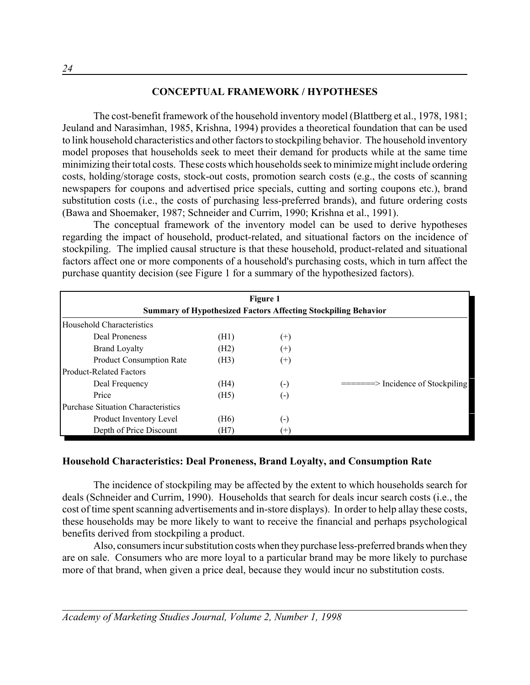### **CONCEPTUAL FRAMEWORK / HYPOTHESES**

The cost-benefit framework of the household inventory model (Blattberg et al., 1978, 1981; Jeuland and Narasimhan, 1985, Krishna, 1994) provides a theoretical foundation that can be used to link household characteristics and other factors to stockpiling behavior. The household inventory model proposes that households seek to meet their demand for products while at the same time minimizing their total costs. These costs which households seek to minimize might include ordering costs, holding/storage costs, stock-out costs, promotion search costs (e.g., the costs of scanning newspapers for coupons and advertised price specials, cutting and sorting coupons etc.), brand substitution costs (i.e., the costs of purchasing less-preferred brands), and future ordering costs (Bawa and Shoemaker, 1987; Schneider and Currim, 1990; Krishna et al., 1991).

The conceptual framework of the inventory model can be used to derive hypotheses regarding the impact of household, product-related, and situational factors on the incidence of stockpiling. The implied causal structure is that these household, product-related and situational factors affect one or more components of a household's purchasing costs, which in turn affect the purchase quantity decision (see Figure 1 for a summary of the hypothesized factors).

| Figure 1<br><b>Summary of Hypothesized Factors Affecting Stockpiling Behavior</b> |      |                    |                                                    |  |  |
|-----------------------------------------------------------------------------------|------|--------------------|----------------------------------------------------|--|--|
| Household Characteristics                                                         |      |                    |                                                    |  |  |
| Deal Proneness                                                                    | (H1) | $^{(+)}$           |                                                    |  |  |
| <b>Brand Loyalty</b>                                                              | (H2) | $^{(+)}$           |                                                    |  |  |
| <b>Product Consumption Rate</b>                                                   | (H3) | $^{(+)}$           |                                                    |  |  |
| <b>Product-Related Factors</b>                                                    |      |                    |                                                    |  |  |
| Deal Frequency                                                                    | (H4) | $\left( -\right)$  | $=\equiv = \equiv \equiv$ Incidence of Stockpiling |  |  |
| Price                                                                             | (H5) | $(\textnormal{-})$ |                                                    |  |  |
| <b>Purchase Situation Characteristics</b>                                         |      |                    |                                                    |  |  |
| Product Inventory Level                                                           | (H6) | (-)                |                                                    |  |  |
| Depth of Price Discount                                                           | (H7) | $(+)$              |                                                    |  |  |

### **Household Characteristics: Deal Proneness, Brand Loyalty, and Consumption Rate**

The incidence of stockpiling may be affected by the extent to which households search for deals (Schneider and Currim, 1990). Households that search for deals incur search costs (i.e., the cost of time spent scanning advertisements and in-store displays). In order to help allay these costs, these households may be more likely to want to receive the financial and perhaps psychological benefits derived from stockpiling a product.

Also, consumers incur substitution costs when they purchase less-preferred brands when they are on sale. Consumers who are more loyal to a particular brand may be more likely to purchase more of that brand, when given a price deal, because they would incur no substitution costs.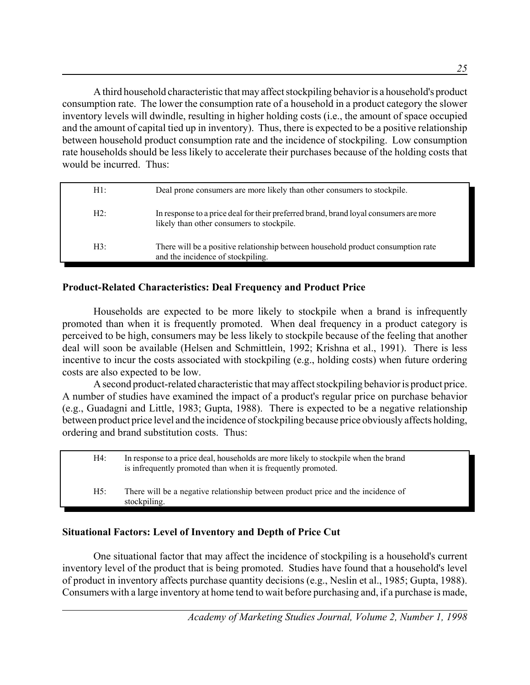A third household characteristic that may affect stockpiling behavior is a household's product consumption rate. The lower the consumption rate of a household in a product category the slower inventory levels will dwindle, resulting in higher holding costs (i.e., the amount of space occupied and the amount of capital tied up in inventory). Thus, there is expected to be a positive relationship between household product consumption rate and the incidence of stockpiling. Low consumption rate households should be less likely to accelerate their purchases because of the holding costs that would be incurred. Thus:

| $H1$ : | Deal prone consumers are more likely than other consumers to stockpile.                                                            |
|--------|------------------------------------------------------------------------------------------------------------------------------------|
| H2:    | In response to a price deal for their preferred brand, brand loyal consumers are more<br>likely than other consumers to stockpile. |
| H3:    | There will be a positive relationship between household product consumption rate<br>and the incidence of stockpiling.              |

## **Product-Related Characteristics: Deal Frequency and Product Price**

Households are expected to be more likely to stockpile when a brand is infrequently promoted than when it is frequently promoted. When deal frequency in a product category is perceived to be high, consumers may be less likely to stockpile because of the feeling that another deal will soon be available (Helsen and Schmittlein, 1992; Krishna et al., 1991). There is less incentive to incur the costs associated with stockpiling (e.g., holding costs) when future ordering costs are also expected to be low.

A second product-related characteristic that may affect stockpiling behavior is product price. A number of studies have examined the impact of a product's regular price on purchase behavior (e.g., Guadagni and Little, 1983; Gupta, 1988). There is expected to be a negative relationship between product price level and the incidence of stockpiling because price obviously affects holding, ordering and brand substitution costs. Thus:

H4: In response to a price deal, households are more likely to stockpile when the brand is infrequently promoted than when it is frequently promoted. H5: There will be a negative relationship between product price and the incidence of stockpiling.

## **Situational Factors: Level of Inventory and Depth of Price Cut**

One situational factor that may affect the incidence of stockpiling is a household's current inventory level of the product that is being promoted. Studies have found that a household's level of product in inventory affects purchase quantity decisions (e.g., Neslin et al., 1985; Gupta, 1988). Consumers with a large inventory at home tend to wait before purchasing and, if a purchase is made,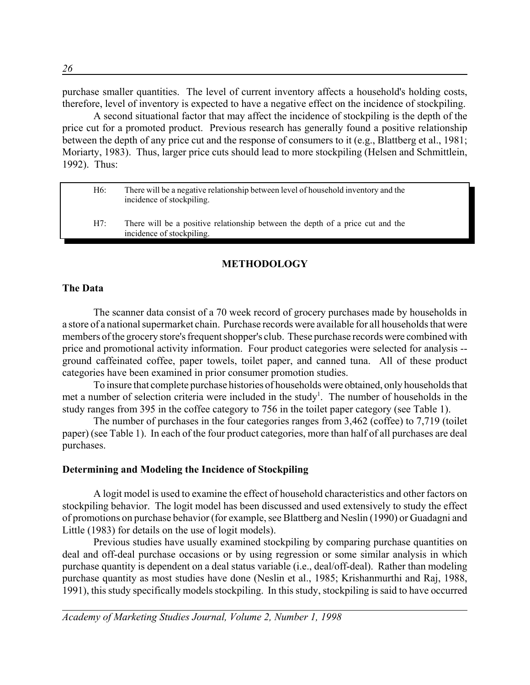purchase smaller quantities. The level of current inventory affects a household's holding costs, therefore, level of inventory is expected to have a negative effect on the incidence of stockpiling.

A second situational factor that may affect the incidence of stockpiling is the depth of the price cut for a promoted product. Previous research has generally found a positive relationship between the depth of any price cut and the response of consumers to it (e.g., Blattberg et al., 1981; Moriarty, 1983). Thus, larger price cuts should lead to more stockpiling (Helsen and Schmittlein, 1992). Thus:

| H6: | There will be a negative relationship between level of household inventory and the<br>incidence of stockpiling. |
|-----|-----------------------------------------------------------------------------------------------------------------|
| H7: | There will be a positive relationship between the depth of a price cut and the<br>incidence of stockpiling.     |

### **METHODOLOGY**

### **The Data**

The scanner data consist of a 70 week record of grocery purchases made by households in a store of a national supermarket chain. Purchase records were available for all households that were members of the grocery store's frequent shopper's club. These purchase records were combined with price and promotional activity information. Four product categories were selected for analysis - ground caffeinated coffee, paper towels, toilet paper, and canned tuna. All of these product categories have been examined in prior consumer promotion studies.

To insure that complete purchase histories of households were obtained, only households that met a number of selection criteria were included in the study<sup>1</sup>. The number of households in the study ranges from 395 in the coffee category to 756 in the toilet paper category (see Table 1).

The number of purchases in the four categories ranges from 3,462 (coffee) to 7,719 (toilet paper) (see Table 1). In each of the four product categories, more than half of all purchases are deal purchases.

### **Determining and Modeling the Incidence of Stockpiling**

A logit model is used to examine the effect of household characteristics and other factors on stockpiling behavior. The logit model has been discussed and used extensively to study the effect of promotions on purchase behavior (for example, see Blattberg and Neslin (1990) or Guadagni and Little (1983) for details on the use of logit models).

Previous studies have usually examined stockpiling by comparing purchase quantities on deal and off-deal purchase occasions or by using regression or some similar analysis in which purchase quantity is dependent on a deal status variable (i.e., deal/off-deal). Rather than modeling purchase quantity as most studies have done (Neslin et al., 1985; Krishanmurthi and Raj, 1988, 1991), this study specifically models stockpiling. In this study, stockpiling is said to have occurred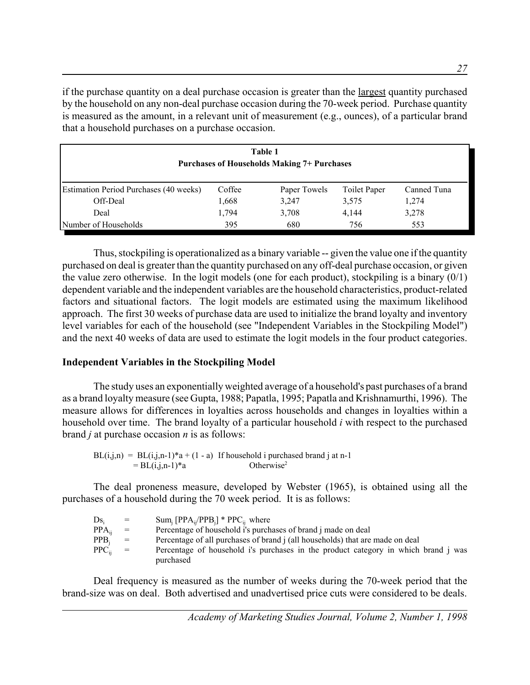if the purchase quantity on a deal purchase occasion is greater than the largest quantity purchased by the household on any non-deal purchase occasion during the 70-week period. Purchase quantity is measured as the amount, in a relevant unit of measurement (e.g., ounces), of a particular brand that a household purchases on a purchase occasion.

| Table 1<br><b>Purchases of Households Making 7+ Purchases</b> |        |              |              |             |
|---------------------------------------------------------------|--------|--------------|--------------|-------------|
| <b>Estimation Period Purchases (40 weeks)</b>                 | Coffee | Paper Towels | Toilet Paper | Canned Tuna |
| Off-Deal                                                      | 1,668  | 3,247        | 3.575        | 1,274       |
| Deal                                                          | 1,794  | 3,708        | 4.144        | 3,278       |
| Number of Households                                          | 395    | 680          | 756          | 553         |

Thus, stockpiling is operationalized as a binary variable -- given the value one if the quantity purchased on deal is greater than the quantity purchased on any off-deal purchase occasion, or given the value zero otherwise. In the logit models (one for each product), stockpiling is a binary (0/1) dependent variable and the independent variables are the household characteristics, product-related factors and situational factors. The logit models are estimated using the maximum likelihood approach. The first 30 weeks of purchase data are used to initialize the brand loyalty and inventory level variables for each of the household (see "Independent Variables in the Stockpiling Model") and the next 40 weeks of data are used to estimate the logit models in the four product categories.

### **Independent Variables in the Stockpiling Model**

The study uses an exponentially weighted average of a household's past purchases of a brand as a brand loyalty measure (see Gupta, 1988; Papatla, 1995; Papatla and Krishnamurthi, 1996). The measure allows for differences in loyalties across households and changes in loyalties within a household over time. The brand loyalty of a particular household *i* with respect to the purchased brand *j* at purchase occasion *n* is as follows:

 $BL(i,j,n) = BL(i,j,n-1)*a + (1-a)$  If household i purchased brand j at n-1  $= BL(i,j,n-1)*a$  Otherwise<sup>2</sup>

The deal proneness measure, developed by Webster (1965), is obtained using all the purchases of a household during the 70 week period. It is as follows:

| $Ds_i$       | $=$               | $Sum_i [PPA_{ii}/PPB_i] * PPC_{ii}$ where                                          |
|--------------|-------------------|------------------------------------------------------------------------------------|
| $PPA_{ii}$   | $\alpha = \alpha$ | Percentage of household i's purchases of brand j made on deal                      |
| $PPB_i$      | $=$               | Percentage of all purchases of brand i (all households) that are made on deal      |
| $PPC_{ii}$ = |                   | Percentage of household i's purchases in the product category in which brand j was |
|              |                   | purchased                                                                          |

Deal frequency is measured as the number of weeks during the 70-week period that the brand-size was on deal. Both advertised and unadvertised price cuts were considered to be deals.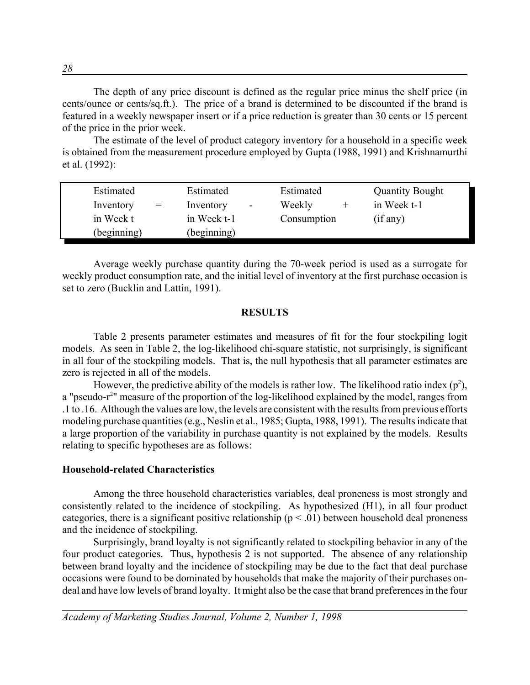The depth of any price discount is defined as the regular price minus the shelf price (in cents/ounce or cents/sq.ft.). The price of a brand is determined to be discounted if the brand is featured in a weekly newspaper insert or if a price reduction is greater than 30 cents or 15 percent of the price in the prior week.

The estimate of the level of product category inventory for a household in a specific week is obtained from the measurement procedure employed by Gupta (1988, 1991) and Krishnamurthi et al. (1992):

| Estimated        | Estimated                             | Estimated   | <b>Quantity Bought</b> |
|------------------|---------------------------------------|-------------|------------------------|
| Inventory<br>$=$ | Inventory<br>$\overline{\phantom{a}}$ | Weekly      | in Week t-1            |
| in Week t        | in Week t-1                           | Consumption | (if any)               |
| (beginning)      | (beginning)                           |             |                        |

Average weekly purchase quantity during the 70-week period is used as a surrogate for weekly product consumption rate, and the initial level of inventory at the first purchase occasion is set to zero (Bucklin and Lattin, 1991).

### **RESULTS**

Table 2 presents parameter estimates and measures of fit for the four stockpiling logit models. As seen in Table 2, the log-likelihood chi-square statistic, not surprisingly, is significant in all four of the stockpiling models. That is, the null hypothesis that all parameter estimates are zero is rejected in all of the models.

However, the predictive ability of the models is rather low. The likelihood ratio index  $(p^2)$ , a "pseudo-r<sup>2</sup>" measure of the proportion of the log-likelihood explained by the model, ranges from .1 to .16. Although the values are low, the levels are consistent with the results from previous efforts modeling purchase quantities (e.g., Neslin et al., 1985; Gupta, 1988, 1991). The results indicate that a large proportion of the variability in purchase quantity is not explained by the models. Results relating to specific hypotheses are as follows:

### **Household-related Characteristics**

Among the three household characteristics variables, deal proneness is most strongly and consistently related to the incidence of stockpiling. As hypothesized (H1), in all four product categories, there is a significant positive relationship ( $p < .01$ ) between household deal proneness and the incidence of stockpiling.

Surprisingly, brand loyalty is not significantly related to stockpiling behavior in any of the four product categories. Thus, hypothesis 2 is not supported. The absence of any relationship between brand loyalty and the incidence of stockpiling may be due to the fact that deal purchase occasions were found to be dominated by households that make the majority of their purchases ondeal and have low levels of brand loyalty. It might also be the case that brand preferences in the four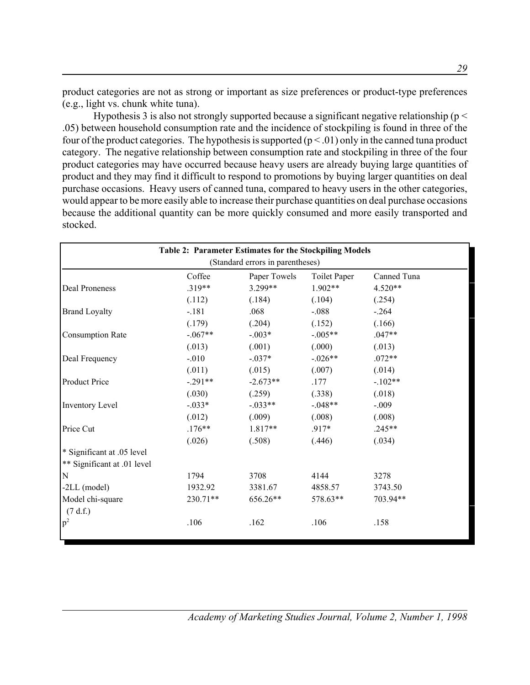product categories are not as strong or important as size preferences or product-type preferences (e.g., light vs. chunk white tuna).

Hypothesis 3 is also not strongly supported because a significant negative relationship ( $p <$ .05) between household consumption rate and the incidence of stockpiling is found in three of the four of the product categories. The hypothesis is supported  $(p < .01)$  only in the canned tuna product category. The negative relationship between consumption rate and stockpiling in three of the four product categories may have occurred because heavy users are already buying large quantities of product and they may find it difficult to respond to promotions by buying larger quantities on deal purchase occasions. Heavy users of canned tuna, compared to heavy users in the other categories, would appear to be more easily able to increase their purchase quantities on deal purchase occasions because the additional quantity can be more quickly consumed and more easily transported and stocked.

| Table 2: Parameter Estimates for the Stockpiling Models<br>(Standard errors in parentheses) |           |            |            |          |  |  |
|---------------------------------------------------------------------------------------------|-----------|------------|------------|----------|--|--|
|                                                                                             |           |            |            |          |  |  |
| Deal Proneness                                                                              | $.319**$  | 3.299**    | $1.902**$  | 4.520**  |  |  |
|                                                                                             | (.112)    | (.184)     | (.104)     | (.254)   |  |  |
| <b>Brand Loyalty</b>                                                                        | $-.181$   | .068       | $-.088$    | $-.264$  |  |  |
|                                                                                             | (.179)    | (.204)     | (.152)     | (.166)   |  |  |
| <b>Consumption Rate</b>                                                                     | $-.067**$ | $-.003*$   | $-.005**$  | $.047**$ |  |  |
|                                                                                             | (.013)    | (.001)     | (.000)     | (.013)   |  |  |
| Deal Frequency                                                                              | $-.010$   | $-.037*$   | $-0.026**$ | $.072**$ |  |  |
|                                                                                             | (.011)    | (.015)     | (.007)     | (.014)   |  |  |
| <b>Product Price</b>                                                                        | $-291**$  | $-2.673**$ | .177       | $-102**$ |  |  |
|                                                                                             | (.030)    | (.259)     | (.338)     | (.018)   |  |  |
| Inventory Level                                                                             | $-0.033*$ | $-0.033**$ | $-.048**$  | $-.009$  |  |  |
|                                                                                             | (.012)    | (.009)     | (.008)     | (.008)   |  |  |
| Price Cut                                                                                   | $.176***$ | $1.817**$  | $.917*$    | $.245**$ |  |  |
|                                                                                             | (.026)    | (.508)     | (.446)     | (.034)   |  |  |
| * Significant at .05 level                                                                  |           |            |            |          |  |  |
| ** Significant at .01 level                                                                 |           |            |            |          |  |  |
| ${\bf N}$                                                                                   | 1794      | 3708       | 4144       | 3278     |  |  |
| $-2LL$ (model)                                                                              | 1932.92   | 3381.67    | 4858.57    | 3743.50  |  |  |
| Model chi-square                                                                            | 230.71**  | 656.26**   | 578.63**   | 703.94** |  |  |
| (7 d.f.)                                                                                    |           |            |            |          |  |  |
| p <sup>2</sup>                                                                              | .106      | .162       | .106       | .158     |  |  |
|                                                                                             |           |            |            |          |  |  |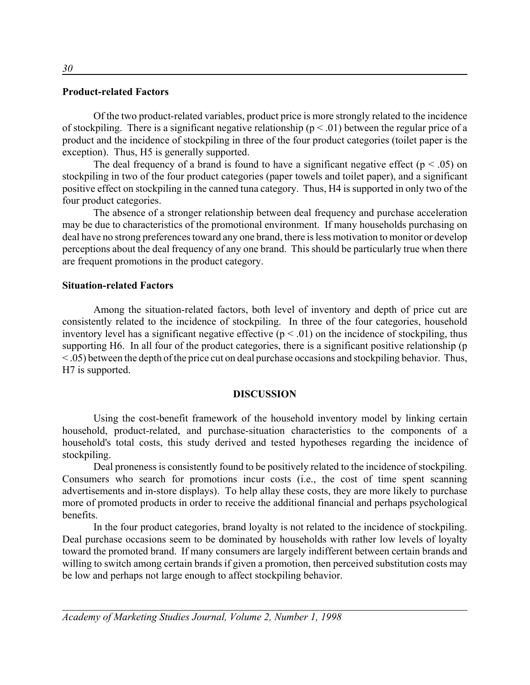### **Product-related Factors**

Of the two product-related variables, product price is more strongly related to the incidence of stockpiling. There is a significant negative relationship ( $p < .01$ ) between the regular price of a product and the incidence of stockpiling in three of the four product categories (toilet paper is the exception). Thus, H5 is generally supported.

The deal frequency of a brand is found to have a significant negative effect ( $p < .05$ ) on stockpiling in two of the four product categories (paper towels and toilet paper), and a significant positive effect on stockpiling in the canned tuna category. Thus, H4 is supported in only two of the four product categories.

The absence of a stronger relationship between deal frequency and purchase acceleration may be due to characteristics of the promotional environment. If many households purchasing on deal have no strong preferences toward any one brand, there is less motivation to monitor or develop perceptions about the deal frequency of any one brand. This should be particularly true when there are frequent promotions in the product category.

### **Situation-related Factors**

Among the situation-related factors, both level of inventory and depth of price cut are consistently related to the incidence of stockpiling. In three of the four categories, household inventory level has a significant negative effective  $(p < .01)$  on the incidence of stockpiling, thus supporting H6. In all four of the product categories, there is a significant positive relationship (p < .05) between the depth of the price cut on deal purchase occasions and stockpiling behavior. Thus, H7 is supported.

### **DISCUSSION**

Using the cost-benefit framework of the household inventory model by linking certain household, product-related, and purchase-situation characteristics to the components of a household's total costs, this study derived and tested hypotheses regarding the incidence of stockpiling.

Deal proneness is consistently found to be positively related to the incidence of stockpiling. Consumers who search for promotions incur costs (i.e., the cost of time spent scanning advertisements and in-store displays). To help allay these costs, they are more likely to purchase more of promoted products in order to receive the additional financial and perhaps psychological benefits.

In the four product categories, brand loyalty is not related to the incidence of stockpiling. Deal purchase occasions seem to be dominated by households with rather low levels of loyalty toward the promoted brand. If many consumers are largely indifferent between certain brands and willing to switch among certain brands if given a promotion, then perceived substitution costs may be low and perhaps not large enough to affect stockpiling behavior.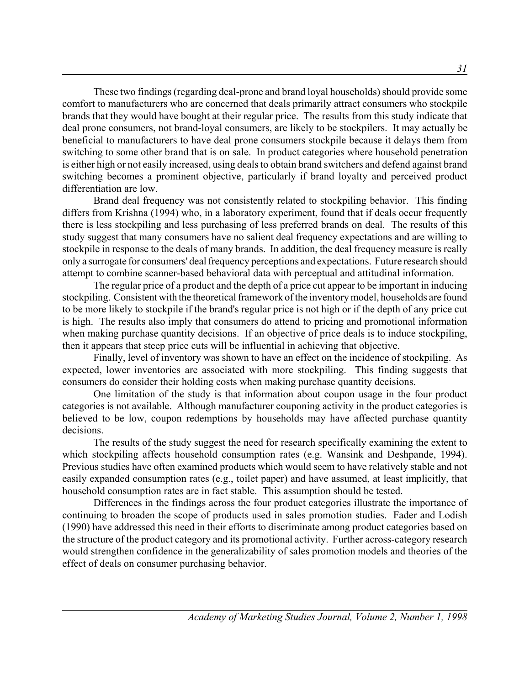These two findings (regarding deal-prone and brand loyal households) should provide some comfort to manufacturers who are concerned that deals primarily attract consumers who stockpile brands that they would have bought at their regular price. The results from this study indicate that deal prone consumers, not brand-loyal consumers, are likely to be stockpilers. It may actually be beneficial to manufacturers to have deal prone consumers stockpile because it delays them from switching to some other brand that is on sale. In product categories where household penetration is either high or not easily increased, using deals to obtain brand switchers and defend against brand switching becomes a prominent objective, particularly if brand loyalty and perceived product differentiation are low.

Brand deal frequency was not consistently related to stockpiling behavior. This finding differs from Krishna (1994) who, in a laboratory experiment, found that if deals occur frequently there is less stockpiling and less purchasing of less preferred brands on deal. The results of this study suggest that many consumers have no salient deal frequency expectations and are willing to stockpile in response to the deals of many brands. In addition, the deal frequency measure is really only a surrogate for consumers' deal frequency perceptions and expectations. Future research should attempt to combine scanner-based behavioral data with perceptual and attitudinal information.

The regular price of a product and the depth of a price cut appear to be important in inducing stockpiling. Consistent with the theoretical framework of the inventory model, households are found to be more likely to stockpile if the brand's regular price is not high or if the depth of any price cut is high. The results also imply that consumers do attend to pricing and promotional information when making purchase quantity decisions. If an objective of price deals is to induce stockpiling, then it appears that steep price cuts will be influential in achieving that objective.

Finally, level of inventory was shown to have an effect on the incidence of stockpiling. As expected, lower inventories are associated with more stockpiling. This finding suggests that consumers do consider their holding costs when making purchase quantity decisions.

One limitation of the study is that information about coupon usage in the four product categories is not available. Although manufacturer couponing activity in the product categories is believed to be low, coupon redemptions by households may have affected purchase quantity decisions.

The results of the study suggest the need for research specifically examining the extent to which stockpiling affects household consumption rates (e.g. Wansink and Deshpande, 1994). Previous studies have often examined products which would seem to have relatively stable and not easily expanded consumption rates (e.g., toilet paper) and have assumed, at least implicitly, that household consumption rates are in fact stable. This assumption should be tested.

Differences in the findings across the four product categories illustrate the importance of continuing to broaden the scope of products used in sales promotion studies. Fader and Lodish (1990) have addressed this need in their efforts to discriminate among product categories based on the structure of the product category and its promotional activity. Further across-category research would strengthen confidence in the generalizability of sales promotion models and theories of the effect of deals on consumer purchasing behavior.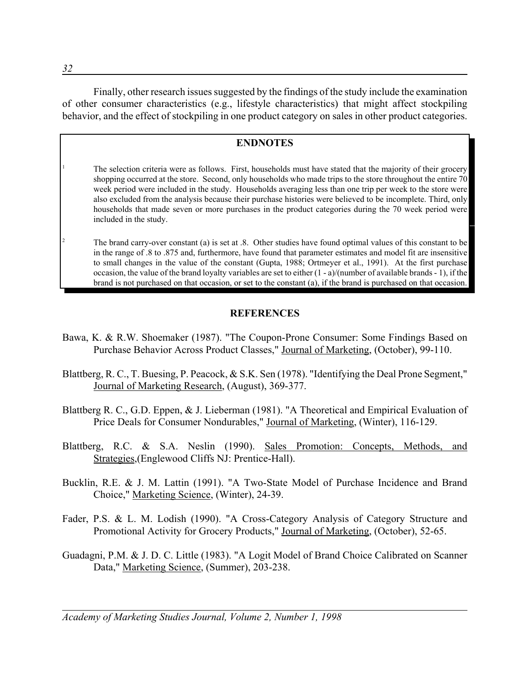Finally, other research issues suggested by the findings of the study include the examination of other consumer characteristics (e.g., lifestyle characteristics) that might affect stockpiling behavior, and the effect of stockpiling in one product category on sales in other product categories.

### **ENDNOTES**

<sup>1</sup> The selection criteria were as follows. First, households must have stated that the majority of their grocery shopping occurred at the store. Second, only households who made trips to the store throughout the entire 70 week period were included in the study. Households averaging less than one trip per week to the store were also excluded from the analysis because their purchase histories were believed to be incomplete. Third, only households that made seven or more purchases in the product categories during the 70 week period were included in the study.

The brand carry-over constant (a) is set at .8. Other studies have found optimal values of this constant to be in the range of .8 to .875 and, furthermore, have found that parameter estimates and model fit are insensitive to small changes in the value of the constant (Gupta, 1988; Ortmeyer et al., 1991). At the first purchase occasion, the value of the brand loyalty variables are set to either  $(1 - a)/(number of available brands - 1)$ , if the brand is not purchased on that occasion, or set to the constant (a), if the brand is purchased on that occasion.

### **REFERENCES**

- Bawa, K. & R.W. Shoemaker (1987). "The Coupon-Prone Consumer: Some Findings Based on Purchase Behavior Across Product Classes," Journal of Marketing, (October), 99-110.
- Blattberg, R. C., T. Buesing, P. Peacock, & S.K. Sen (1978). "Identifying the Deal Prone Segment," Journal of Marketing Research, (August), 369-377.
- Blattberg R. C., G.D. Eppen, & J. Lieberman (1981). "A Theoretical and Empirical Evaluation of Price Deals for Consumer Nondurables," Journal of Marketing, (Winter), 116-129.
- Blattberg, R.C. & S.A. Neslin (1990). Sales Promotion: Concepts, Methods, and Strategies,(Englewood Cliffs NJ: Prentice-Hall).
- Bucklin, R.E. & J. M. Lattin (1991). "A Two-State Model of Purchase Incidence and Brand Choice," Marketing Science, (Winter), 24-39.
- Fader, P.S. & L. M. Lodish (1990). "A Cross-Category Analysis of Category Structure and Promotional Activity for Grocery Products," Journal of Marketing, (October), 52-65.
- Guadagni, P.M. & J. D. C. Little (1983). "A Logit Model of Brand Choice Calibrated on Scanner Data," Marketing Science, (Summer), 203-238.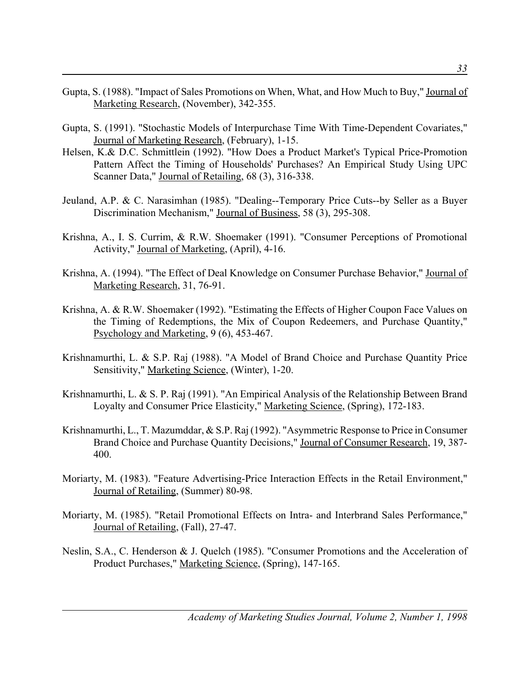- Gupta, S. (1988). "Impact of Sales Promotions on When, What, and How Much to Buy," Journal of Marketing Research, (November), 342-355.
- Gupta, S. (1991). "Stochastic Models of Interpurchase Time With Time-Dependent Covariates," Journal of Marketing Research, (February), 1-15.
- Helsen, K.& D.C. Schmittlein (1992). "How Does a Product Market's Typical Price-Promotion Pattern Affect the Timing of Households' Purchases? An Empirical Study Using UPC Scanner Data," Journal of Retailing, 68 (3), 316-338.
- Jeuland, A.P. & C. Narasimhan (1985). "Dealing--Temporary Price Cuts--by Seller as a Buyer Discrimination Mechanism," Journal of Business, 58 (3), 295-308.
- Krishna, A., I. S. Currim, & R.W. Shoemaker (1991). "Consumer Perceptions of Promotional Activity," Journal of Marketing, (April), 4-16.
- Krishna, A. (1994). "The Effect of Deal Knowledge on Consumer Purchase Behavior," Journal of Marketing Research, 31, 76-91.
- Krishna, A. & R.W. Shoemaker (1992). "Estimating the Effects of Higher Coupon Face Values on the Timing of Redemptions, the Mix of Coupon Redeemers, and Purchase Quantity," Psychology and Marketing, 9 (6), 453-467.
- Krishnamurthi, L. & S.P. Raj (1988). "A Model of Brand Choice and Purchase Quantity Price Sensitivity," Marketing Science, (Winter), 1-20.
- Krishnamurthi, L. & S. P. Raj (1991). "An Empirical Analysis of the Relationship Between Brand Loyalty and Consumer Price Elasticity," Marketing Science, (Spring), 172-183.
- Krishnamurthi, L., T. Mazumddar, & S.P. Raj (1992). "Asymmetric Response to Price in Consumer Brand Choice and Purchase Quantity Decisions," Journal of Consumer Research, 19, 387- 400.
- Moriarty, M. (1983). "Feature Advertising-Price Interaction Effects in the Retail Environment," Journal of Retailing, (Summer) 80-98.
- Moriarty, M. (1985). "Retail Promotional Effects on Intra- and Interbrand Sales Performance," Journal of Retailing, (Fall), 27-47.
- Neslin, S.A., C. Henderson & J. Quelch (1985). "Consumer Promotions and the Acceleration of Product Purchases," Marketing Science, (Spring), 147-165.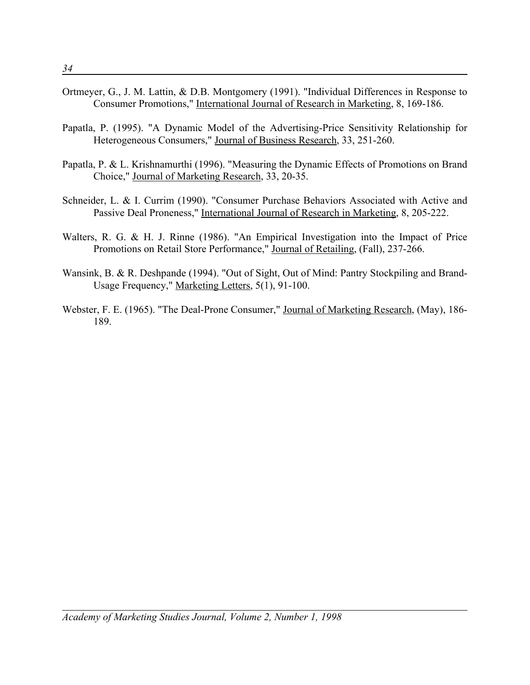- Ortmeyer, G., J. M. Lattin, & D.B. Montgomery (1991). "Individual Differences in Response to Consumer Promotions," International Journal of Research in Marketing, 8, 169-186.
- Papatla, P. (1995). "A Dynamic Model of the Advertising-Price Sensitivity Relationship for Heterogeneous Consumers," Journal of Business Research, 33, 251-260.
- Papatla, P. & L. Krishnamurthi (1996). "Measuring the Dynamic Effects of Promotions on Brand Choice," Journal of Marketing Research, 33, 20-35.
- Schneider, L. & I. Currim (1990). "Consumer Purchase Behaviors Associated with Active and Passive Deal Proneness," International Journal of Research in Marketing, 8, 205-222.
- Walters, R. G. & H. J. Rinne (1986). "An Empirical Investigation into the Impact of Price Promotions on Retail Store Performance," Journal of Retailing, (Fall), 237-266.
- Wansink, B. & R. Deshpande (1994). "Out of Sight, Out of Mind: Pantry Stockpiling and Brand-Usage Frequency," Marketing Letters, 5(1), 91-100.
- Webster, F. E. (1965). "The Deal-Prone Consumer," Journal of Marketing Research, (May), 186- 189.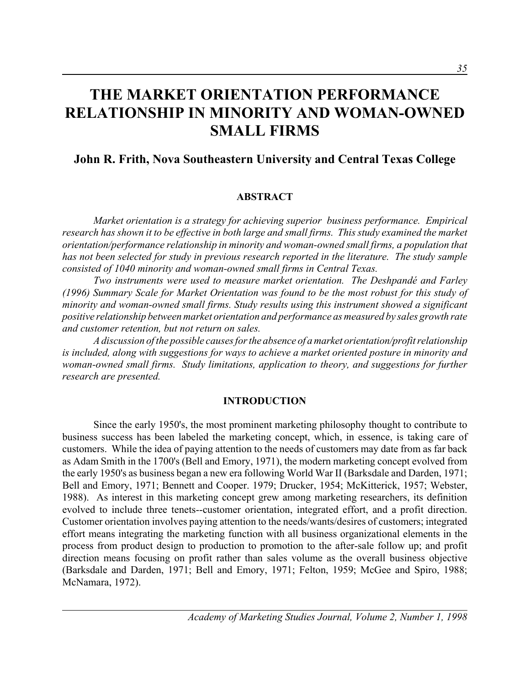# **THE MARKET ORIENTATION PERFORMANCE RELATIONSHIP IN MINORITY AND WOMAN-OWNED SMALL FIRMS**

## **John R. Frith, Nova Southeastern University and Central Texas College**

#### **ABSTRACT**

*Market orientation is a strategy for achieving superior business performance. Empirical research has shown it to be effective in both large and small firms. This study examined the market orientation/performance relationship in minority and woman-owned small firms, a population that has not been selected for study in previous research reported in the literature. The study sample consisted of 1040 minority and woman-owned small firms in Central Texas.* 

*Two instruments were used to measure market orientation. The Deshpandé and Farley (1996) Summary Scale for Market Orientation was found to be the most robust for this study of minority and woman-owned small firms. Study results using this instrument showed a significant positive relationship between market orientation and performance as measured by sales growth rate and customer retention, but not return on sales.*

*A discussion of the possible causes for the absence of a market orientation/profit relationship is included, along with suggestions for ways to achieve a market oriented posture in minority and woman-owned small firms. Study limitations, application to theory, and suggestions for further research are presented.*

#### **INTRODUCTION**

Since the early 1950's, the most prominent marketing philosophy thought to contribute to business success has been labeled the marketing concept, which, in essence, is taking care of customers. While the idea of paying attention to the needs of customers may date from as far back as Adam Smith in the 1700's (Bell and Emory, 1971), the modern marketing concept evolved from the early 1950's as business began a new era following World War II (Barksdale and Darden, 1971; Bell and Emory, 1971; Bennett and Cooper. 1979; Drucker, 1954; McKitterick, 1957; Webster, 1988). As interest in this marketing concept grew among marketing researchers, its definition evolved to include three tenets--customer orientation, integrated effort, and a profit direction. Customer orientation involves paying attention to the needs/wants/desires of customers; integrated effort means integrating the marketing function with all business organizational elements in the process from product design to production to promotion to the after-sale follow up; and profit direction means focusing on profit rather than sales volume as the overall business objective (Barksdale and Darden, 1971; Bell and Emory, 1971; Felton, 1959; McGee and Spiro, 1988; McNamara, 1972).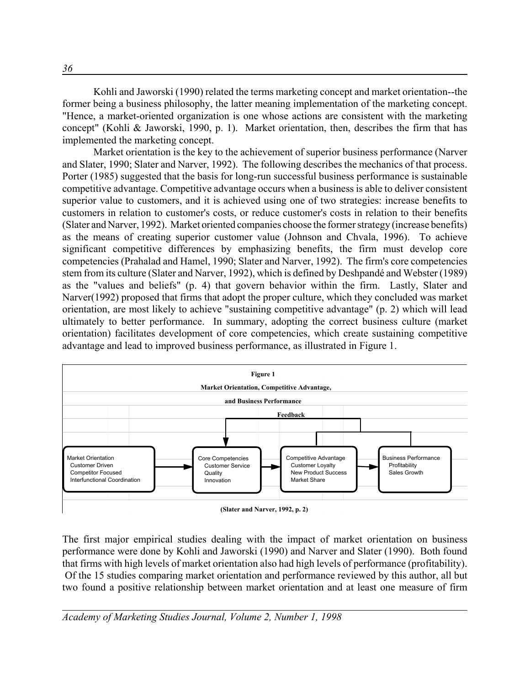Kohli and Jaworski (1990) related the terms marketing concept and market orientation--the former being a business philosophy, the latter meaning implementation of the marketing concept. "Hence, a market-oriented organization is one whose actions are consistent with the marketing concept" (Kohli & Jaworski, 1990, p. 1). Market orientation, then, describes the firm that has implemented the marketing concept.

Market orientation is the key to the achievement of superior business performance (Narver and Slater, 1990; Slater and Narver, 1992). The following describes the mechanics of that process. Porter (1985) suggested that the basis for long-run successful business performance is sustainable competitive advantage. Competitive advantage occurs when a business is able to deliver consistent superior value to customers, and it is achieved using one of two strategies: increase benefits to customers in relation to customer's costs, or reduce customer's costs in relation to their benefits (Slater and Narver, 1992). Market oriented companies choose the former strategy (increase benefits) as the means of creating superior customer value (Johnson and Chvala, 1996). To achieve significant competitive differences by emphasizing benefits, the firm must develop core competencies (Prahalad and Hamel, 1990; Slater and Narver, 1992). The firm's core competencies stem from its culture (Slater and Narver, 1992), which is defined by Deshpandé and Webster (1989) as the "values and beliefs" (p. 4) that govern behavior within the firm. Lastly, Slater and Narver(1992) proposed that firms that adopt the proper culture, which they concluded was market orientation, are most likely to achieve "sustaining competitive advantage" (p. 2) which will lead ultimately to better performance. In summary, adopting the correct business culture (market orientation) facilitates development of core competencies, which create sustaining competitive advantage and lead to improved business performance, as illustrated in Figure 1.



**<sup>(</sup>Slater and Narver, 1992, p. 2)**

The first major empirical studies dealing with the impact of market orientation on business performance were done by Kohli and Jaworski (1990) and Narver and Slater (1990). Both found that firms with high levels of market orientation also had high levels of performance (profitability). Of the 15 studies comparing market orientation and performance reviewed by this author, all but two found a positive relationship between market orientation and at least one measure of firm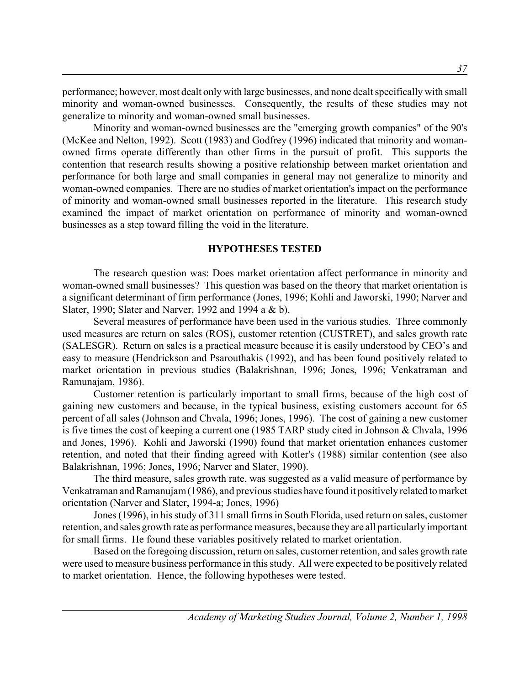performance; however, most dealt only with large businesses, and none dealt specifically with small minority and woman-owned businesses. Consequently, the results of these studies may not generalize to minority and woman-owned small businesses.

Minority and woman-owned businesses are the "emerging growth companies" of the 90's (McKee and Nelton, 1992). Scott (1983) and Godfrey (1996) indicated that minority and womanowned firms operate differently than other firms in the pursuit of profit. This supports the contention that research results showing a positive relationship between market orientation and performance for both large and small companies in general may not generalize to minority and woman-owned companies. There are no studies of market orientation's impact on the performance of minority and woman-owned small businesses reported in the literature. This research study examined the impact of market orientation on performance of minority and woman-owned businesses as a step toward filling the void in the literature.

#### **HYPOTHESES TESTED**

The research question was: Does market orientation affect performance in minority and woman-owned small businesses? This question was based on the theory that market orientation is a significant determinant of firm performance (Jones, 1996; Kohli and Jaworski, 1990; Narver and Slater, 1990; Slater and Narver, 1992 and 1994 a & b).

Several measures of performance have been used in the various studies. Three commonly used measures are return on sales (ROS), customer retention (CUSTRET), and sales growth rate (SALESGR). Return on sales is a practical measure because it is easily understood by CEO's and easy to measure (Hendrickson and Psarouthakis (1992), and has been found positively related to market orientation in previous studies (Balakrishnan, 1996; Jones, 1996; Venkatraman and Ramunajam, 1986).

Customer retention is particularly important to small firms, because of the high cost of gaining new customers and because, in the typical business, existing customers account for 65 percent of all sales (Johnson and Chvala, 1996; Jones, 1996). The cost of gaining a new customer is five times the cost of keeping a current one (1985 TARP study cited in Johnson & Chvala, 1996 and Jones, 1996). Kohli and Jaworski (1990) found that market orientation enhances customer retention, and noted that their finding agreed with Kotler's (1988) similar contention (see also Balakrishnan, 1996; Jones, 1996; Narver and Slater, 1990).

The third measure, sales growth rate, was suggested as a valid measure of performance by Venkatraman and Ramanujam (1986), and previous studies have found it positively related to market orientation (Narver and Slater, 1994-a; Jones, 1996)

Jones (1996), in his study of 311 small firms in South Florida, used return on sales, customer retention, and sales growth rate as performance measures, because they are all particularly important for small firms. He found these variables positively related to market orientation.

Based on the foregoing discussion, return on sales, customer retention, and sales growth rate were used to measure business performance in this study. All were expected to be positively related to market orientation. Hence, the following hypotheses were tested.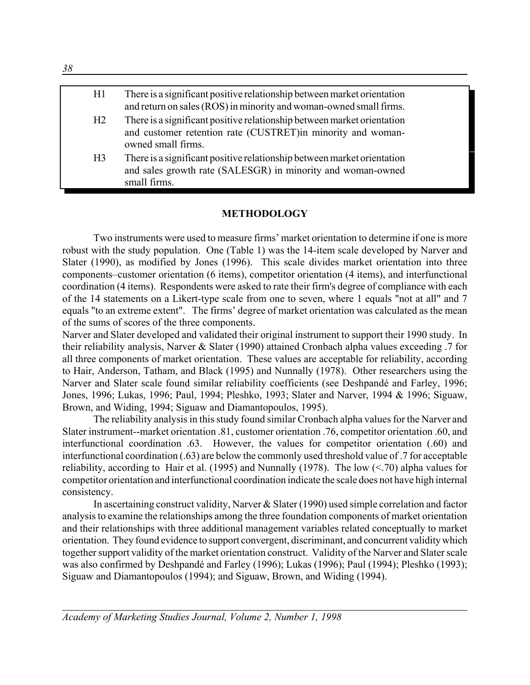| H1             | There is a significant positive relationship between market orientation<br>and return on sales (ROS) in minority and woman-owned small firms.                |
|----------------|--------------------------------------------------------------------------------------------------------------------------------------------------------------|
| H <sub>2</sub> | There is a significant positive relationship between market orientation<br>and customer retention rate (CUSTRET)in minority and woman-<br>owned small firms. |
| H <sub>3</sub> | There is a significant positive relationship between market orientation<br>and sales growth rate (SALESGR) in minority and woman-owned<br>small firms.       |

#### **METHODOLOGY**

Two instruments were used to measure firms' market orientation to determine if one is more robust with the study population. One (Table 1) was the 14-item scale developed by Narver and Slater (1990), as modified by Jones (1996). This scale divides market orientation into three components–customer orientation (6 items), competitor orientation (4 items), and interfunctional coordination (4 items). Respondents were asked to rate their firm's degree of compliance with each of the 14 statements on a Likert-type scale from one to seven, where 1 equals "not at all" and 7 equals "to an extreme extent". The firms' degree of market orientation was calculated as the mean of the sums of scores of the three components.

Narver and Slater developed and validated their original instrument to support their 1990 study. In their reliability analysis, Narver & Slater (1990) attained Cronbach alpha values exceeding .7 for all three components of market orientation. These values are acceptable for reliability, according to Hair, Anderson, Tatham, and Black (1995) and Nunnally (1978). Other researchers using the Narver and Slater scale found similar reliability coefficients (see Deshpandé and Farley, 1996; Jones, 1996; Lukas, 1996; Paul, 1994; Pleshko, 1993; Slater and Narver, 1994 & 1996; Siguaw, Brown, and Widing, 1994; Siguaw and Diamantopoulos, 1995).

The reliability analysis in this study found similar Cronbach alpha values for the Narver and Slater instrument--market orientation .81, customer orientation .76, competitor orientation .60, and interfunctional coordination .63. However, the values for competitor orientation (.60) and interfunctional coordination (.63) are below the commonly used threshold value of .7 for acceptable reliability, according to Hair et al. (1995) and Nunnally (1978). The low  $(< 70$ ) alpha values for competitor orientation and interfunctional coordination indicate the scale does not have high internal consistency.

In ascertaining construct validity, Narver & Slater (1990) used simple correlation and factor analysis to examine the relationships among the three foundation components of market orientation and their relationships with three additional management variables related conceptually to market orientation. They found evidence to support convergent, discriminant, and concurrent validity which together support validity of the market orientation construct. Validity of the Narver and Slater scale was also confirmed by Deshpandé and Farley (1996); Lukas (1996); Paul (1994); Pleshko (1993); Siguaw and Diamantopoulos (1994); and Siguaw, Brown, and Widing (1994).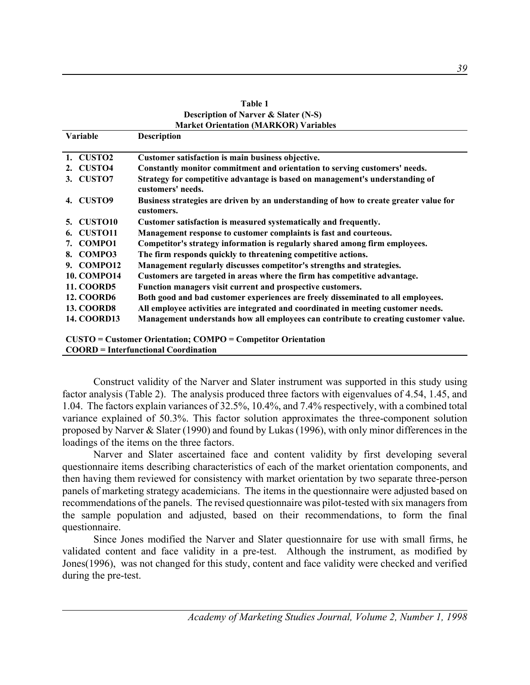|                       | <b>Description of Narver &amp; Slater (N-S)</b>                                                     |
|-----------------------|-----------------------------------------------------------------------------------------------------|
|                       | <b>Market Orientation (MARKOR) Variables</b>                                                        |
| Variable              | <b>Description</b>                                                                                  |
| 1. CUSTO <sub>2</sub> | Customer satisfaction is main business objective.                                                   |
| 2. CUSTO4             | Constantly monitor commitment and orientation to serving customers' needs.                          |
| 3. CUSTO7             | Strategy for competitive advantage is based on management's understanding of<br>customers' needs.   |
| <b>CUSTO9</b><br>4.   | Business strategies are driven by an understanding of how to create greater value for<br>customers. |
| <b>CUSTO10</b><br>5.  | Customer satisfaction is measured systematically and frequently.                                    |
| <b>CUSTO11</b>        | Management response to customer complaints is fast and courteous.                                   |
| <b>COMPO1</b><br>7.   | Competitor's strategy information is regularly shared among firm employees.                         |
| COMPO3<br>8.          | The firm responds quickly to threatening competitive actions.                                       |
| 9. COMPO12            | Management regularly discusses competitor's strengths and strategies.                               |
| <b>10. COMPO14</b>    | Customers are targeted in areas where the firm has competitive advantage.                           |
| <b>11. COORD5</b>     | Function managers visit current and prospective customers.                                          |
| <b>12. COORD6</b>     | Both good and bad customer experiences are freely disseminated to all employees.                    |
| <b>13. COORD8</b>     | All employee activities are integrated and coordinated in meeting customer needs.                   |
| <b>14. COORD13</b>    | Management understands how all employees can contribute to creating customer value.                 |
|                       | <b>CUSTO = Customer Orientation; COMPO = Competitor Orientation</b>                                 |
|                       | <b>COORD</b> = Interfunctional Coordination                                                         |

| Table 1                                         |
|-------------------------------------------------|
| <b>Description of Narver &amp; Slater (N-S)</b> |
| <b>Market Orientation (MARKOR) Variables</b>    |

Construct validity of the Narver and Slater instrument was supported in this study using factor analysis (Table 2). The analysis produced three factors with eigenvalues of 4.54, 1.45, and 1.04. The factors explain variances of 32.5%, 10.4%, and 7.4% respectively, with a combined total variance explained of 50.3%. This factor solution approximates the three-component solution proposed by Narver & Slater (1990) and found by Lukas (1996), with only minor differences in the loadings of the items on the three factors.

Narver and Slater ascertained face and content validity by first developing several questionnaire items describing characteristics of each of the market orientation components, and then having them reviewed for consistency with market orientation by two separate three-person panels of marketing strategy academicians. The items in the questionnaire were adjusted based on recommendations of the panels. The revised questionnaire was pilot-tested with six managers from the sample population and adjusted, based on their recommendations, to form the final questionnaire.

Since Jones modified the Narver and Slater questionnaire for use with small firms, he validated content and face validity in a pre-test. Although the instrument, as modified by Jones(1996), was not changed for this study, content and face validity were checked and verified during the pre-test.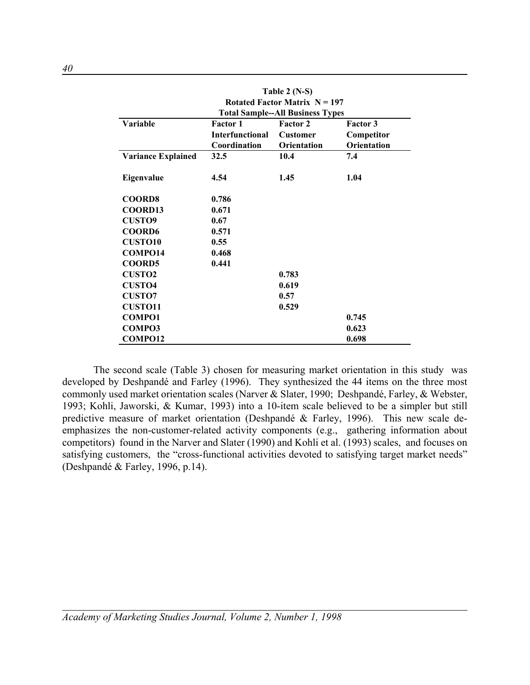| Table 2 $(N-S)$<br>Rotated Factor Matrix $N = 197$<br><b>Total Sample--All Business Types</b> |                        |                    |                    |  |  |  |  |
|-----------------------------------------------------------------------------------------------|------------------------|--------------------|--------------------|--|--|--|--|
| Variable                                                                                      | <b>Factor 1</b>        | Factor 2           | <b>Factor 3</b>    |  |  |  |  |
|                                                                                               | <b>Interfunctional</b> | <b>Customer</b>    | Competitor         |  |  |  |  |
|                                                                                               | Coordination           | <b>Orientation</b> | <b>Orientation</b> |  |  |  |  |
| <b>Variance Explained</b>                                                                     | 32.5                   | 10.4               | 7.4                |  |  |  |  |
|                                                                                               |                        |                    |                    |  |  |  |  |
| Eigenvalue                                                                                    | 4.54                   | 1.45               | 1.04               |  |  |  |  |
|                                                                                               |                        |                    |                    |  |  |  |  |
| <b>COORD8</b>                                                                                 | 0.786                  |                    |                    |  |  |  |  |
| COORD13                                                                                       | 0.671                  |                    |                    |  |  |  |  |
| <b>CUSTO9</b>                                                                                 | 0.67                   |                    |                    |  |  |  |  |
| <b>COORD6</b>                                                                                 | 0.571                  |                    |                    |  |  |  |  |
| <b>CUSTO10</b>                                                                                | 0.55                   |                    |                    |  |  |  |  |
| COMPO14                                                                                       | 0.468                  |                    |                    |  |  |  |  |
| <b>COORD5</b>                                                                                 | 0.441                  |                    |                    |  |  |  |  |
| <b>CUSTO2</b>                                                                                 |                        | 0.783              |                    |  |  |  |  |
| <b>CUSTO4</b>                                                                                 |                        | 0.619              |                    |  |  |  |  |
| <b>CUSTO7</b>                                                                                 |                        | 0.57               |                    |  |  |  |  |
| <b>CUSTO11</b>                                                                                |                        | 0.529              |                    |  |  |  |  |
| <b>COMPO1</b>                                                                                 |                        |                    | 0.745              |  |  |  |  |
| COMPO3                                                                                        |                        |                    | 0.623              |  |  |  |  |
| <b>COMPO12</b>                                                                                |                        |                    | 0.698              |  |  |  |  |

The second scale (Table 3) chosen for measuring market orientation in this study was developed by Deshpandé and Farley (1996). They synthesized the 44 items on the three most commonly used market orientation scales (Narver & Slater, 1990; Deshpandé, Farley, & Webster, 1993; Kohli, Jaworski, & Kumar, 1993) into a 10-item scale believed to be a simpler but still predictive measure of market orientation (Deshpandé & Farley, 1996). This new scale deemphasizes the non-customer-related activity components (e.g., gathering information about competitors) found in the Narver and Slater (1990) and Kohli et al. (1993) scales, and focuses on satisfying customers, the "cross-functional activities devoted to satisfying target market needs" (Deshpandé & Farley, 1996, p.14).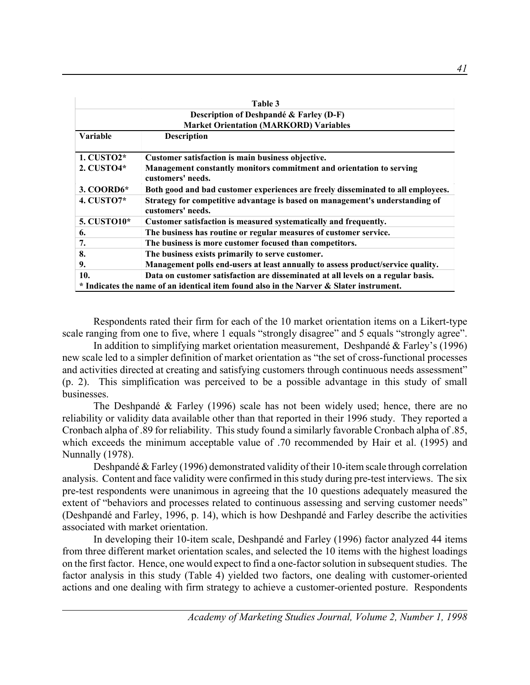|              | Table 3                                                                                           |
|--------------|---------------------------------------------------------------------------------------------------|
|              | Description of Deshpandé & Farley (D-F)                                                           |
|              | <b>Market Orientation (MARKORD) Variables</b>                                                     |
| Variable     | <b>Description</b>                                                                                |
|              |                                                                                                   |
| 1. CUSTO2*   | Customer satisfaction is main business objective.                                                 |
| 2. CUSTO4*   | Management constantly monitors commitment and orientation to serving<br>customers' needs.         |
| 3. COORD6*   | Both good and bad customer experiences are freely disseminated to all employees.                  |
| 4. $CUSTO7*$ | Strategy for competitive advantage is based on management's understanding of<br>customers' needs. |
| 5. CUSTO10*  | Customer satisfaction is measured systematically and frequently.                                  |
| 6.           | The business has routine or regular measures of customer service.                                 |
| 7.           | The business is more customer focused than competitors.                                           |
| 8.           | The business exists primarily to serve customer.                                                  |
| 9.           | Management polls end-users at least annually to assess product/service quality.                   |
| 10.          | Data on customer satisfaction are disseminated at all levels on a regular basis.                  |
|              | * Indicates the name of an identical item found also in the Narver & Slater instrument.           |

Respondents rated their firm for each of the 10 market orientation items on a Likert-type scale ranging from one to five, where 1 equals "strongly disagree" and 5 equals "strongly agree".

In addition to simplifying market orientation measurement, Deshpandé & Farley's (1996) new scale led to a simpler definition of market orientation as "the set of cross-functional processes and activities directed at creating and satisfying customers through continuous needs assessment" (p. 2). This simplification was perceived to be a possible advantage in this study of small businesses.

The Deshpandé & Farley (1996) scale has not been widely used; hence, there are no reliability or validity data available other than that reported in their 1996 study. They reported a Cronbach alpha of .89 for reliability. This study found a similarly favorable Cronbach alpha of .85, which exceeds the minimum acceptable value of .70 recommended by Hair et al. (1995) and Nunnally (1978).

Deshpandé & Farley (1996) demonstrated validity of their 10-item scale through correlation analysis. Content and face validity were confirmed in this study during pre-test interviews. The six pre-test respondents were unanimous in agreeing that the 10 questions adequately measured the extent of "behaviors and processes related to continuous assessing and serving customer needs" (Deshpandé and Farley, 1996, p. 14), which is how Deshpandé and Farley describe the activities associated with market orientation.

In developing their 10-item scale, Deshpandé and Farley (1996) factor analyzed 44 items from three different market orientation scales, and selected the 10 items with the highest loadings on the first factor. Hence, one would expect to find a one-factor solution in subsequent studies. The factor analysis in this study (Table 4) yielded two factors, one dealing with customer-oriented actions and one dealing with firm strategy to achieve a customer-oriented posture. Respondents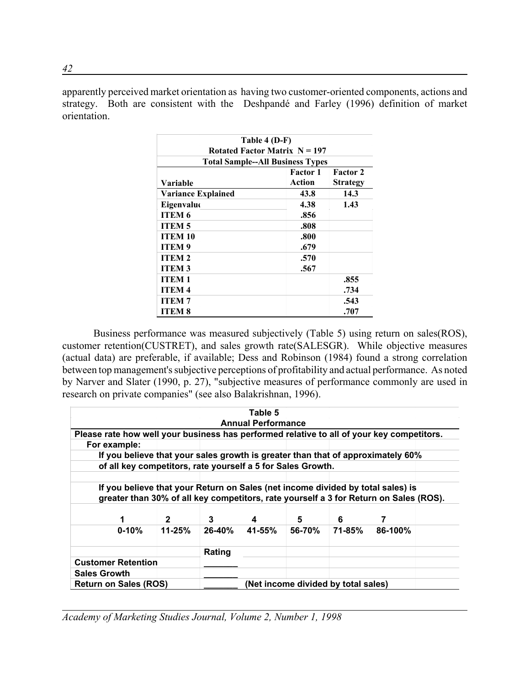apparently perceived market orientation as having two customer-oriented components, actions and strategy. Both are consistent with the Deshpandé and Farley (1996) definition of market orientation.

|                                 | Table 4 (D-F)                           |                 |  |  |  |  |  |  |  |
|---------------------------------|-----------------------------------------|-----------------|--|--|--|--|--|--|--|
| Rotated Factor Matrix $N = 197$ |                                         |                 |  |  |  |  |  |  |  |
|                                 | <b>Total Sample--All Business Types</b> |                 |  |  |  |  |  |  |  |
|                                 | <b>Factor 1</b>                         | <b>Factor 2</b> |  |  |  |  |  |  |  |
| Variable                        | Action                                  | <b>Strategy</b> |  |  |  |  |  |  |  |
| <b>Variance Explained</b>       | 43.8                                    | 14.3            |  |  |  |  |  |  |  |
| Eigenvalue                      | 4.38                                    | 1.43            |  |  |  |  |  |  |  |
| <b>ITEM 6</b>                   | .856                                    |                 |  |  |  |  |  |  |  |
| <b>ITEM5</b>                    | .808                                    |                 |  |  |  |  |  |  |  |
| <b>ITEM 10</b>                  | .800                                    |                 |  |  |  |  |  |  |  |
| <b>ITEM9</b>                    | .679                                    |                 |  |  |  |  |  |  |  |
| <b>ITEM 2</b>                   | .570                                    |                 |  |  |  |  |  |  |  |
| <b>ITEM3</b>                    | .567                                    |                 |  |  |  |  |  |  |  |
| <b>ITEM1</b>                    |                                         | .855            |  |  |  |  |  |  |  |
| <b>ITEM4</b>                    |                                         | .734            |  |  |  |  |  |  |  |
| <b>ITEM7</b>                    |                                         | .543            |  |  |  |  |  |  |  |
| ITEM 8                          |                                         | .707            |  |  |  |  |  |  |  |

Business performance was measured subjectively (Table 5) using return on sales(ROS), customer retention(CUSTRET), and sales growth rate(SALESGR). While objective measures (actual data) are preferable, if available; Dess and Robinson (1984) found a strong correlation between top management's subjective perceptions of profitability and actual performance. As noted by Narver and Slater (1990, p. 27), "subjective measures of performance commonly are used in research on private companies" (see also Balakrishnan, 1996).

|                     |                                                                                                                          |                                                             |        | Table 5<br><b>Annual Performance</b> |                                     |  |                                                                                                                                                                          |  |  |
|---------------------|--------------------------------------------------------------------------------------------------------------------------|-------------------------------------------------------------|--------|--------------------------------------|-------------------------------------|--|--------------------------------------------------------------------------------------------------------------------------------------------------------------------------|--|--|
|                     | For example:                                                                                                             |                                                             |        |                                      |                                     |  | Please rate how well your business has performed relative to all of your key competitors.                                                                                |  |  |
|                     |                                                                                                                          | of all key competitors, rate yourself a 5 for Sales Growth. |        |                                      |                                     |  | If you believe that your sales growth is greater than that of approximately 60%                                                                                          |  |  |
|                     |                                                                                                                          |                                                             |        |                                      |                                     |  | If you believe that your Return on Sales (net income divided by total sales) is<br>greater than 30% of all key competitors, rate yourself a 3 for Return on Sales (ROS). |  |  |
|                     | 3<br>$\mathbf{2}$<br>7<br>1<br>6<br>5<br>4<br>$11 - 25%$<br>26-40%<br>41-55%<br>56-70%<br>71-85%<br>86-100%<br>$0 - 10%$ |                                                             |        |                                      |                                     |  |                                                                                                                                                                          |  |  |
|                     | <b>Customer Retention</b>                                                                                                |                                                             | Rating |                                      |                                     |  |                                                                                                                                                                          |  |  |
| <b>Sales Growth</b> | <b>Return on Sales (ROS)</b>                                                                                             |                                                             |        |                                      | (Net income divided by total sales) |  |                                                                                                                                                                          |  |  |

*Academy of Marketing Studies Journal, Volume 2, Number 1, 1998*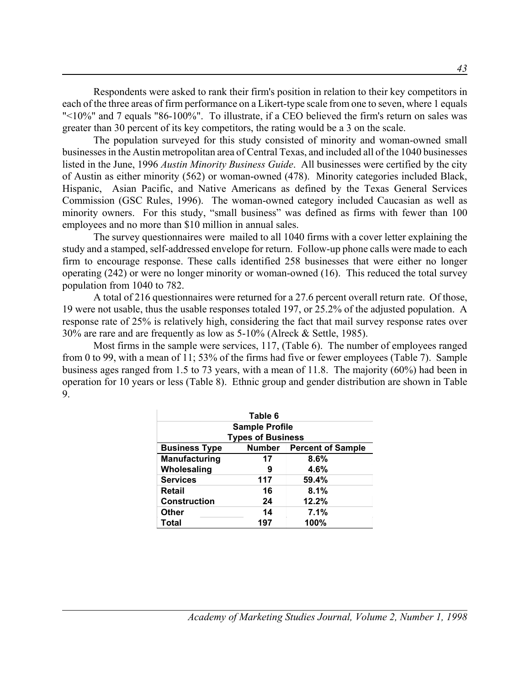Respondents were asked to rank their firm's position in relation to their key competitors in each of the three areas of firm performance on a Likert-type scale from one to seven, where 1 equals "<10%" and 7 equals "86-100%". To illustrate, if a CEO believed the firm's return on sales was greater than 30 percent of its key competitors, the rating would be a 3 on the scale.

The population surveyed for this study consisted of minority and woman-owned small businesses in the Austin metropolitan area of Central Texas, and included all of the 1040 businesses listed in the June, 1996 *Austin Minority Business Guide*. All businesses were certified by the city of Austin as either minority (562) or woman-owned (478). Minority categories included Black, Hispanic, Asian Pacific, and Native Americans as defined by the Texas General Services Commission (GSC Rules, 1996). The woman-owned category included Caucasian as well as minority owners. For this study, "small business" was defined as firms with fewer than 100 employees and no more than \$10 million in annual sales.

The survey questionnaires were mailed to all 1040 firms with a cover letter explaining the study and a stamped, self-addressed envelope for return. Follow-up phone calls were made to each firm to encourage response. These calls identified 258 businesses that were either no longer operating (242) or were no longer minority or woman-owned (16). This reduced the total survey population from 1040 to 782.

A total of 216 questionnaires were returned for a 27.6 percent overall return rate. Of those, 19 were not usable, thus the usable responses totaled 197, or 25.2% of the adjusted population. A response rate of 25% is relatively high, considering the fact that mail survey response rates over 30% are rare and are frequently as low as 5-10% (Alreck & Settle, 1985).

Most firms in the sample were services, 117, (Table 6). The number of employees ranged from 0 to 99, with a mean of 11; 53% of the firms had five or fewer employees (Table 7). Sample business ages ranged from 1.5 to 73 years, with a mean of 11.8. The majority (60%) had been in operation for 10 years or less (Table 8). Ethnic group and gender distribution are shown in Table 9.

|                                    | Table 6                  |                                 |  |  |  |  |  |  |
|------------------------------------|--------------------------|---------------------------------|--|--|--|--|--|--|
| <b>Sample Profile</b>              |                          |                                 |  |  |  |  |  |  |
|                                    | <b>Types of Business</b> |                                 |  |  |  |  |  |  |
| <b>Business Type</b>               |                          | <b>Number</b> Percent of Sample |  |  |  |  |  |  |
| <b>Manufacturing</b><br>8.6%<br>17 |                          |                                 |  |  |  |  |  |  |
| Wholesaling                        | 9                        | 4.6%                            |  |  |  |  |  |  |
| <b>Services</b>                    | 117                      | 59.4%                           |  |  |  |  |  |  |
| Retail                             | 16                       | 8.1%                            |  |  |  |  |  |  |
| <b>Construction</b>                | 24                       | 12.2%                           |  |  |  |  |  |  |
| <b>Other</b>                       | 14                       | 7.1%                            |  |  |  |  |  |  |
| Total                              | 197                      | 100%                            |  |  |  |  |  |  |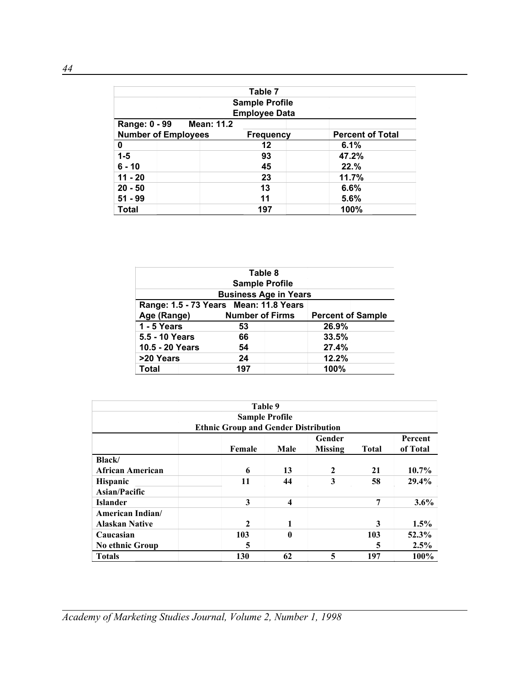|                                    | Table 7               |                         |
|------------------------------------|-----------------------|-------------------------|
|                                    | <b>Sample Profile</b> |                         |
|                                    | <b>Employee Data</b>  |                         |
| <b>Mean: 11.2</b><br>Range: 0 - 99 |                       |                         |
| <b>Number of Employees</b>         | <b>Frequency</b>      | <b>Percent of Total</b> |
| 0                                  | 12                    | 6.1%                    |
| $1 - 5$                            | 93                    | 47.2%                   |
| $6 - 10$                           | 45                    | 22.%                    |
| $11 - 20$                          | 23                    | 11.7%                   |
| $20 - 50$                          | 13                    | 6.6%                    |
| $51 - 99$                          | 11                    | 5.6%                    |
| <b>Total</b>                       | 197                   | 100%                    |

|                                                                   | Table 8                                |       |  |  |  |  |
|-------------------------------------------------------------------|----------------------------------------|-------|--|--|--|--|
|                                                                   | <b>Sample Profile</b>                  |       |  |  |  |  |
|                                                                   | <b>Business Age in Years</b>           |       |  |  |  |  |
|                                                                   | Range: 1.5 - 73 Years Mean: 11.8 Years |       |  |  |  |  |
| Age (Range)<br><b>Number of Firms</b><br><b>Percent of Sample</b> |                                        |       |  |  |  |  |
| 1 - 5 Years                                                       | 53                                     | 26.9% |  |  |  |  |
| 5.5 - 10 Years                                                    | 66                                     | 33.5% |  |  |  |  |
| 10.5 - 20 Years                                                   | 54                                     | 27.4% |  |  |  |  |
| >20 Years                                                         | 24                                     | 12.2% |  |  |  |  |
| <b>Total</b>                                                      | 197                                    | 100%  |  |  |  |  |

|                         | Table 9                                     |                         |                |              |          |
|-------------------------|---------------------------------------------|-------------------------|----------------|--------------|----------|
|                         | <b>Sample Profile</b>                       |                         |                |              |          |
|                         | <b>Ethnic Group and Gender Distribution</b> |                         |                |              |          |
|                         |                                             |                         | Gender         |              | Percent  |
|                         | Female                                      | Male                    | <b>Missing</b> | <b>Total</b> | of Total |
| <b>Black</b>            |                                             |                         |                |              |          |
| <b>African American</b> | 6                                           | 13                      | 2              | 21           | 10.7%    |
| Hispanic                | 11                                          | 44                      | 3              | 58           | 29.4%    |
| Asian/Pacific           |                                             |                         |                |              |          |
| <b>Islander</b>         | 3                                           | $\overline{\mathbf{4}}$ |                | 7            | 3.6%     |
| American Indian/        |                                             |                         |                |              |          |
| <b>Alaskan Native</b>   | $\mathbf{2}$                                | 1                       |                | 3            | $1.5\%$  |
| Caucasian               | 103                                         | $\mathbf{0}$            |                | 103          | 52.3%    |
| <b>No ethnic Group</b>  | 5                                           |                         |                | 5            | 2.5%     |
| <b>Totals</b>           | 130                                         | 62                      | 5              | 197          | 100%     |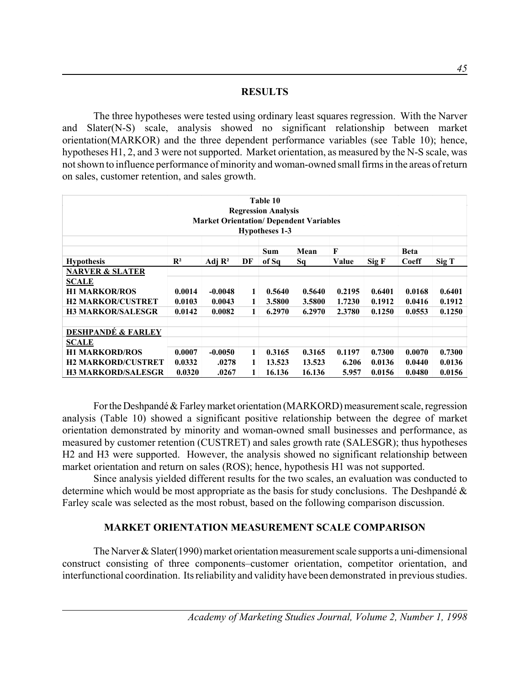#### **RESULTS**

The three hypotheses were tested using ordinary least squares regression. With the Narver and Slater(N-S) scale, analysis showed no significant relationship between market orientation(MARKOR) and the three dependent performance variables (see Table 10); hence, hypotheses H1, 2, and 3 were not supported. Market orientation, as measured by the N-S scale, was not shown to influence performance of minority and woman-owned small firms in the areas of return on sales, customer retention, and sales growth.

| Table 10                      |                                                |                    |    |                       |        |        |        |        |        |
|-------------------------------|------------------------------------------------|--------------------|----|-----------------------|--------|--------|--------|--------|--------|
| <b>Regression Analysis</b>    |                                                |                    |    |                       |        |        |        |        |        |
|                               | <b>Market Orientation/ Dependent Variables</b> |                    |    |                       |        |        |        |        |        |
|                               |                                                |                    |    | <b>Hypotheses 1-3</b> |        |        |        |        |        |
| F<br>Mean<br>Sum              |                                                |                    |    |                       |        |        |        | Beta   |        |
| <b>Hypothesis</b>             | $\mathbf{R}^2$                                 | Adj $\mathbb{R}^2$ | DF | of Sq                 | Sq     | Value  | Sig F  | Coeff  | Sig T  |
| <b>NARVER &amp; SLATER</b>    |                                                |                    |    |                       |        |        |        |        |        |
| <b>SCALE</b>                  |                                                |                    |    |                       |        |        |        |        |        |
| <b>H1 MARKOR/ROS</b>          | 0.0014                                         | $-0.0048$          | 1  | 0.5640                | 0.5640 | 0.2195 | 0.6401 | 0.0168 | 0.6401 |
| <b>H2 MARKOR/CUSTRET</b>      | 0.0103                                         | 0.0043             | 1  | 3.5800                | 3.5800 | 1.7230 | 0.1912 | 0.0416 | 0.1912 |
| <b>H3 MARKOR/SALESGR</b>      | 0.0142                                         | 0.0082             | 1  | 6.2970                | 6.2970 | 2.3780 | 0.1250 | 0.0553 | 0.1250 |
|                               |                                                |                    |    |                       |        |        |        |        |        |
| <b>DESHPANDÉ &amp; FARLEY</b> |                                                |                    |    |                       |        |        |        |        |        |
| <b>SCALE</b>                  |                                                |                    |    |                       |        |        |        |        |        |
| <b>H1 MARKORD/ROS</b>         | 0.0007                                         | $-0.0050$          | 1  | 0.3165                | 0.3165 | 0.1197 | 0.7300 | 0.0070 | 0.7300 |
| <b>H2 MARKORD/CUSTRET</b>     | 0.0332                                         | .0278              | 1  | 13.523                | 13.523 | 6.206  | 0.0136 | 0.0440 | 0.0136 |
| <b>H3 MARKORD/SALESGR</b>     | 0.0320                                         | .0267              |    | 16.136                | 16.136 | 5.957  | 0.0156 | 0.0480 | 0.0156 |

For the Deshpandé & Farley market orientation (MARKORD) measurement scale, regression analysis (Table 10) showed a significant positive relationship between the degree of market orientation demonstrated by minority and woman-owned small businesses and performance, as measured by customer retention (CUSTRET) and sales growth rate (SALESGR); thus hypotheses H2 and H3 were supported. However, the analysis showed no significant relationship between market orientation and return on sales (ROS); hence, hypothesis H1 was not supported.

Since analysis yielded different results for the two scales, an evaluation was conducted to determine which would be most appropriate as the basis for study conclusions. The Deshpandé & Farley scale was selected as the most robust, based on the following comparison discussion.

#### **MARKET ORIENTATION MEASUREMENT SCALE COMPARISON**

The Narver & Slater(1990) market orientation measurement scale supports a uni-dimensional construct consisting of three components–customer orientation, competitor orientation, and interfunctional coordination. Its reliability and validity have been demonstrated in previous studies.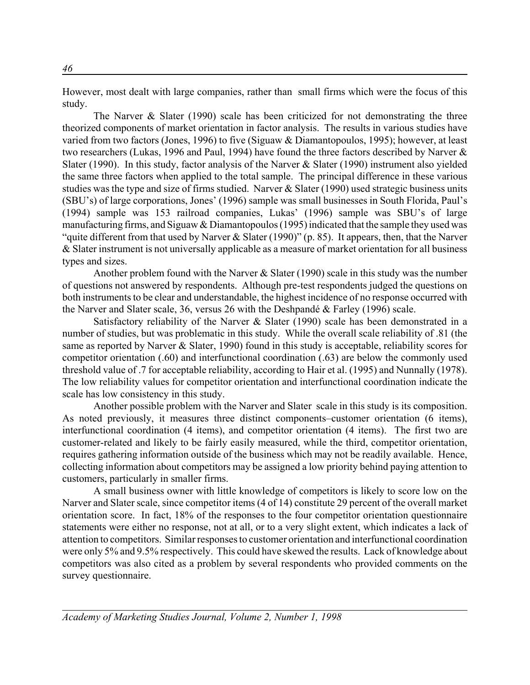However, most dealt with large companies, rather than small firms which were the focus of this study.

The Narver & Slater (1990) scale has been criticized for not demonstrating the three theorized components of market orientation in factor analysis. The results in various studies have varied from two factors (Jones, 1996) to five (Siguaw & Diamantopoulos, 1995); however, at least two researchers (Lukas, 1996 and Paul, 1994) have found the three factors described by Narver & Slater (1990). In this study, factor analysis of the Narver & Slater (1990) instrument also yielded the same three factors when applied to the total sample. The principal difference in these various studies was the type and size of firms studied. Narver & Slater (1990) used strategic business units (SBU's) of large corporations, Jones' (1996) sample was small businesses in South Florida, Paul's (1994) sample was 153 railroad companies, Lukas' (1996) sample was SBU's of large manufacturing firms, and Siguaw  $&$  Diamantopoulos (1995) indicated that the sample they used was "quite different from that used by Narver & Slater (1990)" (p. 85). It appears, then, that the Narver & Slater instrument is not universally applicable as a measure of market orientation for all business types and sizes.

Another problem found with the Narver & Slater (1990) scale in this study was the number of questions not answered by respondents. Although pre-test respondents judged the questions on both instruments to be clear and understandable, the highest incidence of no response occurred with the Narver and Slater scale, 36, versus 26 with the Deshpandé & Farley (1996) scale.

Satisfactory reliability of the Narver  $\&$  Slater (1990) scale has been demonstrated in a number of studies, but was problematic in this study. While the overall scale reliability of .81 (the same as reported by Narver & Slater, 1990) found in this study is acceptable, reliability scores for competitor orientation (.60) and interfunctional coordination (.63) are below the commonly used threshold value of .7 for acceptable reliability, according to Hair et al. (1995) and Nunnally (1978). The low reliability values for competitor orientation and interfunctional coordination indicate the scale has low consistency in this study.

Another possible problem with the Narver and Slater scale in this study is its composition. As noted previously, it measures three distinct components–customer orientation (6 items), interfunctional coordination (4 items), and competitor orientation (4 items). The first two are customer-related and likely to be fairly easily measured, while the third, competitor orientation, requires gathering information outside of the business which may not be readily available. Hence, collecting information about competitors may be assigned a low priority behind paying attention to customers, particularly in smaller firms.

A small business owner with little knowledge of competitors is likely to score low on the Narver and Slater scale, since competitor items (4 of 14) constitute 29 percent of the overall market orientation score. In fact, 18% of the responses to the four competitor orientation questionnaire statements were either no response, not at all, or to a very slight extent, which indicates a lack of attention to competitors. Similar responses to customer orientation and interfunctional coordination were only 5% and 9.5% respectively. This could have skewed the results. Lack of knowledge about competitors was also cited as a problem by several respondents who provided comments on the survey questionnaire.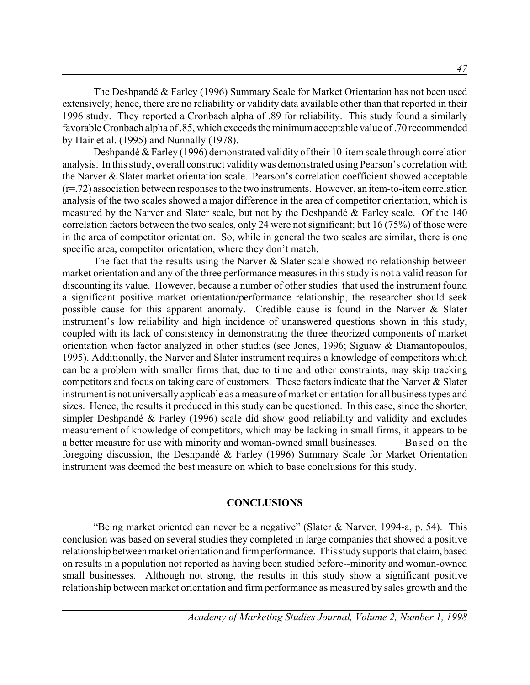The Deshpandé & Farley (1996) Summary Scale for Market Orientation has not been used extensively; hence, there are no reliability or validity data available other than that reported in their 1996 study. They reported a Cronbach alpha of .89 for reliability. This study found a similarly favorable Cronbach alpha of .85, which exceeds the minimum acceptable value of .70 recommended by Hair et al. (1995) and Nunnally (1978).

Deshpandé & Farley (1996) demonstrated validity of their 10-item scale through correlation analysis. In this study, overall construct validity was demonstrated using Pearson's correlation with the Narver & Slater market orientation scale. Pearson's correlation coefficient showed acceptable (r=.72) association between responses to the two instruments. However, an item-to-item correlation analysis of the two scales showed a major difference in the area of competitor orientation, which is measured by the Narver and Slater scale, but not by the Deshpandé & Farley scale. Of the 140 correlation factors between the two scales, only 24 were not significant; but 16 (75%) of those were in the area of competitor orientation. So, while in general the two scales are similar, there is one specific area, competitor orientation, where they don't match.

The fact that the results using the Narver & Slater scale showed no relationship between market orientation and any of the three performance measures in this study is not a valid reason for discounting its value. However, because a number of other studies that used the instrument found a significant positive market orientation/performance relationship, the researcher should seek possible cause for this apparent anomaly. Credible cause is found in the Narver & Slater instrument's low reliability and high incidence of unanswered questions shown in this study, coupled with its lack of consistency in demonstrating the three theorized components of market orientation when factor analyzed in other studies (see Jones, 1996; Siguaw & Diamantopoulos, 1995). Additionally, the Narver and Slater instrument requires a knowledge of competitors which can be a problem with smaller firms that, due to time and other constraints, may skip tracking competitors and focus on taking care of customers. These factors indicate that the Narver & Slater instrument is not universally applicable as a measure of market orientation for all business types and sizes. Hence, the results it produced in this study can be questioned. In this case, since the shorter, simpler Deshpandé & Farley (1996) scale did show good reliability and validity and excludes measurement of knowledge of competitors, which may be lacking in small firms, it appears to be a better measure for use with minority and woman-owned small businesses. Based on the foregoing discussion, the Deshpandé & Farley (1996) Summary Scale for Market Orientation instrument was deemed the best measure on which to base conclusions for this study.

#### **CONCLUSIONS**

"Being market oriented can never be a negative" (Slater & Narver, 1994-a, p. 54). This conclusion was based on several studies they completed in large companies that showed a positive relationship between market orientation and firm performance. This study supports that claim, based on results in a population not reported as having been studied before--minority and woman-owned small businesses. Although not strong, the results in this study show a significant positive relationship between market orientation and firm performance as measured by sales growth and the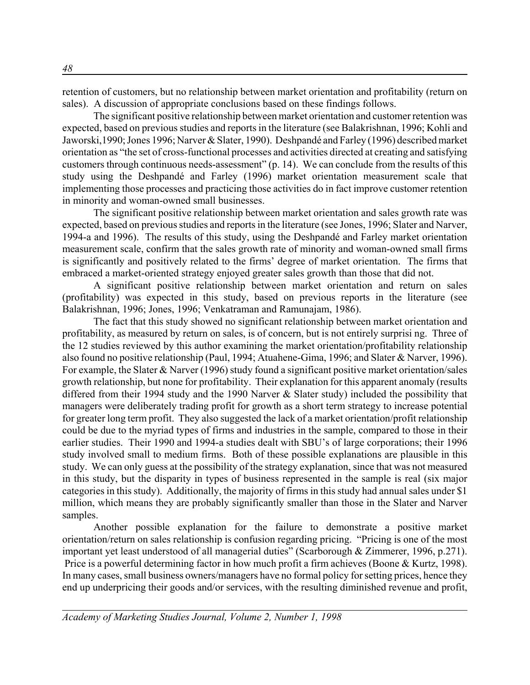retention of customers, but no relationship between market orientation and profitability (return on sales). A discussion of appropriate conclusions based on these findings follows.

The significant positive relationship between market orientation and customer retention was expected, based on previous studies and reports in the literature (see Balakrishnan, 1996; Kohli and Jaworski,1990; Jones 1996; Narver & Slater, 1990). Deshpandé and Farley (1996) described market orientation as "the set of cross-functional processes and activities directed at creating and satisfying customers through continuous needs-assessment" (p. 14). We can conclude from the results of this study using the Deshpandé and Farley (1996) market orientation measurement scale that implementing those processes and practicing those activities do in fact improve customer retention in minority and woman-owned small businesses.

The significant positive relationship between market orientation and sales growth rate was expected, based on previous studies and reports in the literature (see Jones, 1996; Slater and Narver, 1994-a and 1996). The results of this study, using the Deshpandé and Farley market orientation measurement scale, confirm that the sales growth rate of minority and woman-owned small firms is significantly and positively related to the firms' degree of market orientation. The firms that embraced a market-oriented strategy enjoyed greater sales growth than those that did not.

A significant positive relationship between market orientation and return on sales (profitability) was expected in this study, based on previous reports in the literature (see Balakrishnan, 1996; Jones, 1996; Venkatraman and Ramunajam, 1986).

The fact that this study showed no significant relationship between market orientation and profitability, as measured by return on sales, is of concern, but is not entirely surprisi ng. Three of the 12 studies reviewed by this author examining the market orientation/profitability relationship also found no positive relationship (Paul, 1994; Atuahene-Gima, 1996; and Slater & Narver, 1996). For example, the Slater & Narver (1996) study found a significant positive market orientation/sales growth relationship, but none for profitability. Their explanation for this apparent anomaly (results differed from their 1994 study and the 1990 Narver & Slater study) included the possibility that managers were deliberately trading profit for growth as a short term strategy to increase potential for greater long term profit. They also suggested the lack of a market orientation/profit relationship could be due to the myriad types of firms and industries in the sample, compared to those in their earlier studies. Their 1990 and 1994-a studies dealt with SBU's of large corporations; their 1996 study involved small to medium firms. Both of these possible explanations are plausible in this study. We can only guess at the possibility of the strategy explanation, since that was not measured in this study, but the disparity in types of business represented in the sample is real (six major categories in this study). Additionally, the majority of firms in this study had annual sales under \$1 million, which means they are probably significantly smaller than those in the Slater and Narver samples.

Another possible explanation for the failure to demonstrate a positive market orientation/return on sales relationship is confusion regarding pricing. "Pricing is one of the most important yet least understood of all managerial duties" (Scarborough & Zimmerer, 1996, p.271). Price is a powerful determining factor in how much profit a firm achieves (Boone & Kurtz, 1998). In many cases, small business owners/managers have no formal policy for setting prices, hence they end up underpricing their goods and/or services, with the resulting diminished revenue and profit,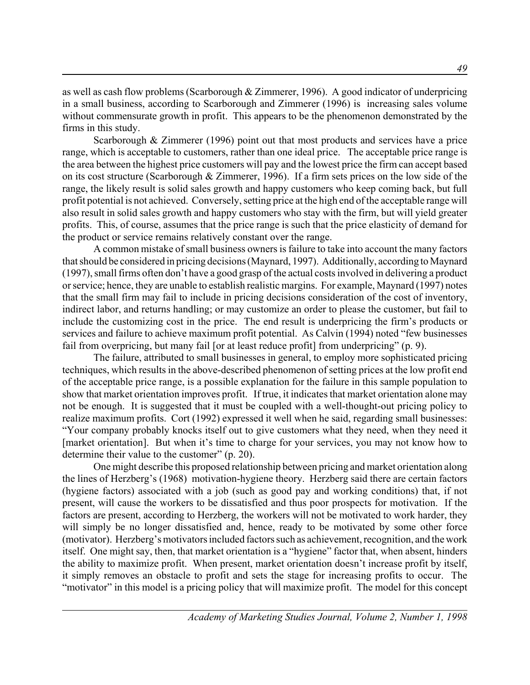as well as cash flow problems (Scarborough & Zimmerer, 1996). A good indicator of underpricing in a small business, according to Scarborough and Zimmerer (1996) is increasing sales volume without commensurate growth in profit. This appears to be the phenomenon demonstrated by the firms in this study.

Scarborough & Zimmerer (1996) point out that most products and services have a price range, which is acceptable to customers, rather than one ideal price. The acceptable price range is the area between the highest price customers will pay and the lowest price the firm can accept based on its cost structure (Scarborough & Zimmerer, 1996). If a firm sets prices on the low side of the range, the likely result is solid sales growth and happy customers who keep coming back, but full profit potential is not achieved. Conversely, setting price at the high end of the acceptable range will also result in solid sales growth and happy customers who stay with the firm, but will yield greater profits. This, of course, assumes that the price range is such that the price elasticity of demand for the product or service remains relatively constant over the range.

A common mistake of small business owners is failure to take into account the many factors that should be considered in pricing decisions (Maynard, 1997). Additionally, according to Maynard (1997), small firms often don't have a good grasp of the actual costs involved in delivering a product or service; hence, they are unable to establish realistic margins. For example, Maynard (1997) notes that the small firm may fail to include in pricing decisions consideration of the cost of inventory, indirect labor, and returns handling; or may customize an order to please the customer, but fail to include the customizing cost in the price. The end result is underpricing the firm's products or services and failure to achieve maximum profit potential. As Calvin (1994) noted "few businesses fail from overpricing, but many fail [or at least reduce profit] from underpricing" (p. 9).

The failure, attributed to small businesses in general, to employ more sophisticated pricing techniques, which results in the above-described phenomenon of setting prices at the low profit end of the acceptable price range, is a possible explanation for the failure in this sample population to show that market orientation improves profit. If true, it indicates that market orientation alone may not be enough. It is suggested that it must be coupled with a well-thought-out pricing policy to realize maximum profits. Cort (1992) expressed it well when he said, regarding small businesses: "Your company probably knocks itself out to give customers what they need, when they need it [market orientation]. But when it's time to charge for your services, you may not know how to determine their value to the customer" (p. 20).

One might describe this proposed relationship between pricing and market orientation along the lines of Herzberg's (1968) motivation-hygiene theory. Herzberg said there are certain factors (hygiene factors) associated with a job (such as good pay and working conditions) that, if not present, will cause the workers to be dissatisfied and thus poor prospects for motivation. If the factors are present, according to Herzberg, the workers will not be motivated to work harder, they will simply be no longer dissatisfied and, hence, ready to be motivated by some other force (motivator). Herzberg's motivators included factors such as achievement, recognition, and the work itself. One might say, then, that market orientation is a "hygiene" factor that, when absent, hinders the ability to maximize profit. When present, market orientation doesn't increase profit by itself, it simply removes an obstacle to profit and sets the stage for increasing profits to occur. The "motivator" in this model is a pricing policy that will maximize profit. The model for this concept

*49*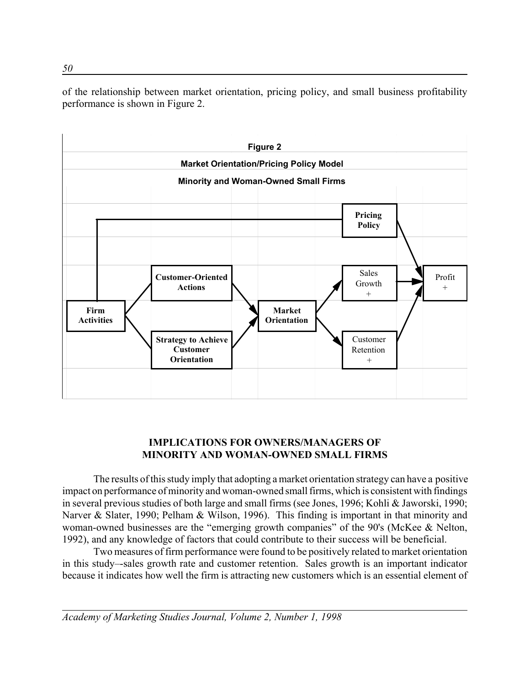of the relationship between market orientation, pricing policy, and small business profitability performance is shown in Figure 2.



## **IMPLICATIONS FOR OWNERS/MANAGERS OF MINORITY AND WOMAN-OWNED SMALL FIRMS**

 The results of this study imply that adopting a market orientation strategy can have a positive impact on performance of minority and woman-owned small firms, which is consistent with findings in several previous studies of both large and small firms (see Jones, 1996; Kohli & Jaworski, 1990; Narver & Slater, 1990; Pelham & Wilson, 1996). This finding is important in that minority and woman-owned businesses are the "emerging growth companies" of the 90's (McKee & Nelton, 1992), and any knowledge of factors that could contribute to their success will be beneficial.

Two measures of firm performance were found to be positively related to market orientation in this study–-sales growth rate and customer retention. Sales growth is an important indicator because it indicates how well the firm is attracting new customers which is an essential element of

*Academy of Marketing Studies Journal, Volume 2, Number 1, 1998*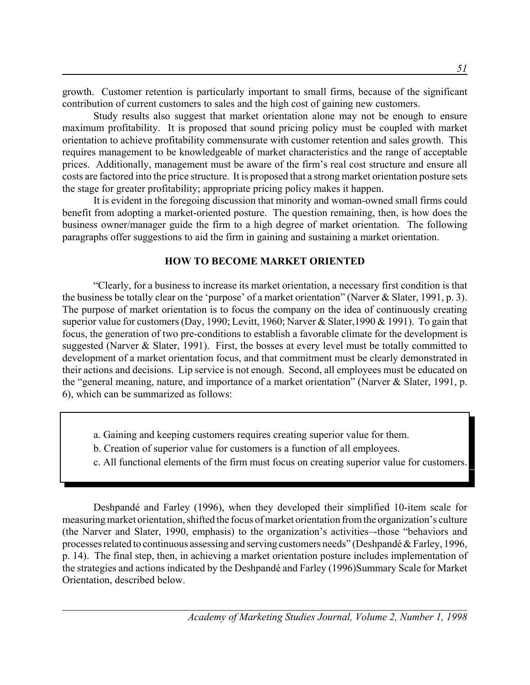growth. Customer retention is particularly important to small firms, because of the significant contribution of current customers to sales and the high cost of gaining new customers.

Study results also suggest that market orientation alone may not be enough to ensure maximum profitability. It is proposed that sound pricing policy must be coupled with market orientation to achieve profitability commensurate with customer retention and sales growth. This requires management to be knowledgeable of market characteristics and the range of acceptable prices. Additionally, management must be aware of the firm's real cost structure and ensure all costs are factored into the price structure. It is proposed that a strong market orientation posture sets the stage for greater profitability; appropriate pricing policy makes it happen.

It is evident in the foregoing discussion that minority and woman-owned small firms could benefit from adopting a market-oriented posture. The question remaining, then, is how does the business owner/manager guide the firm to a high degree of market orientation. The following paragraphs offer suggestions to aid the firm in gaining and sustaining a market orientation.

#### **HOW TO BECOME MARKET ORIENTED**

"Clearly, for a business to increase its market orientation, a necessary first condition is that the business be totally clear on the 'purpose' of a market orientation" (Narver & Slater, 1991, p. 3). The purpose of market orientation is to focus the company on the idea of continuously creating superior value for customers (Day, 1990; Levitt, 1960; Narver & Slater,1990 & 1991). To gain that focus, the generation of two pre-conditions to establish a favorable climate for the development is suggested (Narver & Slater, 1991). First, the bosses at every level must be totally committed to development of a market orientation focus, and that commitment must be clearly demonstrated in their actions and decisions. Lip service is not enough. Second, all employees must be educated on the "general meaning, nature, and importance of a market orientation" (Narver & Slater, 1991, p. 6), which can be summarized as follows:

- a. Gaining and keeping customers requires creating superior value for them.
- b. Creation of superior value for customers is a function of all employees.
- c. All functional elements of the firm must focus on creating superior value for customers.

Deshpandé and Farley (1996), when they developed their simplified 10-item scale for measuring market orientation, shifted the focus of market orientation from the organization's culture (the Narver and Slater, 1990, emphasis) to the organization's activities–-those "behaviors and processes related to continuous assessing and serving customers needs" (Deshpandé & Farley, 1996, p. 14). The final step, then, in achieving a market orientation posture includes implementation of the strategies and actions indicated by the Deshpandé and Farley (1996)Summary Scale for Market Orientation, described below.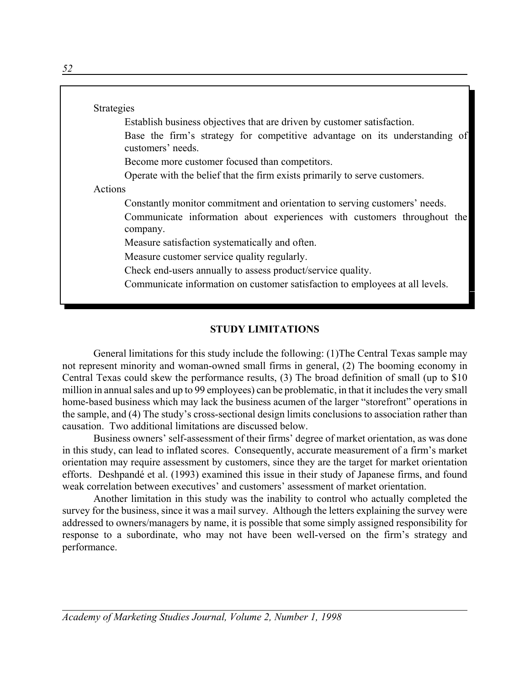|         | Establish business objectives that are driven by customer satisfaction.                         |
|---------|-------------------------------------------------------------------------------------------------|
|         | Base the firm's strategy for competitive advantage on its understanding of<br>customers' needs. |
|         | Become more customer focused than competitors.                                                  |
|         | Operate with the belief that the firm exists primarily to serve customers.                      |
| Actions |                                                                                                 |
|         | Constantly monitor commitment and orientation to serving customers' needs.                      |
|         | Communicate information about experiences with customers throughout the<br>company.             |
|         | Measure satisfaction systematically and often.                                                  |
|         | Measure customer service quality regularly.                                                     |
|         | Check end-users annually to assess product/service quality.                                     |
|         | Communicate information on customer satisfaction to employees at all levels.                    |

## **STUDY LIMITATIONS**

General limitations for this study include the following: (1)The Central Texas sample may not represent minority and woman-owned small firms in general, (2) The booming economy in Central Texas could skew the performance results, (3) The broad definition of small (up to \$10 million in annual sales and up to 99 employees) can be problematic, in that it includes the very small home-based business which may lack the business acumen of the larger "storefront" operations in the sample, and (4) The study's cross-sectional design limits conclusions to association rather than causation. Two additional limitations are discussed below.

Business owners' self-assessment of their firms' degree of market orientation, as was done in this study, can lead to inflated scores. Consequently, accurate measurement of a firm's market orientation may require assessment by customers, since they are the target for market orientation efforts. Deshpandé et al. (1993) examined this issue in their study of Japanese firms, and found weak correlation between executives' and customers' assessment of market orientation.

Another limitation in this study was the inability to control who actually completed the survey for the business, since it was a mail survey. Although the letters explaining the survey were addressed to owners/managers by name, it is possible that some simply assigned responsibility for response to a subordinate, who may not have been well-versed on the firm's strategy and performance.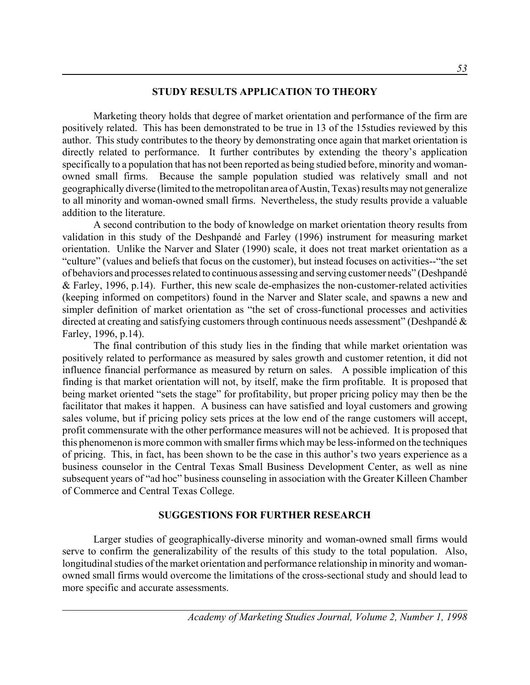#### **STUDY RESULTS APPLICATION TO THEORY**

Marketing theory holds that degree of market orientation and performance of the firm are positively related. This has been demonstrated to be true in 13 of the 15studies reviewed by this author. This study contributes to the theory by demonstrating once again that market orientation is directly related to performance. It further contributes by extending the theory's application specifically to a population that has not been reported as being studied before, minority and womanowned small firms. Because the sample population studied was relatively small and not geographically diverse (limited to the metropolitan area of Austin, Texas) results may not generalize to all minority and woman-owned small firms. Nevertheless, the study results provide a valuable addition to the literature.

A second contribution to the body of knowledge on market orientation theory results from validation in this study of the Deshpandé and Farley (1996) instrument for measuring market orientation. Unlike the Narver and Slater (1990) scale, it does not treat market orientation as a "culture" (values and beliefs that focus on the customer), but instead focuses on activities--"the set of behaviors and processes related to continuous assessing and serving customer needs" (Deshpandé & Farley, 1996, p.14). Further, this new scale de-emphasizes the non-customer-related activities (keeping informed on competitors) found in the Narver and Slater scale, and spawns a new and simpler definition of market orientation as "the set of cross-functional processes and activities directed at creating and satisfying customers through continuous needs assessment" (Deshpandé & Farley, 1996, p.14).

The final contribution of this study lies in the finding that while market orientation was positively related to performance as measured by sales growth and customer retention, it did not influence financial performance as measured by return on sales. A possible implication of this finding is that market orientation will not, by itself, make the firm profitable. It is proposed that being market oriented "sets the stage" for profitability, but proper pricing policy may then be the facilitator that makes it happen. A business can have satisfied and loyal customers and growing sales volume, but if pricing policy sets prices at the low end of the range customers will accept, profit commensurate with the other performance measures will not be achieved. It is proposed that this phenomenon is more common with smaller firms which may be less-informed on the techniques of pricing. This, in fact, has been shown to be the case in this author's two years experience as a business counselor in the Central Texas Small Business Development Center, as well as nine subsequent years of "ad hoc" business counseling in association with the Greater Killeen Chamber of Commerce and Central Texas College.

### **SUGGESTIONS FOR FURTHER RESEARCH**

Larger studies of geographically-diverse minority and woman-owned small firms would serve to confirm the generalizability of the results of this study to the total population. Also, longitudinal studies of the market orientation and performance relationship in minority and womanowned small firms would overcome the limitations of the cross-sectional study and should lead to more specific and accurate assessments.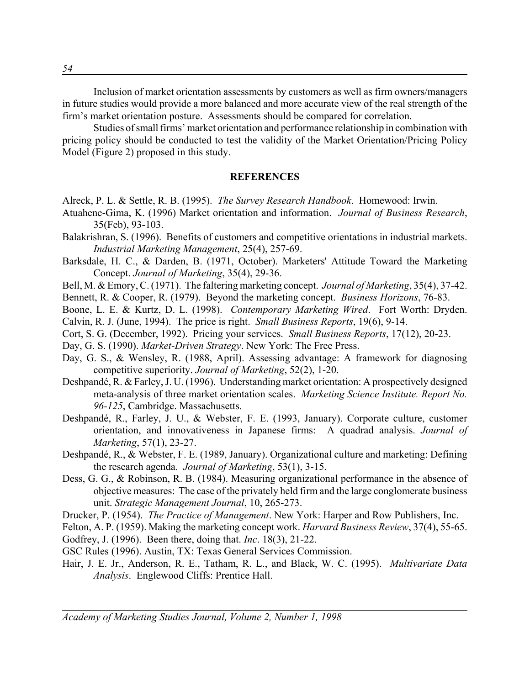Inclusion of market orientation assessments by customers as well as firm owners/managers in future studies would provide a more balanced and more accurate view of the real strength of the firm's market orientation posture. Assessments should be compared for correlation.

Studies of small firms' market orientation and performance relationship in combination with pricing policy should be conducted to test the validity of the Market Orientation/Pricing Policy Model (Figure 2) proposed in this study.

#### **REFERENCES**

- Alreck, P. L. & Settle, R. B. (1995). *The Survey Research Handbook*. Homewood: Irwin.
- Atuahene-Gima, K. (1996) Market orientation and information. *Journal of Business Research*, 35(Feb), 93-103.
- Balakrishran, S. (1996). Benefits of customers and competitive orientations in industrial markets. *Industrial Marketing Management*, 25(4), 257-69.
- Barksdale, H. C., & Darden, B. (1971, October). Marketers' Attitude Toward the Marketing Concept. *Journal of Marketing*, 35(4), 29-36.
- Bell, M. & Emory, C. (1971). The faltering marketing concept. *Journal of Marketing*, 35(4), 37-42.
- Bennett, R. & Cooper, R. (1979). Beyond the marketing concept. *Business Horizons*, 76-83.
- Boone, L. E. & Kurtz, D. L. (1998). *Contemporary Marketing Wired*. Fort Worth: Dryden. Calvin, R. J. (June, 1994). The price is right. *Small Business Reports*, 19(6), 9-14.
- Cort, S. G. (December, 1992). Pricing your services. *Small Business Reports*, 17(12), 20-23.
- Day, G. S. (1990). *Market-Driven Strategy*. New York: The Free Press.
- Day, G. S., & Wensley, R. (1988, April). Assessing advantage: A framework for diagnosing competitive superiority. *Journal of Marketing*, 52(2), 1-20.
- Deshpandé, R. & Farley, J. U. (1996). Understanding market orientation: A prospectively designed meta-analysis of three market orientation scales. *Marketing Science Institute. Report No. 96-125*, Cambridge. Massachusetts.
- Deshpandé, R., Farley, J. U., & Webster, F. E. (1993, January). Corporate culture, customer orientation, and innovativeness in Japanese firms: A quadrad analysis. *Journal of Marketing*, 57(1), 23-27.
- Deshpandé, R., & Webster, F. E. (1989, January). Organizational culture and marketing: Defining the research agenda. *Journal of Marketing*, 53(1), 3-15.
- Dess, G. G., & Robinson, R. B. (1984). Measuring organizational performance in the absence of objective measures: The case of the privately held firm and the large conglomerate business unit. *Strategic Management Journal*, 10, 265-273.
- Drucker, P. (1954). *The Practice of Management*. New York: Harper and Row Publishers, Inc.
- Felton, A. P. (1959). Making the marketing concept work. *Harvard Business Review*, 37(4), 55-65.

Godfrey, J. (1996). Been there, doing that. *Inc*. 18(3), 21-22.

- GSC Rules (1996). Austin, TX: Texas General Services Commission.
- Hair, J. E. Jr., Anderson, R. E., Tatham, R. L., and Black, W. C. (1995). *Multivariate Data Analysis*. Englewood Cliffs: Prentice Hall.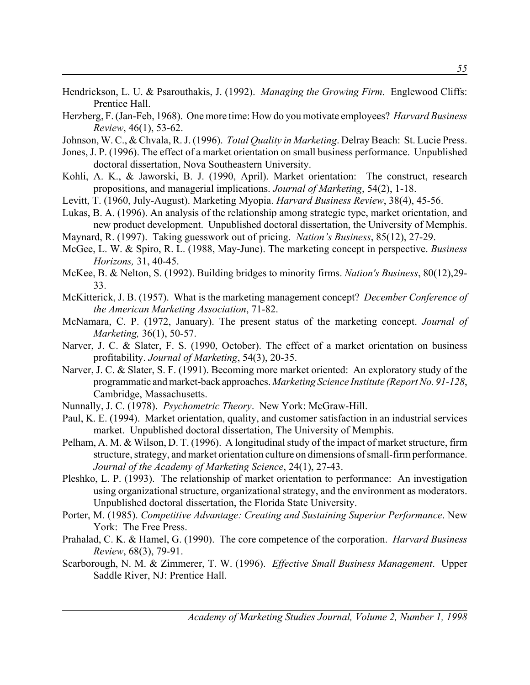- Hendrickson, L. U. & Psarouthakis, J. (1992). *Managing the Growing Firm*. Englewood Cliffs: Prentice Hall.
- Herzberg, F. (Jan-Feb, 1968). One more time: How do you motivate employees? *Harvard Business Review*, 46(1), 53-62.
- Johnson, W. C., & Chvala, R. J. (1996). *Total Quality in Marketing*. Delray Beach: St. Lucie Press.
- Jones, J. P. (1996). The effect of a market orientation on small business performance. Unpublished doctoral dissertation, Nova Southeastern University.
- Kohli, A. K., & Jaworski, B. J. (1990, April). Market orientation: The construct, research propositions, and managerial implications. *Journal of Marketing*, 54(2), 1-18.
- Levitt, T. (1960, July-August). Marketing Myopia. *Harvard Business Review*, 38(4), 45-56.
- Lukas, B. A. (1996). An analysis of the relationship among strategic type, market orientation, and new product development. Unpublished doctoral dissertation, the University of Memphis.
- Maynard, R. (1997). Taking guesswork out of pricing. *Nation's Business*, 85(12), 27-29.
- McGee, L. W. & Spiro, R. L. (1988, May-June). The marketing concept in perspective. *Business Horizons,* 31, 40-45.
- McKee, B. & Nelton, S. (1992). Building bridges to minority firms. *Nation's Business*, 80(12),29- 33.
- McKitterick, J. B. (1957). What is the marketing management concept? *December Conference of the American Marketing Association*, 71-82.
- McNamara, C. P. (1972, January). The present status of the marketing concept. *Journal of Marketing,* 36(1), 50-57.
- Narver, J. C. & Slater, F. S. (1990, October). The effect of a market orientation on business profitability. *Journal of Marketing*, 54(3), 20-35.
- Narver, J. C. & Slater, S. F. (1991). Becoming more market oriented: An exploratory study of the programmatic and market-back approaches. *Marketing Science Institute (Report No. 91-128*, Cambridge, Massachusetts.
- Nunnally, J. C. (1978). *Psychometric Theory*. New York: McGraw-Hill.
- Paul, K. E. (1994). Market orientation, quality, and customer satisfaction in an industrial services market. Unpublished doctoral dissertation, The University of Memphis.
- Pelham, A. M. & Wilson, D. T. (1996). A longitudinal study of the impact of market structure, firm structure, strategy, and market orientation culture on dimensions of small-firm performance. *Journal of the Academy of Marketing Science*, 24(1), 27-43.
- Pleshko, L. P. (1993). The relationship of market orientation to performance: An investigation using organizational structure, organizational strategy, and the environment as moderators. Unpublished doctoral dissertation, the Florida State University.
- Porter, M. (1985). *Competitive Advantage: Creating and Sustaining Superior Performance*. New York: The Free Press.
- Prahalad, C. K. & Hamel, G. (1990). The core competence of the corporation. *Harvard Business Review*, 68(3), 79-91.
- Scarborough, N. M. & Zimmerer, T. W. (1996). *Effective Small Business Management*. Upper Saddle River, NJ: Prentice Hall.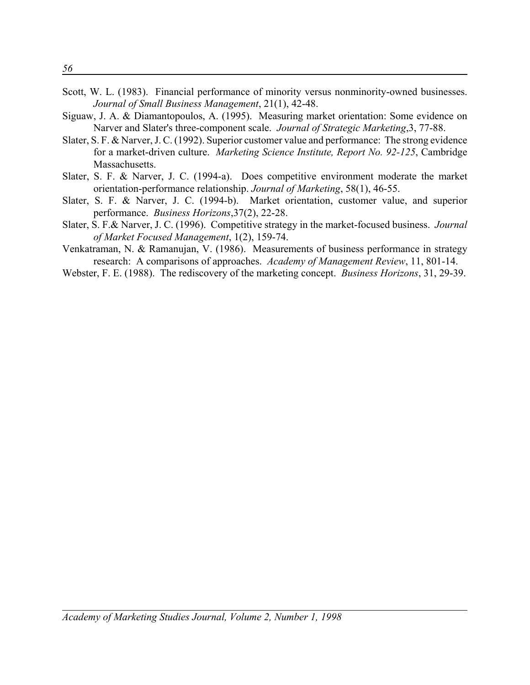- Scott, W. L. (1983). Financial performance of minority versus nonminority-owned businesses. *Journal of Small Business Management*, 21(1), 42-48.
- Siguaw, J. A. & Diamantopoulos, A. (1995). Measuring market orientation: Some evidence on Narver and Slater's three-component scale. *Journal of Strategic Marketing*,3, 77-88.
- Slater, S. F. & Narver, J. C. (1992). Superior customer value and performance: The strong evidence for a market-driven culture. *Marketing Science Institute, Report No. 92-125*, Cambridge Massachusetts.
- Slater, S. F. & Narver, J. C. (1994-a). Does competitive environment moderate the market orientation-performance relationship. *Journal of Marketing*, 58(1), 46-55.
- Slater, S. F. & Narver, J. C. (1994-b). Market orientation, customer value, and superior performance. *Business Horizons*,37(2), 22-28.
- Slater, S. F.& Narver, J. C. (1996). Competitive strategy in the market-focused business. *Journal of Market Focused Management*, 1(2), 159-74.
- Venkatraman, N. & Ramanujan, V. (1986). Measurements of business performance in strategy research: A comparisons of approaches. *Academy of Management Review*, 11, 801-14.
- Webster, F. E. (1988). The rediscovery of the marketing concept. *Business Horizons*, 31, 29-39.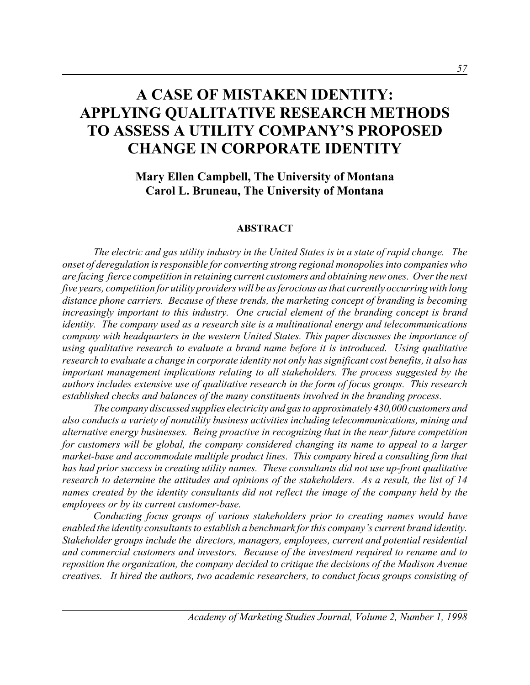# **A CASE OF MISTAKEN IDENTITY: APPLYING QUALITATIVE RESEARCH METHODS TO ASSESS A UTILITY COMPANY'S PROPOSED CHANGE IN CORPORATE IDENTITY**

# **Mary Ellen Campbell, The University of Montana Carol L. Bruneau, The University of Montana**

#### **ABSTRACT**

*The electric and gas utility industry in the United States is in a state of rapid change. The onset of deregulation is responsible for converting strong regional monopolies into companies who are facing fierce competition in retaining current customers and obtaining new ones. Over the next five years, competition for utility providers will be as ferocious as that currently occurring with long distance phone carriers. Because of these trends, the marketing concept of branding is becoming increasingly important to this industry. One crucial element of the branding concept is brand identity. The company used as a research site is a multinational energy and telecommunications company with headquarters in the western United States. This paper discusses the importance of using qualitative research to evaluate a brand name before it is introduced. Using qualitative research to evaluate a change in corporate identity not only has significant cost benefits, it also has important management implications relating to all stakeholders. The process suggested by the authors includes extensive use of qualitative research in the form of focus groups. This research established checks and balances of the many constituents involved in the branding process.*

*The company discussed supplies electricity and gas to approximately 430,000 customers and also conducts a variety of nonutility business activities including telecommunications, mining and alternative energy businesses. Being proactive in recognizing that in the near future competition for customers will be global, the company considered changing its name to appeal to a larger market-base and accommodate multiple product lines. This company hired a consulting firm that has had prior success in creating utility names. These consultants did not use up-front qualitative research to determine the attitudes and opinions of the stakeholders. As a result, the list of 14 names created by the identity consultants did not reflect the image of the company held by the employees or by its current customer-base.*

*Conducting focus groups of various stakeholders prior to creating names would have enabled the identity consultants to establish a benchmark for this company's current brand identity. Stakeholder groups include the directors, managers, employees, current and potential residential and commercial customers and investors. Because of the investment required to rename and to reposition the organization, the company decided to critique the decisions of the Madison Avenue creatives. It hired the authors, two academic researchers, to conduct focus groups consisting of*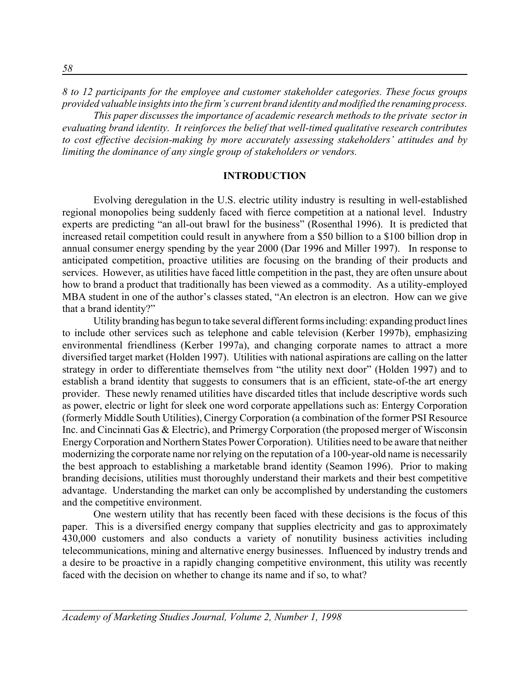*8 to 12 participants for the employee and customer stakeholder categories. These focus groups provided valuable insights into the firm's current brand identity and modified the renaming process. This paper discusses the importance of academic research methods to the private sector in evaluating brand identity. It reinforces the belief that well-timed qualitative research contributes to cost effective decision-making by more accurately assessing stakeholders' attitudes and by limiting the dominance of any single group of stakeholders or vendors.*

#### **INTRODUCTION**

Evolving deregulation in the U.S. electric utility industry is resulting in well-established regional monopolies being suddenly faced with fierce competition at a national level. Industry experts are predicting "an all-out brawl for the business" (Rosenthal 1996). It is predicted that increased retail competition could result in anywhere from a \$50 billion to a \$100 billion drop in annual consumer energy spending by the year 2000 (Dar 1996 and Miller 1997). In response to anticipated competition, proactive utilities are focusing on the branding of their products and services. However, as utilities have faced little competition in the past, they are often unsure about how to brand a product that traditionally has been viewed as a commodity. As a utility-employed MBA student in one of the author's classes stated, "An electron is an electron. How can we give that a brand identity?"

Utility branding has begun to take several different forms including: expanding product lines to include other services such as telephone and cable television (Kerber 1997b), emphasizing environmental friendliness (Kerber 1997a), and changing corporate names to attract a more diversified target market (Holden 1997). Utilities with national aspirations are calling on the latter strategy in order to differentiate themselves from "the utility next door" (Holden 1997) and to establish a brand identity that suggests to consumers that is an efficient, state-of-the art energy provider. These newly renamed utilities have discarded titles that include descriptive words such as power, electric or light for sleek one word corporate appellations such as: Entergy Corporation (formerly Middle South Utilities), Cinergy Corporation (a combination of the former PSI Resource Inc. and Cincinnati Gas & Electric), and Primergy Corporation (the proposed merger of Wisconsin Energy Corporation and Northern States Power Corporation). Utilities need to be aware that neither modernizing the corporate name nor relying on the reputation of a 100-year-old name is necessarily the best approach to establishing a marketable brand identity (Seamon 1996). Prior to making branding decisions, utilities must thoroughly understand their markets and their best competitive advantage. Understanding the market can only be accomplished by understanding the customers and the competitive environment.

One western utility that has recently been faced with these decisions is the focus of this paper. This is a diversified energy company that supplies electricity and gas to approximately 430,000 customers and also conducts a variety of nonutility business activities including telecommunications, mining and alternative energy businesses. Influenced by industry trends and a desire to be proactive in a rapidly changing competitive environment, this utility was recently faced with the decision on whether to change its name and if so, to what?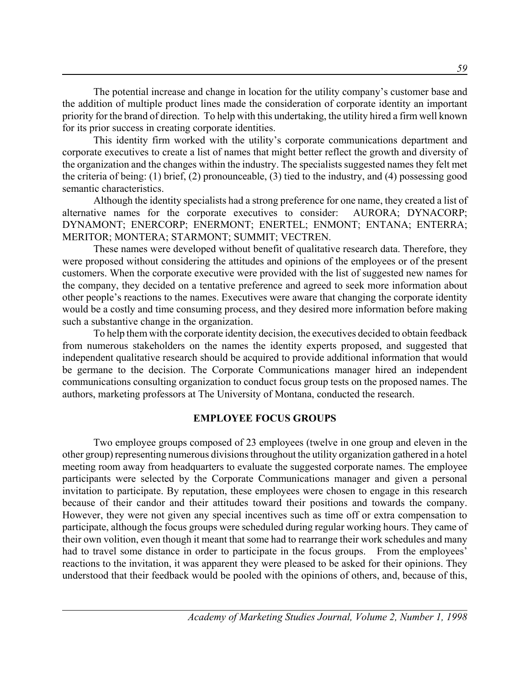The potential increase and change in location for the utility company's customer base and the addition of multiple product lines made the consideration of corporate identity an important priority for the brand of direction. To help with this undertaking, the utility hired a firm well known for its prior success in creating corporate identities.

This identity firm worked with the utility's corporate communications department and corporate executives to create a list of names that might better reflect the growth and diversity of the organization and the changes within the industry. The specialists suggested names they felt met the criteria of being: (1) brief, (2) pronounceable, (3) tied to the industry, and (4) possessing good semantic characteristics.

Although the identity specialists had a strong preference for one name, they created a list of alternative names for the corporate executives to consider: AURORA; DYNACORP; DYNAMONT; ENERCORP; ENERMONT; ENERTEL; ENMONT; ENTANA; ENTERRA; MERITOR; MONTERA; STARMONT; SUMMIT; VECTREN.

These names were developed without benefit of qualitative research data. Therefore, they were proposed without considering the attitudes and opinions of the employees or of the present customers. When the corporate executive were provided with the list of suggested new names for the company, they decided on a tentative preference and agreed to seek more information about other people's reactions to the names. Executives were aware that changing the corporate identity would be a costly and time consuming process, and they desired more information before making such a substantive change in the organization.

To help them with the corporate identity decision, the executives decided to obtain feedback from numerous stakeholders on the names the identity experts proposed, and suggested that independent qualitative research should be acquired to provide additional information that would be germane to the decision. The Corporate Communications manager hired an independent communications consulting organization to conduct focus group tests on the proposed names. The authors, marketing professors at The University of Montana, conducted the research.

## **EMPLOYEE FOCUS GROUPS**

Two employee groups composed of 23 employees (twelve in one group and eleven in the other group) representing numerous divisions throughout the utility organization gathered in a hotel meeting room away from headquarters to evaluate the suggested corporate names. The employee participants were selected by the Corporate Communications manager and given a personal invitation to participate. By reputation, these employees were chosen to engage in this research because of their candor and their attitudes toward their positions and towards the company. However, they were not given any special incentives such as time off or extra compensation to participate, although the focus groups were scheduled during regular working hours. They came of their own volition, even though it meant that some had to rearrange their work schedules and many had to travel some distance in order to participate in the focus groups. From the employees' reactions to the invitation, it was apparent they were pleased to be asked for their opinions. They understood that their feedback would be pooled with the opinions of others, and, because of this,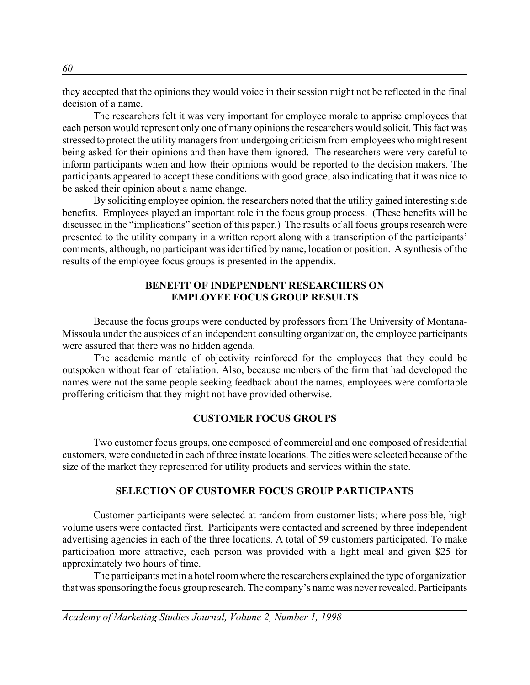they accepted that the opinions they would voice in their session might not be reflected in the final decision of a name.

The researchers felt it was very important for employee morale to apprise employees that each person would represent only one of many opinions the researchers would solicit. This fact was stressed to protect the utility managers from undergoing criticism from employees who might resent being asked for their opinions and then have them ignored. The researchers were very careful to inform participants when and how their opinions would be reported to the decision makers. The participants appeared to accept these conditions with good grace, also indicating that it was nice to be asked their opinion about a name change.

By soliciting employee opinion, the researchers noted that the utility gained interesting side benefits. Employees played an important role in the focus group process. (These benefits will be discussed in the "implications" section of this paper.) The results of all focus groups research were presented to the utility company in a written report along with a transcription of the participants' comments, although, no participant was identified by name, location or position. A synthesis of the results of the employee focus groups is presented in the appendix.

## **BENEFIT OF INDEPENDENT RESEARCHERS ON EMPLOYEE FOCUS GROUP RESULTS**

Because the focus groups were conducted by professors from The University of Montana-Missoula under the auspices of an independent consulting organization, the employee participants were assured that there was no hidden agenda.

The academic mantle of objectivity reinforced for the employees that they could be outspoken without fear of retaliation. Also, because members of the firm that had developed the names were not the same people seeking feedback about the names, employees were comfortable proffering criticism that they might not have provided otherwise.

## **CUSTOMER FOCUS GROUPS**

Two customer focus groups, one composed of commercial and one composed of residential customers, were conducted in each of three instate locations. The cities were selected because of the size of the market they represented for utility products and services within the state.

## **SELECTION OF CUSTOMER FOCUS GROUP PARTICIPANTS**

Customer participants were selected at random from customer lists; where possible, high volume users were contacted first. Participants were contacted and screened by three independent advertising agencies in each of the three locations. A total of 59 customers participated. To make participation more attractive, each person was provided with a light meal and given \$25 for approximately two hours of time.

The participants met in a hotel room where the researchers explained the type of organization that was sponsoring the focus group research. The company's name was never revealed. Participants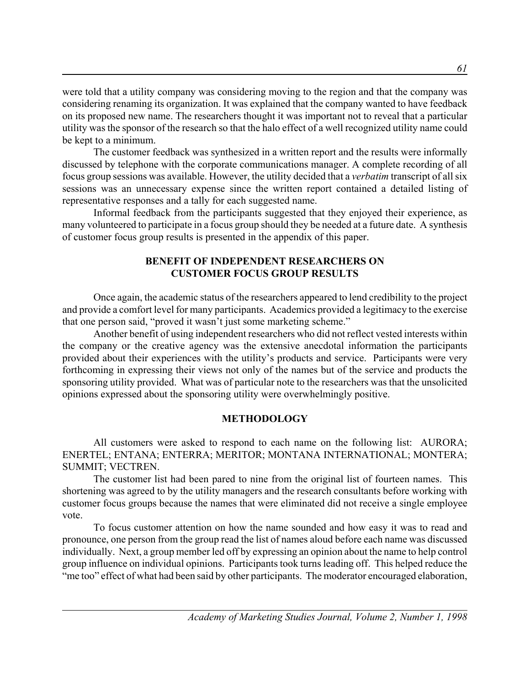were told that a utility company was considering moving to the region and that the company was considering renaming its organization. It was explained that the company wanted to have feedback on its proposed new name. The researchers thought it was important not to reveal that a particular utility was the sponsor of the research so that the halo effect of a well recognized utility name could be kept to a minimum.

The customer feedback was synthesized in a written report and the results were informally discussed by telephone with the corporate communications manager. A complete recording of all focus group sessions was available. However, the utility decided that a *verbatim* transcript of all six sessions was an unnecessary expense since the written report contained a detailed listing of representative responses and a tally for each suggested name.

Informal feedback from the participants suggested that they enjoyed their experience, as many volunteered to participate in a focus group should they be needed at a future date. A synthesis of customer focus group results is presented in the appendix of this paper.

## **BENEFIT OF INDEPENDENT RESEARCHERS ON CUSTOMER FOCUS GROUP RESULTS**

Once again, the academic status of the researchers appeared to lend credibility to the project and provide a comfort level for many participants. Academics provided a legitimacy to the exercise that one person said, "proved it wasn't just some marketing scheme."

Another benefit of using independent researchers who did not reflect vested interests within the company or the creative agency was the extensive anecdotal information the participants provided about their experiences with the utility's products and service. Participants were very forthcoming in expressing their views not only of the names but of the service and products the sponsoring utility provided. What was of particular note to the researchers was that the unsolicited opinions expressed about the sponsoring utility were overwhelmingly positive.

## **METHODOLOGY**

All customers were asked to respond to each name on the following list: AURORA; ENERTEL; ENTANA; ENTERRA; MERITOR; MONTANA INTERNATIONAL; MONTERA; SUMMIT; VECTREN.

The customer list had been pared to nine from the original list of fourteen names. This shortening was agreed to by the utility managers and the research consultants before working with customer focus groups because the names that were eliminated did not receive a single employee vote.

To focus customer attention on how the name sounded and how easy it was to read and pronounce, one person from the group read the list of names aloud before each name was discussed individually. Next, a group member led off by expressing an opinion about the name to help control group influence on individual opinions. Participants took turns leading off. This helped reduce the "me too" effect of what had been said by other participants. The moderator encouraged elaboration,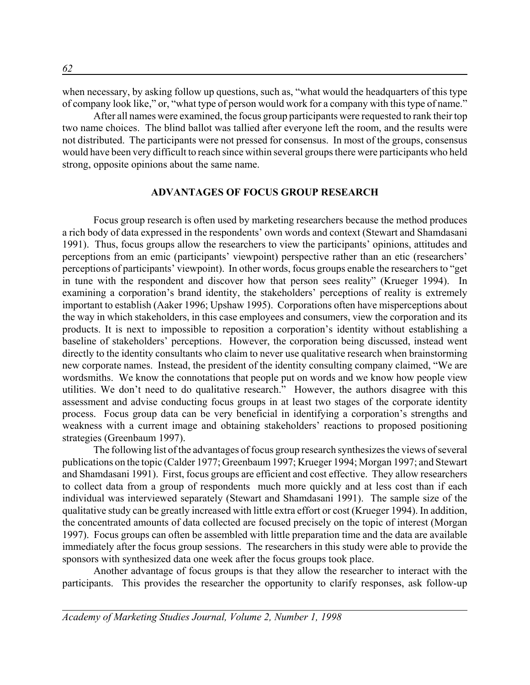when necessary, by asking follow up questions, such as, "what would the headquarters of this type of company look like," or, "what type of person would work for a company with this type of name."

After all names were examined, the focus group participants were requested to rank their top two name choices. The blind ballot was tallied after everyone left the room, and the results were not distributed. The participants were not pressed for consensus. In most of the groups, consensus would have been very difficult to reach since within several groups there were participants who held strong, opposite opinions about the same name.

#### **ADVANTAGES OF FOCUS GROUP RESEARCH**

Focus group research is often used by marketing researchers because the method produces a rich body of data expressed in the respondents' own words and context (Stewart and Shamdasani 1991). Thus, focus groups allow the researchers to view the participants' opinions, attitudes and perceptions from an emic (participants' viewpoint) perspective rather than an etic (researchers' perceptions of participants' viewpoint). In other words, focus groups enable the researchers to "get in tune with the respondent and discover how that person sees reality" (Krueger 1994). In examining a corporation's brand identity, the stakeholders' perceptions of reality is extremely important to establish (Aaker 1996; Upshaw 1995). Corporations often have misperceptions about the way in which stakeholders, in this case employees and consumers, view the corporation and its products. It is next to impossible to reposition a corporation's identity without establishing a baseline of stakeholders' perceptions. However, the corporation being discussed, instead went directly to the identity consultants who claim to never use qualitative research when brainstorming new corporate names. Instead, the president of the identity consulting company claimed, "We are wordsmiths. We know the connotations that people put on words and we know how people view utilities. We don't need to do qualitative research." However, the authors disagree with this assessment and advise conducting focus groups in at least two stages of the corporate identity process. Focus group data can be very beneficial in identifying a corporation's strengths and weakness with a current image and obtaining stakeholders' reactions to proposed positioning strategies (Greenbaum 1997).

The following list of the advantages of focus group research synthesizes the views of several publications on the topic (Calder 1977; Greenbaum 1997; Krueger 1994; Morgan 1997; and Stewart and Shamdasani 1991). First, focus groups are efficient and cost effective. They allow researchers to collect data from a group of respondents much more quickly and at less cost than if each individual was interviewed separately (Stewart and Shamdasani 1991). The sample size of the qualitative study can be greatly increased with little extra effort or cost (Krueger 1994). In addition, the concentrated amounts of data collected are focused precisely on the topic of interest (Morgan 1997). Focus groups can often be assembled with little preparation time and the data are available immediately after the focus group sessions. The researchers in this study were able to provide the sponsors with synthesized data one week after the focus groups took place.

Another advantage of focus groups is that they allow the researcher to interact with the participants. This provides the researcher the opportunity to clarify responses, ask follow-up

*Academy of Marketing Studies Journal, Volume 2, Number 1, 1998*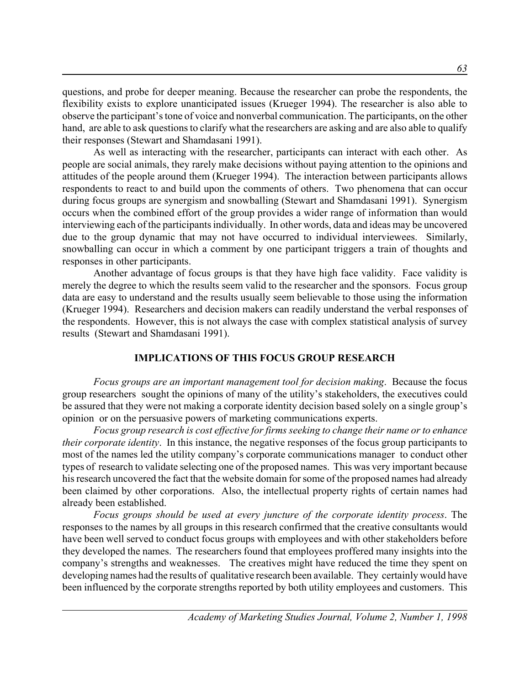questions, and probe for deeper meaning. Because the researcher can probe the respondents, the flexibility exists to explore unanticipated issues (Krueger 1994). The researcher is also able to observe the participant's tone of voice and nonverbal communication. The participants, on the other hand, are able to ask questions to clarify what the researchers are asking and are also able to qualify their responses (Stewart and Shamdasani 1991).

As well as interacting with the researcher, participants can interact with each other. As people are social animals, they rarely make decisions without paying attention to the opinions and attitudes of the people around them (Krueger 1994). The interaction between participants allows respondents to react to and build upon the comments of others. Two phenomena that can occur during focus groups are synergism and snowballing (Stewart and Shamdasani 1991). Synergism occurs when the combined effort of the group provides a wider range of information than would interviewing each of the participants individually. In other words, data and ideas may be uncovered due to the group dynamic that may not have occurred to individual interviewees. Similarly, snowballing can occur in which a comment by one participant triggers a train of thoughts and responses in other participants.

Another advantage of focus groups is that they have high face validity. Face validity is merely the degree to which the results seem valid to the researcher and the sponsors. Focus group data are easy to understand and the results usually seem believable to those using the information (Krueger 1994). Researchers and decision makers can readily understand the verbal responses of the respondents. However, this is not always the case with complex statistical analysis of survey results (Stewart and Shamdasani 1991).

## **IMPLICATIONS OF THIS FOCUS GROUP RESEARCH**

*Focus groups are an important management tool for decision making*. Because the focus group researchers sought the opinions of many of the utility's stakeholders, the executives could be assured that they were not making a corporate identity decision based solely on a single group's opinion or on the persuasive powers of marketing communications experts.

*Focus group research is cost effective for firms seeking to change their name or to enhance their corporate identity*. In this instance, the negative responses of the focus group participants to most of the names led the utility company's corporate communications manager to conduct other types of research to validate selecting one of the proposed names. This was very important because his research uncovered the fact that the website domain for some of the proposed names had already been claimed by other corporations. Also, the intellectual property rights of certain names had already been established.

*Focus groups should be used at every juncture of the corporate identity process*. The responses to the names by all groups in this research confirmed that the creative consultants would have been well served to conduct focus groups with employees and with other stakeholders before they developed the names. The researchers found that employees proffered many insights into the company's strengths and weaknesses. The creatives might have reduced the time they spent on developing names had the results of qualitative research been available. They certainly would have been influenced by the corporate strengths reported by both utility employees and customers. This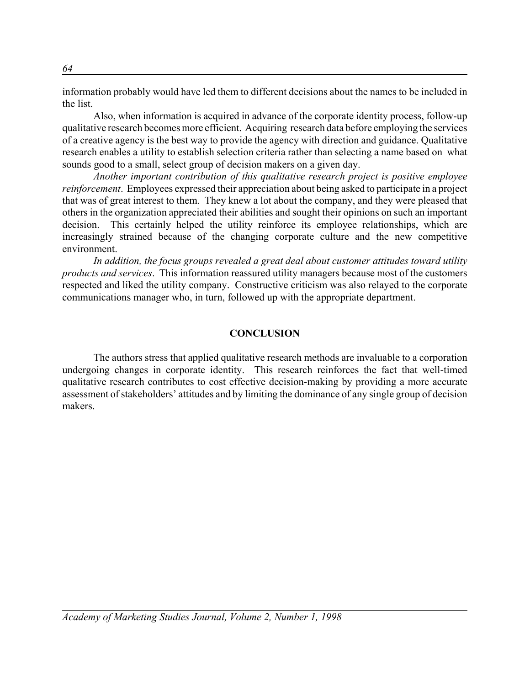information probably would have led them to different decisions about the names to be included in the list.

Also, when information is acquired in advance of the corporate identity process, follow-up qualitative research becomes more efficient. Acquiring research data before employing the services of a creative agency is the best way to provide the agency with direction and guidance. Qualitative research enables a utility to establish selection criteria rather than selecting a name based on what sounds good to a small, select group of decision makers on a given day.

*Another important contribution of this qualitative research project is positive employee reinforcement*. Employees expressed their appreciation about being asked to participate in a project that was of great interest to them. They knew a lot about the company, and they were pleased that others in the organization appreciated their abilities and sought their opinions on such an important decision. This certainly helped the utility reinforce its employee relationships, which are increasingly strained because of the changing corporate culture and the new competitive environment.

*In addition, the focus groups revealed a great deal about customer attitudes toward utility products and services*. This information reassured utility managers because most of the customers respected and liked the utility company. Constructive criticism was also relayed to the corporate communications manager who, in turn, followed up with the appropriate department.

## **CONCLUSION**

The authors stress that applied qualitative research methods are invaluable to a corporation undergoing changes in corporate identity. This research reinforces the fact that well-timed qualitative research contributes to cost effective decision-making by providing a more accurate assessment of stakeholders' attitudes and by limiting the dominance of any single group of decision makers.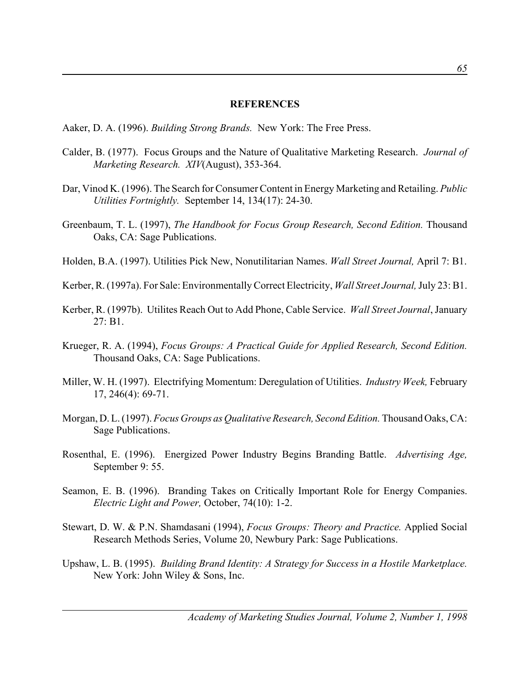#### **REFERENCES**

Aaker, D. A. (1996). *Building Strong Brands.* New York: The Free Press.

- Calder, B. (1977). Focus Groups and the Nature of Qualitative Marketing Research. *Journal of Marketing Research. XIV*(August), 353-364.
- Dar, Vinod K. (1996). The Search for Consumer Content in Energy Marketing and Retailing. *Public Utilities Fortnightly.* September 14, 134(17): 24-30.
- Greenbaum, T. L. (1997), *The Handbook for Focus Group Research, Second Edition.* Thousand Oaks, CA: Sage Publications.
- Holden, B.A. (1997). Utilities Pick New, Nonutilitarian Names. *Wall Street Journal,* April 7: B1.
- Kerber, R. (1997a). For Sale: Environmentally Correct Electricity, *Wall Street Journal,* July 23: B1.
- Kerber, R. (1997b). Utilites Reach Out to Add Phone, Cable Service. *Wall Street Journal*, January 27: B1.
- Krueger, R. A. (1994), *Focus Groups: A Practical Guide for Applied Research, Second Edition.* Thousand Oaks, CA: Sage Publications.
- Miller, W. H. (1997). Electrifying Momentum: Deregulation of Utilities. *Industry Week,* February 17, 246(4): 69-71.
- Morgan, D. L. (1997). *Focus Groups as Qualitative Research, Second Edition.* Thousand Oaks, CA: Sage Publications.
- Rosenthal, E. (1996). Energized Power Industry Begins Branding Battle. *Advertising Age,* September 9: 55.
- Seamon, E. B. (1996). Branding Takes on Critically Important Role for Energy Companies. *Electric Light and Power,* October, 74(10): 1-2.
- Stewart, D. W. & P.N. Shamdasani (1994), *Focus Groups: Theory and Practice.* Applied Social Research Methods Series, Volume 20, Newbury Park: Sage Publications.
- Upshaw, L. B. (1995). *Building Brand Identity: A Strategy for Success in a Hostile Marketplace.* New York: John Wiley & Sons, Inc.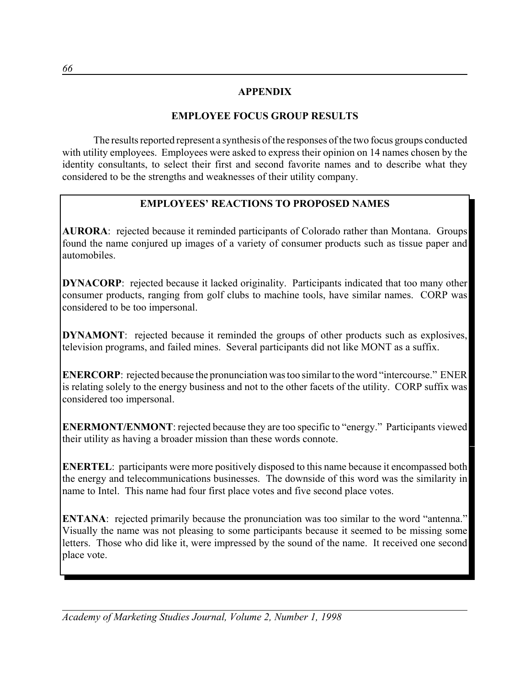## **APPENDIX**

## **EMPLOYEE FOCUS GROUP RESULTS**

The results reported represent a synthesis of the responses of the two focus groups conducted with utility employees. Employees were asked to express their opinion on 14 names chosen by the identity consultants, to select their first and second favorite names and to describe what they considered to be the strengths and weaknesses of their utility company.

## **EMPLOYEES' REACTIONS TO PROPOSED NAMES**

**AURORA**: rejected because it reminded participants of Colorado rather than Montana. Groups found the name conjured up images of a variety of consumer products such as tissue paper and automobiles.

**DYNACORP**: rejected because it lacked originality. Participants indicated that too many other consumer products, ranging from golf clubs to machine tools, have similar names. CORP was considered to be too impersonal.

**DYNAMONT**: rejected because it reminded the groups of other products such as explosives, television programs, and failed mines. Several participants did not like MONT as a suffix.

**ENERCORP**: rejected because the pronunciation was too similar to the word "intercourse." ENER is relating solely to the energy business and not to the other facets of the utility. CORP suffix was considered too impersonal.

**ENERMONT/ENMONT**: rejected because they are too specific to "energy." Participants viewed their utility as having a broader mission than these words connote.

**ENERTEL:** participants were more positively disposed to this name because it encompassed both the energy and telecommunications businesses. The downside of this word was the similarity in name to Intel. This name had four first place votes and five second place votes.

**ENTANA**: rejected primarily because the pronunciation was too similar to the word "antenna." Visually the name was not pleasing to some participants because it seemed to be missing some letters. Those who did like it, were impressed by the sound of the name. It received one second place vote.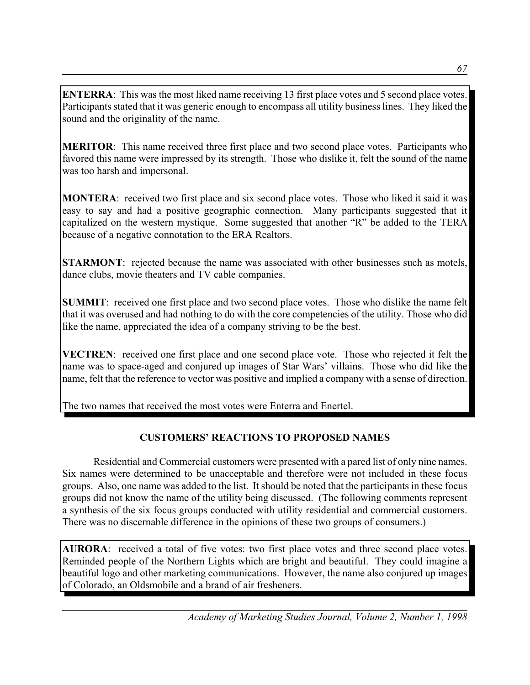**ENTERRA:** This was the most liked name receiving 13 first place votes and 5 second place votes. Participants stated that it was generic enough to encompass all utility business lines. They liked the sound and the originality of the name.

**MERITOR**: This name received three first place and two second place votes. Participants who favored this name were impressed by its strength. Those who dislike it, felt the sound of the name was too harsh and impersonal.

**MONTERA**: received two first place and six second place votes. Those who liked it said it was easy to say and had a positive geographic connection. Many participants suggested that it capitalized on the western mystique. Some suggested that another "R" be added to the TERA because of a negative connotation to the ERA Realtors.

**STARMONT**: rejected because the name was associated with other businesses such as motels, dance clubs, movie theaters and TV cable companies.

**SUMMIT:** received one first place and two second place votes. Those who dislike the name felt that it was overused and had nothing to do with the core competencies of the utility. Those who did like the name, appreciated the idea of a company striving to be the best.

**VECTREN**: received one first place and one second place vote. Those who rejected it felt the name was to space-aged and conjured up images of Star Wars' villains. Those who did like the name, felt that the reference to vector was positive and implied a company with a sense of direction.

The two names that received the most votes were Enterra and Enertel.

## **CUSTOMERS' REACTIONS TO PROPOSED NAMES**

Residential and Commercial customers were presented with a pared list of only nine names. Six names were determined to be unacceptable and therefore were not included in these focus groups. Also, one name was added to the list. It should be noted that the participants in these focus groups did not know the name of the utility being discussed. (The following comments represent a synthesis of the six focus groups conducted with utility residential and commercial customers. There was no discernable difference in the opinions of these two groups of consumers.)

**AURORA**: received a total of five votes: two first place votes and three second place votes. Reminded people of the Northern Lights which are bright and beautiful. They could imagine a beautiful logo and other marketing communications. However, the name also conjured up images of Colorado, an Oldsmobile and a brand of air fresheners.